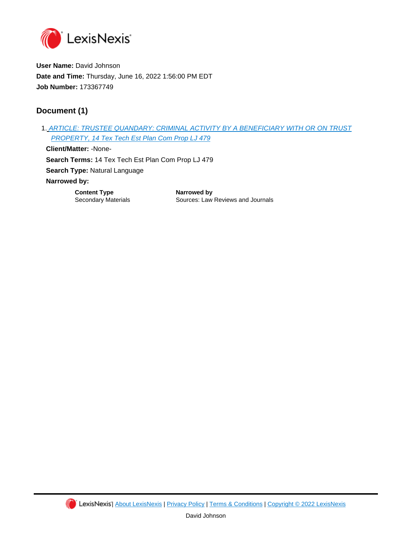

**User Name:** David Johnson **Date and Time:** Thursday, June 16, 2022 1:56:00 PM EDT **Job Number:** 173367749

# **Document (1)**

1. [ARTICLE: TRUSTEE QUANDARY: CRIMINAL ACTIVITY BY A BENEFICIARY WITH OR ON TRUST](https://advance.lexis.com/api/document?id=urn:contentItem:65KC-X3H1-FG68-G4B0-00000-00&idtype=PID&context=1000516)  [PROPERTY, 14 Tex Tech Est Plan Com Prop LJ 479](https://advance.lexis.com/api/document?id=urn:contentItem:65KC-X3H1-FG68-G4B0-00000-00&idtype=PID&context=1000516) **Client/Matter:** -None-

**Search Terms:** 14 Tex Tech Est Plan Com Prop LJ 479 **Search Type:** Natural Language **Narrowed by:** 

**Content Type <b>National Narrowed by** 

Secondary Materials **Sources: Law Reviews and Journals** 

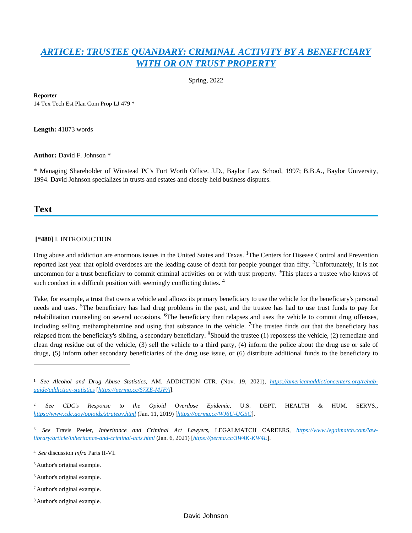# *[ARTICLE: TRUSTEE QUANDARY: CRIMINAL ACTIVITY BY A BENEFICIARY](https://advance.lexis.com/api/document?collection=analytical-materials&id=urn:contentItem:65KC-X3H1-FG68-G4B0-00000-00&context=1000516)  [WITH OR ON TRUST PROPERTY](https://advance.lexis.com/api/document?collection=analytical-materials&id=urn:contentItem:65KC-X3H1-FG68-G4B0-00000-00&context=1000516)*

Spring, 2022

**Reporter**

14 Tex Tech Est Plan Com Prop LJ 479 \*

**Length:** 41873 words

**Author:** David F. Johnson \*

\* Managing Shareholder of Winstead PC's Fort Worth Office. J.D., Baylor Law School, 1997; B.B.A., Baylor University, 1994. David Johnson specializes in trusts and estates and closely held business disputes.

# **Text**

#### **[\*480]** I. INTRODUCTION

Drug abuse and addiction are enormous issues in the United States and Texas. <sup>1</sup>The Centers for Disease Control and Prevention reported last year that opioid overdoses are the leading cause of death for people younger than fifty. <sup>2</sup>Unfortunately, it is not uncommon for a trust beneficiary to commit criminal activities on or with trust property. <sup>3</sup>This places a trustee who knows of such conduct in a difficult position with seemingly conflicting duties. <sup>4</sup>

Take, for example, a trust that owns a vehicle and allows its primary beneficiary to use the vehicle for the beneficiary's personal needs and uses. 5The beneficiary has had drug problems in the past, and the trustee has had to use trust funds to pay for rehabilitation counseling on several occasions. <sup>6</sup>The beneficiary then relapses and uses the vehicle to commit drug offenses, including selling methamphetamine and using that substance in the vehicle. <sup>7</sup>The trustee finds out that the beneficiary has relapsed from the beneficiary's sibling, a secondary beneficiary.  ${}^{8}$ Should the trustee (1) repossess the vehicle, (2) remediate and clean drug residue out of the vehicle, (3) sell the vehicle to a third party, (4) inform the police about the drug use or sale of drugs, (5) inform other secondary beneficiaries of the drug use issue, or (6) distribute additional funds to the beneficiary to

- <sup>6</sup> Author's original example.
- <sup>7</sup>Author's original example.
- 8 Author's original example.

<sup>1</sup> *See Alcohol and Drug Abuse Statistics*, AM. ADDICTION CTR. (Nov. 19, 2021), *[https://americanaddictioncenters.org/rehab](https://americanaddictioncenters.org/rehab-guide/addiction-statistics)[guide/addiction-statistics](https://americanaddictioncenters.org/rehab-guide/addiction-statistics)* [*<https://perma.cc/S7XE-MJFA>*].

<sup>2</sup>*See CDC's Response to the Opioid Overdose Epidemic*, U.S. DEPT. HEALTH & HUM. SERVS., *<https://www.cdc.gov/opioids/strategy.html>* (Jan. 11, 2019) [*<https://perma.cc/WJ6U-UG5C>*].

<sup>3</sup> *See* Travis Peeler, *Inheritance and Criminal Act Lawyers*, LEGALMATCH CAREERS, *[https://www.legalmatch.com/law](https://www.legalmatch.com/law-library/article/inheritance-and-criminal-acts.html)[library/article/inheritance-and-criminal-acts.html](https://www.legalmatch.com/law-library/article/inheritance-and-criminal-acts.html)* (Jan. 6, 2021) [*<https://perma.cc/3W4K-KW4E>*].

<sup>4</sup>*See* discussion *infra* Parts II-VI.

<sup>&</sup>lt;sup>5</sup> Author's original example.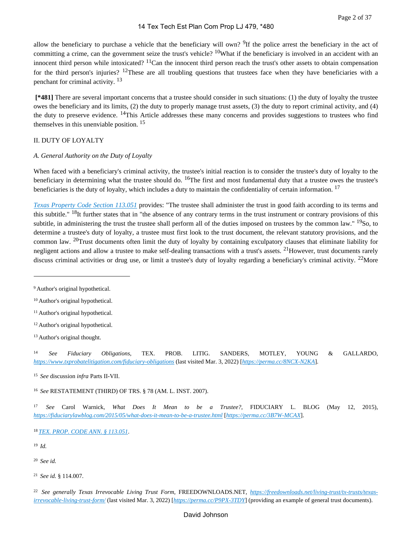allow the beneficiary to purchase a vehicle that the beneficiary will own? <sup>9</sup>If the police arrest the beneficiary in the act of committing a crime, can the government seize the trust's vehicle?  $10$ What if the beneficiary is involved in an accident with an innocent third person while intoxicated?  $^{11}$ Can the innocent third person reach the trust's other assets to obtain compensation for the third person's injuries?  $12$ These are all troubling questions that trustees face when they have beneficiaries with a penchant for criminal activity. <sup>13</sup>

 **[\*481]** There are several important concerns that a trustee should consider in such situations: (1) the duty of loyalty the trustee owes the beneficiary and its limits, (2) the duty to properly manage trust assets, (3) the duty to report criminal activity, and (4) the duty to preserve evidence. <sup>14</sup>This Article addresses these many concerns and provides suggestions to trustees who find themselves in this unenviable position. <sup>15</sup>

#### II. DUTY OF LOYALTY

#### *A. General Authority on the Duty of Loyalty*

When faced with a beneficiary's criminal activity, the trustee's initial reaction is to consider the trustee's duty of loyalty to the beneficiary in determining what the trustee should do.  $^{16}$ The first and most fundamental duty that a trustee owes the trustee's beneficiaries is the duty of loyalty, which includes a duty to maintain the confidentiality of certain information.<sup>17</sup>

*[Texas Property Code Section 113.051](https://advance.lexis.com/api/document?collection=statutes-legislation&id=urn:contentItem:5DDJ-C7H1-JW8X-V4GT-00000-00&context=1000516)* provides: "The trustee shall administer the trust in good faith according to its terms and this subtitle."  $^{18}$ It further states that in "the absence of any contrary terms in the trust instrument or contrary provisions of this subtitle, in administering the trust the trustee shall perform all of the duties imposed on trustees by the common law." <sup>19</sup>So, to determine a trustee's duty of loyalty, a trustee must first look to the trust document, the relevant statutory provisions, and the common law. 20Trust documents often limit the duty of loyalty by containing exculpatory clauses that eliminate liability for negligent actions and allow a trustee to make self-dealing transactions with a trust's assets. <sup>21</sup>However, trust documents rarely discuss criminal activities or drug use, or limit a trustee's duty of loyalty regarding a beneficiary's criminal activity,  $^{22}$ More

<sup>12</sup> Author's original hypothetical.

<sup>14</sup>*See Fiduciary Obligations*, TEX. PROB. LITIG. SANDERS, MOTLEY, YOUNG & GALLARDO, *<https://www.txprobatelitigation.com/fiduciary-obligations>* (last visited Mar. 3, 2022) [*<https://perma.cc/8NCX-N2KA>*].

<sup>15</sup>*See* discussion *infra* Parts II-VII.

<sup>16</sup>*See* RESTATEMENT (THIRD) OF TRS. § 78 (AM. L. INST. 2007).

<sup>17</sup>*See* Carol Warnick, *What Does It Mean to be a Trustee?*, FIDUCIARY L. BLOG (May 12, 2015), *<https://fiduciarylawblog.com/2015/05/what-does-it-mean-to-be-a-trustee.html>* [*<https://perma.cc/3B7W-MCAX>*].

<sup>18</sup>*[TEX. PROP. CODE ANN. § 113.051](https://advance.lexis.com/api/document?collection=statutes-legislation&id=urn:contentItem:5DDJ-C7H1-JW8X-V4GT-00000-00&context=1000516)*.

<sup>19</sup>*Id.*

<sup>20</sup>*See id.*

<sup>21</sup>*See id.* § 114.007.

22 *See generally Texas Irrevocable Living Trust Form*, FREEDOWNLOADS.NET, *[https://freedownloads.net/living-trust/tx-trusts/texas](https://freedownloads.net/living-trust/tx-trusts/texas-irrevocable-living-trust-form/)[irrevocable-living-trust-form/](https://freedownloads.net/living-trust/tx-trusts/texas-irrevocable-living-trust-form/)* (last visited Mar. 3, 2022) [*<https://perma.cc/P9PX-3TDY>*] (providing an example of general trust documents).

<sup>&</sup>lt;sup>9</sup> Author's original hypothetical.

<sup>10</sup>Author's original hypothetical.

<sup>&</sup>lt;sup>11</sup> Author's original hypothetical.

<sup>&</sup>lt;sup>13</sup> Author's original thought.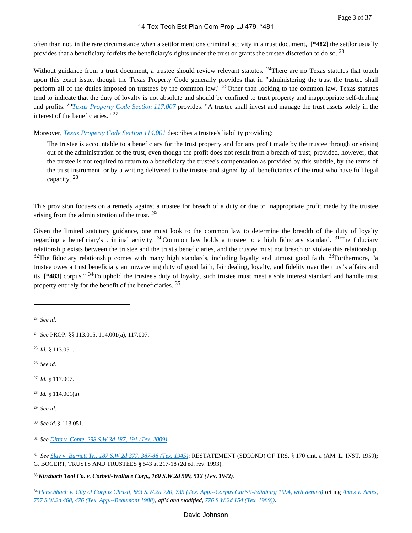often than not, in the rare circumstance when a settlor mentions criminal activity in a trust document, **[\*482]** the settlor usually provides that a beneficiary forfeits the beneficiary's rights under the trust or grants the trustee discretion to do so. <sup>23</sup>

Without guidance from a trust document, a trustee should review relevant statutes.  $24$ There are no Texas statutes that touch upon this exact issue, though the Texas Property Code generally provides that in "administering the trust the trustee shall perform all of the duties imposed on trustees by the common law." <sup>25</sup>Other than looking to the common law, Texas statutes tend to indicate that the duty of loyalty is not absolute and should be confined to trust property and inappropriate self-dealing and profits. 26*[Texas Property Code Section 117.007](https://advance.lexis.com/api/document?collection=statutes-legislation&id=urn:contentItem:5DDJ-C7H1-JW8X-V4NN-00000-00&context=1000516)* provides: "A trustee shall invest and manage the trust assets solely in the interest of the beneficiaries." <sup>27</sup>

Moreover, *[Texas Property Code Section 114.001](https://advance.lexis.com/api/document?collection=statutes-legislation&id=urn:contentItem:5DDJ-C7H1-JW8X-V4J8-00000-00&context=1000516)* describes a trustee's liability providing:

The trustee is accountable to a beneficiary for the trust property and for any profit made by the trustee through or arising out of the administration of the trust, even though the profit does not result from a breach of trust; provided, however, that the trustee is not required to return to a beneficiary the trustee's compensation as provided by this subtitle, by the terms of the trust instrument, or by a writing delivered to the trustee and signed by all beneficiaries of the trust who have full legal capacity. <sup>28</sup>

This provision focuses on a remedy against a trustee for breach of a duty or due to inappropriate profit made by the trustee arising from the administration of the trust. <sup>29</sup>

Given the limited statutory guidance, one must look to the common law to determine the breadth of the duty of loyalty regarding a beneficiary's criminal activity.  $^{30}$ Common law holds a trustee to a high fiduciary standard.  $^{31}$ The fiduciary relationship exists between the trustee and the trust's beneficiaries, and the trustee must not breach or violate this relationship.  $32$ The fiduciary relationship comes with many high standards, including loyalty and utmost good faith.  $33$ Furthermore, "a trustee owes a trust beneficiary an unwavering duty of good faith, fair dealing, loyalty, and fidelity over the trust's affairs and its **[\*483]** corpus." 34To uphold the trustee's duty of loyalty, such trustee must meet a sole interest standard and handle trust property entirely for the benefit of the beneficiaries. <sup>35</sup>

<sup>23</sup>*See id.*

<sup>25</sup>*Id.* § 113.051.

<sup>26</sup>*See id.*

<sup>27</sup>*Id.* § 117.007.

<sup>28</sup>*Id.* § 114.001(a).

<sup>29</sup>*See id.*

<sup>30</sup>*See id.* § 113.051.

<sup>31</sup>*See [Ditta v. Conte, 298 S.W.3d 187, 191 \(Tex. 2009\)](https://advance.lexis.com/api/document?collection=cases&id=urn:contentItem:7VXX-72T0-Y9NK-S2M7-00000-00&context=1000516)*.

<sup>32</sup>*See [Slay v. Burnett Tr., 187 S.W.2d 377, 387-88 \(Tex. 1945\)](https://advance.lexis.com/api/document?collection=cases&id=urn:contentItem:3RRS-HR80-003D-P11Y-00000-00&context=1000516)*; RESTATEMENT (SECOND) OF TRS. § 170 cmt. a (AM. L. INST. 1959); G. BOGERT, TRUSTS AND TRUSTEES § 543 at 217-18 (2d ed. rev. 1993).

<sup>33</sup>*Kinzbach Tool Co. v. Corbett-Wallace Corp., 160 S.W.2d 509, 512 (Tex. 1942)*.

<sup>34</sup>*[Herschbach v. City of Corpus Christi, 883 S.W.2d 720, 735 \(Tex. App.--Corpus Christi-Edinburg 1994, writ denied\)](https://advance.lexis.com/api/document?collection=cases&id=urn:contentItem:3S3K-0S50-003C-20SV-00000-00&context=1000516)* (citing *[Ames v. Ames,](https://advance.lexis.com/api/document?collection=cases&id=urn:contentItem:3S3K-3110-003C-24P1-00000-00&context=1000516)  [757 S.W.2d 468, 476 \(Tex. App.--Beaumont 1988\)](https://advance.lexis.com/api/document?collection=cases&id=urn:contentItem:3S3K-3110-003C-24P1-00000-00&context=1000516)*, *aff'd and modified*, *[776 S.W.2d 154 \(Tex. 1989\)\)](https://advance.lexis.com/api/document?collection=cases&id=urn:contentItem:3S3J-WB10-003C-21FR-00000-00&context=1000516)*.

<sup>24</sup>*See* PROP. §§ 113.015, 114.001(a), 117.007.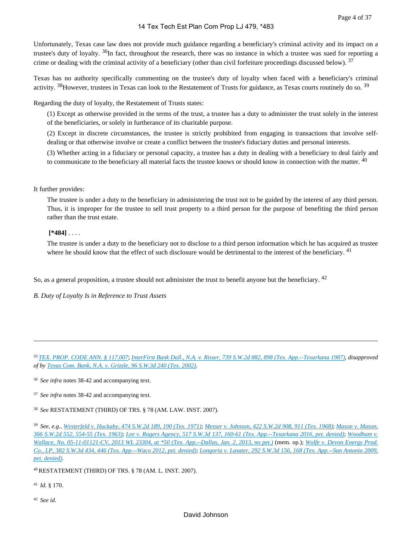Unfortunately, Texas case law does not provide much guidance regarding a beneficiary's criminal activity and its impact on a trustee's duty of loyalty. <sup>36</sup>In fact, throughout the research, there was no instance in which a trustee was sued for reporting a crime or dealing with the criminal activity of a beneficiary (other than civil forfeiture proceedings discussed below).  $37$ 

Texas has no authority specifically commenting on the trustee's duty of loyalty when faced with a beneficiary's criminal activity.  $38$ However, trustees in Texas can look to the Restatement of Trusts for guidance, as Texas courts routinely do so.  $39$ 

Regarding the duty of loyalty, the Restatement of Trusts states:

(1) Except as otherwise provided in the terms of the trust, a trustee has a duty to administer the trust solely in the interest of the beneficiaries, or solely in furtherance of its charitable purpose.

(2) Except in discrete circumstances, the trustee is strictly prohibited from engaging in transactions that involve selfdealing or that otherwise involve or create a conflict between the trustee's fiduciary duties and personal interests.

(3) Whether acting in a fiduciary or personal capacity, a trustee has a duty in dealing with a beneficiary to deal fairly and to communicate to the beneficiary all material facts the trustee knows or should know in connection with the matter. <sup>40</sup>

#### It further provides:

The trustee is under a duty to the beneficiary in administering the trust not to be guided by the interest of any third person. Thus, it is improper for the trustee to sell trust property to a third person for the purpose of benefiting the third person rather than the trust estate.

#### **[\*484]** . . . .

The trustee is under a duty to the beneficiary not to disclose to a third person information which he has acquired as trustee where he should know that the effect of such disclosure would be detrimental to the interest of the beneficiary. <sup>41</sup>

So, as a general proposition, a trustee should not administer the trust to benefit anyone but the beneficiary. <sup>42</sup>

*B. Duty of Loyalty Is in Reference to Trust Assets*

<sup>35</sup>*[TEX. PROP. CODE ANN. § 117.007](https://advance.lexis.com/api/document?collection=statutes-legislation&id=urn:contentItem:5DDJ-C7H1-JW8X-V4NN-00000-00&context=1000516)*; *[InterFirst Bank Dall., N.A. v. Risser, 739 S.W.2d 882, 898 \(Tex. App.--Texarkana 1987\)](https://advance.lexis.com/api/document?collection=cases&id=urn:contentItem:3S3K-3BX0-003C-23MC-00000-00&context=1000516)*, *disapproved of by [Texas Com. Bank, N.A. v. Grizzle, 96 S.W.3d 240 \(Tex. 2002\)](https://advance.lexis.com/api/document?collection=cases&id=urn:contentItem:47K3-WK30-0039-4090-00000-00&context=1000516)*.

<sup>36</sup>*See infra* notes 38-42 and accompanying text.

<sup>37</sup>*See infra* notes 38-42 and accompanying text.

<sup>38</sup>*See* RESTATEMENT (THIRD) OF TRS. § 78 (AM. LAW. INST. 2007).

<sup>39</sup>*See, e.g.*, *[Westerfeld v. Huckaby, 474 S.W.2d 189, 190 \(Tex. 1971\)](https://advance.lexis.com/api/document?collection=cases&id=urn:contentItem:3RRH-B0S0-003C-50KT-00000-00&context=1000516)*; *[Messer v. Johnson, 422 S.W.2d 908, 911 \(Tex. 1968\)](https://advance.lexis.com/api/document?collection=cases&id=urn:contentItem:3RRH-B2D0-003C-515H-00000-00&context=1000516)*; *[Mason v. Mason,](https://advance.lexis.com/api/document?collection=cases&id=urn:contentItem:3RRH-B4C0-003C-51VR-00000-00&context=1000516)  [366 S.W.2d 552, 554-55 \(Tex. 1963\)](https://advance.lexis.com/api/document?collection=cases&id=urn:contentItem:3RRH-B4C0-003C-51VR-00000-00&context=1000516)*; *[Lee v. Rogers Agency, 517 S.W.3d 137, 160-61 \(Tex. App.--Texarkana 2016, pet. denied\)](https://advance.lexis.com/api/document?collection=cases&id=urn:contentItem:5MTX-8141-F04K-B04T-00000-00&context=1000516)*; *[Woodham v.](https://advance.lexis.com/api/document?collection=cases&id=urn:contentItem:57DX-F4P1-F04K-B24S-00000-00&context=1000516)  [Wallace, No. 05-11-01121-CV, 2013 WL 23304, at \\*50 \(Tex. App.--Dallas, Jan. 2, 2013, no pet.\)](https://advance.lexis.com/api/document?collection=cases&id=urn:contentItem:57DX-F4P1-F04K-B24S-00000-00&context=1000516)* (mem. op.); *[Wolfe v. Devon Energy Prod.](https://advance.lexis.com/api/document?collection=cases&id=urn:contentItem:5561-0RP1-F04K-B08R-00000-00&context=1000516)  [Co., LP, 382 S.W.3d 434, 446 \(Tex. App.--Waco 2012, pet. denied\)](https://advance.lexis.com/api/document?collection=cases&id=urn:contentItem:5561-0RP1-F04K-B08R-00000-00&context=1000516)*; *[Longoria v. Lasater, 292 S.W.3d 156, 168 \(Tex. App.--San Antonio 2009,](https://advance.lexis.com/api/document?collection=cases&id=urn:contentItem:4W1D-XW60-TXFW-X231-00000-00&context=1000516)  [pet. denied\)](https://advance.lexis.com/api/document?collection=cases&id=urn:contentItem:4W1D-XW60-TXFW-X231-00000-00&context=1000516)*.

<sup>40</sup>RESTATEMENT (THIRD) OF TRS. § 78 (AM. L. INST. 2007).

<sup>41</sup>*Id.* § 170.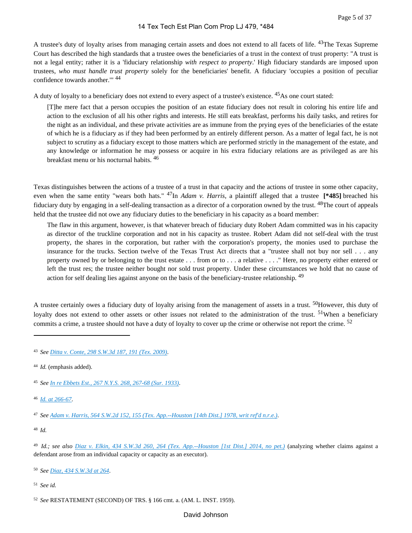A trustee's duty of loyalty arises from managing certain assets and does not extend to all facets of life. <sup>43</sup>The Texas Supreme Court has described the high standards that a trustee owes the beneficiaries of a trust in the context of trust property: "A trust is not a legal entity; rather it is a 'fiduciary relationship *with respect to property*.' High fiduciary standards are imposed upon trustees, *who must handle trust property* solely for the beneficiaries' benefit. A fiduciary 'occupies a position of peculiar confidence towards another.'" <sup>44</sup>

A duty of loyalty to a beneficiary does not extend to every aspect of a trustee's existence. <sup>45</sup>As one court stated:

[T]he mere fact that a person occupies the position of an estate fiduciary does not result in coloring his entire life and action to the exclusion of all his other rights and interests. He still eats breakfast, performs his daily tasks, and retires for the night as an individual, and these private activities are as immune from the prying eyes of the beneficiaries of the estate of which he is a fiduciary as if they had been performed by an entirely different person. As a matter of legal fact, he is not subject to scrutiny as a fiduciary except to those matters which are performed strictly in the management of the estate, and any knowledge or information he may possess or acquire in his extra fiduciary relations are as privileged as are his breakfast menu or his nocturnal habits. <sup>46</sup>

Texas distinguishes between the actions of a trustee of a trust in that capacity and the actions of trustee in some other capacity, even when the same entity "wears both hats." 47In *Adam v. Harris*, a plaintiff alleged that a trustee **[\*485]** breached his fiduciary duty by engaging in a self-dealing transaction as a director of a corporation owned by the trust. <sup>48</sup>The court of appeals held that the trustee did not owe any fiduciary duties to the beneficiary in his capacity as a board member:

The flaw in this argument, however, is that whatever breach of fiduciary duty Robert Adam committed was in his capacity as director of the truckline corporation and not in his capacity as trustee. Robert Adam did not self-deal with the trust property, the shares in the corporation, but rather with the corporation's property, the monies used to purchase the insurance for the trucks. Section twelve of the Texas Trust Act directs that a "trustee shall not buy nor sell . . . any property owned by or belonging to the trust estate . . . from or to . . . a relative . . . ." Here, no property either entered or left the trust res; the trustee neither bought nor sold trust property. Under these circumstances we hold that no cause of action for self dealing lies against anyone on the basis of the beneficiary-trustee relationship. <sup>49</sup>

A trustee certainly owes a fiduciary duty of loyalty arising from the management of assets in a trust. <sup>50</sup>However, this duty of loyalty does not extend to other assets or other issues not related to the administration of the trust. <sup>51</sup>When a beneficiary commits a crime, a trustee should not have a duty of loyalty to cover up the crime or otherwise not report the crime. <sup>52</sup>

<sup>48</sup>*Id.*

<sup>50</sup>*See [Diaz, 434 S.W.3d at 264](https://advance.lexis.com/api/document?collection=cases&id=urn:contentItem:5C1S-7J31-F04K-B231-00000-00&context=1000516)*.

<sup>43</sup>*See [Ditta v. Conte, 298 S.W.3d 187, 191 \(Tex. 2009\)](https://advance.lexis.com/api/document?collection=cases&id=urn:contentItem:7VXX-72T0-Y9NK-S2M7-00000-00&context=1000516)*.

<sup>44</sup>*Id.* (emphasis added).

<sup>45</sup>*See [In re Ebbets Est., 267 N.Y.S. 268, 267-68 \(Sur. 1933\)](https://advance.lexis.com/api/document?collection=cases&id=urn:contentItem:3S3K-31V0-0044-F2J1-00000-00&context=1000516)*.

<sup>46</sup>*[Id. at 266-67](https://advance.lexis.com/api/document?collection=cases&id=urn:contentItem:7VXX-72T0-Y9NK-S2M7-00000-00&context=1000516)*.

<sup>47</sup>*See [Adam v. Harris, 564 S.W.2d 152, 155 \(Tex. App.--Houston \[14th Dist.\] 1978, writ ref'd n.r.e.\)](https://advance.lexis.com/api/document?collection=cases&id=urn:contentItem:3S3K-5H30-003C-233Y-00000-00&context=1000516)*.

<sup>49</sup>*Id.; see also [Diaz v. Elkin, 434 S.W.3d 260, 264 \(Tex. App.--Houston \[1st Dist.\] 2014, no pet.\)](https://advance.lexis.com/api/document?collection=cases&id=urn:contentItem:5C1S-7J31-F04K-B231-00000-00&context=1000516)* (analyzing whether claims against a defendant arose from an individual capacity or capacity as an executor).

<sup>52</sup>*See* RESTATEMENT (SECOND) OF TRS. § 166 cmt. a. (AM. L. INST. 1959).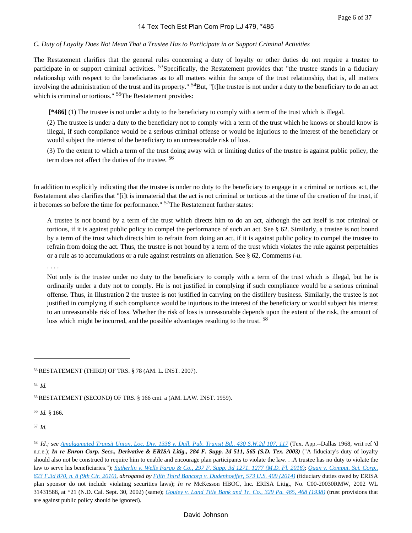#### *C. Duty of Loyalty Does Not Mean That a Trustee Has to Participate in or Support Criminal Activities*

The Restatement clarifies that the general rules concerning a duty of loyalty or other duties do not require a trustee to participate in or support criminal activities. <sup>53</sup>Specifically, the Restatement provides that "the trustee stands in a fiduciary relationship with respect to the beneficiaries as to all matters within the scope of the trust relationship, that is, all matters involving the administration of the trust and its property."  $54$ But, "[t]he trustee is not under a duty to the beneficiary to do an act which is criminal or tortious." <sup>55</sup>The Restatement provides:

 **[\*486]** (1) The trustee is not under a duty to the beneficiary to comply with a term of the trust which is illegal.

(2) The trustee is under a duty to the beneficiary not to comply with a term of the trust which he knows or should know is illegal, if such compliance would be a serious criminal offense or would be injurious to the interest of the beneficiary or would subject the interest of the beneficiary to an unreasonable risk of loss.

(3) To the extent to which a term of the trust doing away with or limiting duties of the trustee is against public policy, the term does not affect the duties of the trustee. <sup>56</sup>

In addition to explicitly indicating that the trustee is under no duty to the beneficiary to engage in a criminal or tortious act, the Restatement also clarifies that "[i]t is immaterial that the act is not criminal or tortious at the time of the creation of the trust, if it becomes so before the time for performance." 57The Restatement further states:

A trustee is not bound by a term of the trust which directs him to do an act, although the act itself is not criminal or tortious, if it is against public policy to compel the performance of such an act. See § 62. Similarly, a trustee is not bound by a term of the trust which directs him to refrain from doing an act, if it is against public policy to compel the trustee to refrain from doing the act. Thus, the trustee is not bound by a term of the trust which violates the rule against perpetuities or a rule as to accumulations or a rule against restraints on alienation. See § 62, Comments *l-u*.

#### . . . .

Not only is the trustee under no duty to the beneficiary to comply with a term of the trust which is illegal, but he is ordinarily under a duty not to comply. He is not justified in complying if such compliance would be a serious criminal offense. Thus, in Illustration 2 the trustee is not justified in carrying on the distillery business. Similarly, the trustee is not justified in complying if such compliance would be injurious to the interest of the beneficiary or would subject his interest to an unreasonable risk of loss. Whether the risk of loss is unreasonable depends upon the extent of the risk, the amount of loss which might be incurred, and the possible advantages resulting to the trust.<sup>58</sup>

<sup>53</sup>RESTATEMENT (THIRD) OF TRS. § 78 (AM. L. INST. 2007).

<sup>54</sup>*Id.*

<sup>55</sup>RESTATEMENT (SECOND) OF TRS. § 166 cmt. a (AM. LAW. INST. 1959).

<sup>56</sup>*Id.* § 166.

<sup>57</sup>*Id.*

<sup>58</sup>*Id.; see [Amalgamated Transit Union, Loc. Div. 1338 v. Dall. Pub. Transit Bd., 430 S.W.2d 107, 117](https://advance.lexis.com/api/document?collection=cases&id=urn:contentItem:3RRH-D7N0-003C-52S8-00000-00&context=1000516)* (Tex. App.--Dallas 1968, writ ref 'd n.r.e.); *In re Enron Corp. Secs., Derivative & ERISA Litig., 284 F. Supp. 2d 511, 565 (S.D. Tex. 2003)* ("A fiduciary's duty of loyalty should also not be construed to require him to enable and encourage plan participants to violate the law. . .A trustee has no duty to violate the law to serve his beneficiaries."); *[Sutherlin v. Wells Fargo & Co., 297 F. Supp. 3d 1271, 1277 \(M.D. Fl. 2018\)](https://advance.lexis.com/api/document?collection=cases&id=urn:contentItem:5RTR-FYK1-JNJT-B3CN-00000-00&context=1000516)*; *[Quan v. Comput. Sci. Corp.,](https://advance.lexis.com/api/document?collection=cases&id=urn:contentItem:514J-H7X1-652R-8005-00000-00&context=1000516)  [623 F.3d 870, n. 8 \(9th Cir. 2010\)](https://advance.lexis.com/api/document?collection=cases&id=urn:contentItem:514J-H7X1-652R-8005-00000-00&context=1000516)*, *abrogated by [Fifth Third Bancorp v. Dudenhoeffer, 573 U.S. 409 \(2014\)](https://advance.lexis.com/api/document?collection=cases&id=urn:contentItem:5CHD-6HM1-F04K-F07C-00000-00&context=1000516)* (fiduciary duties owed by ERISA plan sponsor do not include violating securities laws); *In re* McKesson HBOC, Inc. ERISA Litig., No. C00-20030RMW, 2002 WL 31431588, at \*21 (N.D. Cal. Sept. 30, 2002) (same); *[Gouley v. Land Title Bank and Tr. Co., 329 Pa. 465, 468 \(1938\)](https://advance.lexis.com/api/document?collection=cases&id=urn:contentItem:3RRM-WF70-003C-M002-00000-00&context=1000516)* (trust provisions that are against public policy should be ignored).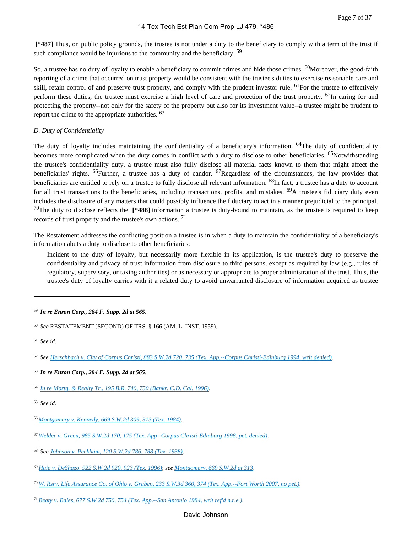**[\*487]** Thus, on public policy grounds, the trustee is not under a duty to the beneficiary to comply with a term of the trust if such compliance would be injurious to the community and the beneficiary. <sup>59</sup>

So, a trustee has no duty of loyalty to enable a beneficiary to commit crimes and hide those crimes. <sup>60</sup>Moreover, the good-faith reporting of a crime that occurred on trust property would be consistent with the trustee's duties to exercise reasonable care and skill, retain control of and preserve trust property, and comply with the prudent investor rule. <sup>61</sup>For the trustee to effectively perform these duties, the trustee must exercise a high level of care and protection of the trust property. <sup>62</sup>In caring for and protecting the property--not only for the safety of the property but also for its investment value--a trustee might be prudent to report the crime to the appropriate authorities. <sup>63</sup>

# *D. Duty of Confidentiality*

The duty of loyalty includes maintaining the confidentiality of a beneficiary's information. <sup>64</sup>The duty of confidentiality becomes more complicated when the duty comes in conflict with a duty to disclose to other beneficiaries. <sup>65</sup>Notwithstanding the trustee's confidentiality duty, a trustee must also fully disclose all material facts known to them that might affect the beneficiaries' rights. <sup>66</sup>Further, a trustee has a duty of candor. <sup>67</sup>Regardless of the circumstances, the law provides that beneficiaries are entitled to rely on a trustee to fully disclose all relevant information. <sup>68</sup>In fact, a trustee has a duty to account for all trust transactions to the beneficiaries, including transactions, profits, and mistakes. <sup>69</sup>A trustee's fiduciary duty even includes the disclosure of any matters that could possibly influence the fiduciary to act in a manner prejudicial to the principal. <sup>70</sup>The duty to disclose reflects the **[\*488]** information a trustee is duty-bound to maintain, as the trustee is required to keep records of trust property and the trustee's own actions. <sup>71</sup>

The Restatement addresses the conflicting position a trustee is in when a duty to maintain the confidentiality of a beneficiary's information abuts a duty to disclose to other beneficiaries:

Incident to the duty of loyalty, but necessarily more flexible in its application, is the trustee's duty to preserve the confidentiality and privacy of trust information from disclosure to third persons, except as required by law (e.g., rules of regulatory, supervisory, or taxing authorities) or as necessary or appropriate to proper administration of the trust. Thus, the trustee's duty of loyalty carries with it a related duty to avoid unwarranted disclosure of information acquired as trustee

<sup>63</sup>*In re Enron Corp., 284 F. Supp. 2d at 565*.

- <sup>66</sup>*[Montgomery v. Kennedy, 669 S.W.2d 309, 313 \(Tex. 1984\)](https://advance.lexis.com/api/document?collection=cases&id=urn:contentItem:3S3J-WDT0-003C-22SK-00000-00&context=1000516)*.
- <sup>67</sup>*[Welder v. Green, 985 S.W.2d 170, 175 \(Tex. App--Corpus Christi-Edinburg 1998, pet. denied\)](https://advance.lexis.com/api/document?collection=cases&id=urn:contentItem:3VB3-5580-0039-42F5-00000-00&context=1000516)*.
- <sup>68</sup>*See [Johnson v. Peckham, 120 S.W.2d 786, 788 \(Tex. 1938\)](https://advance.lexis.com/api/document?collection=cases&id=urn:contentItem:3RRS-HYV0-003D-P2FP-00000-00&context=1000516)*.
- <sup>69</sup>*[Huie v. DeShazo, 922 S.W.2d 920, 923 \(Tex. 1996\)](https://advance.lexis.com/api/document?collection=cases&id=urn:contentItem:3S3J-W4K0-003C-205S-00000-00&context=1000516)*; *see [Montgomery, 669 S.W.2d at 313](https://advance.lexis.com/api/document?collection=cases&id=urn:contentItem:3S3J-WDT0-003C-22SK-00000-00&context=1000516)*.
- <sup>70</sup>*[W. Rsrv. Life Assurance Co. of Ohio v. Graben, 233 S.W.3d 360, 374 \(Tex. App.--Fort Worth 2007, no pet.\)](https://advance.lexis.com/api/document?collection=cases&id=urn:contentItem:4P3N-6WT0-TXFW-X2HG-00000-00&context=1000516)*.

# David Johnson

<sup>59</sup>*In re Enron Corp., 284 F. Supp. 2d at 565*.

<sup>60</sup>*See* RESTATEMENT (SECOND) OF TRS. § 166 (AM. L. INST. 1959).

<sup>61</sup>*See id.*

<sup>62</sup>*See [Herschbach v. City of Corpus Christi, 883 S.W.2d 720, 735 \(Tex. App.--Corpus Christi-Edinburg 1994, writ denied\)](https://advance.lexis.com/api/document?collection=cases&id=urn:contentItem:3S3K-0S50-003C-20SV-00000-00&context=1000516)*.

<sup>64</sup>*[In re Mortg. & Realty Tr., 195 B.R. 740, 750 \(Bankr. C.D. Cal. 1996\)](https://advance.lexis.com/api/document?collection=cases&id=urn:contentItem:3S4V-MJ60-003B-X4B1-00000-00&context=1000516)*.

<sup>65</sup>*See id.*

<sup>71</sup>*[Beaty v. Bales, 677 S.W.2d 750, 754 \(Tex. App.--San Antonio 1984, writ ref'd n.r.e.\)](https://advance.lexis.com/api/document?collection=cases&id=urn:contentItem:3S3K-49R0-003C-24TN-00000-00&context=1000516)*.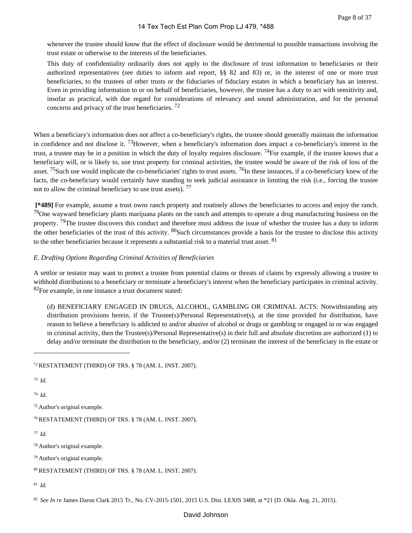whenever the trustee should know that the effect of disclosure would be detrimental to possible transactions involving the trust estate or otherwise to the interests of the beneficiaries.

This duty of confidentiality ordinarily does not apply to the disclosure of trust information to beneficiaries or their authorized representatives (see duties to inform and report, §§ 82 and 83) or, in the interest of one or more trust beneficiaries, to the trustees of other trusts or the fiduciaries of fiduciary estates in which a beneficiary has an interest. Even in providing information to or on behalf of beneficiaries, however, the trustee has a duty to act with sensitivity and, insofar as practical, with due regard for considerations of relevancy and sound administration, and for the personal concerns and privacy of the trust beneficiaries. <sup>72</sup>

When a beneficiary's information does not affect a co-beneficiary's rights, the trustee should generally maintain the information in confidence and not disclose it.  $^{73}$ However, when a beneficiary's information does impact a co-beneficiary's interest in the trust, a trustee may be in a position in which the duty of loyalty requires disclosure. <sup>74</sup>For example, if the trustee knows that a beneficiary will, or is likely to, use trust property for criminal activities, the trustee would be aware of the risk of loss of the asset. <sup>75</sup>Such use would implicate the co-beneficiaries' rights to trust assets.  $^{76}$ In these instances, if a co-beneficiary knew of the facts, the co-beneficiary would certainly have standing to seek judicial assistance in limiting the risk (i.e., forcing the trustee not to allow the criminal beneficiary to use trust assets).  $77$ 

 **[\*489]** For example, assume a trust owns ranch property and routinely allows the beneficiaries to access and enjoy the ranch.  $78$ One wayward beneficiary plants marijuana plants on the ranch and attempts to operate a drug manufacturing business on the property. <sup>79</sup>The trustee discovers this conduct and therefore must address the issue of whether the trustee has a duty to inform the other beneficiaries of the trust of this activity. <sup>80</sup>Such circumstances provide a basis for the trustee to disclose this activity to the other beneficiaries because it represents a substantial risk to a material trust asset. <sup>81</sup>

# *E. Drafting Options Regarding Criminal Activities of Beneficiaries*

A settlor or testator may want to protect a trustee from potential claims or threats of claims by expressly allowing a trustee to withhold distributions to a beneficiary or terminate a beneficiary's interest when the beneficiary participates in criminal activity. <sup>82</sup>For example, in one instance a trust document stated:

(d) BENEFICIARY ENGAGED IN DRUGS, ALCOHOL, GAMBLING OR CRIMINAL ACTS: Notwithstanding any distribution provisions herein, if the Trustee(s)/Personal Representative(s), at the time provided for distribution, have reason to believe a beneficiary is addicted to and/or abusive of alcohol or drugs or gambling or engaged in or was engaged in criminal activity, then the Trustee(s)/Personal Representative(s) in their full and absolute discretion are authorized (1) to delay and/or terminate the distribution to the beneficiary, and/or (2) terminate the interest of the beneficiary in the estate or

<sup>72</sup>RESTATEMENT (THIRD) OF TRS. § 78 (AM. L. INST. 2007).

<sup>73</sup>*Id.*

<sup>74</sup>*Id.*

<sup>75</sup>Author's original example.

<sup>76</sup>RESTATEMENT (THIRD) OF TRS. § 78 (AM. L. INST. 2007).

<sup>77</sup>*Id.*

<sup>78</sup>Author's original example.

<sup>79</sup>Author's original example.

- <sup>80</sup>RESTATEMENT (THIRD) OF TRS. § 78 (AM. L. INST. 2007).
- <sup>81</sup>*Id.*

<sup>82</sup>*See In re* James Daron Clark 2015 Tr., No. CV-2015-1501, 2015 U.S. Dist. LEXIS 3488, at \*21 (D. Okla. Aug. 21, 2015).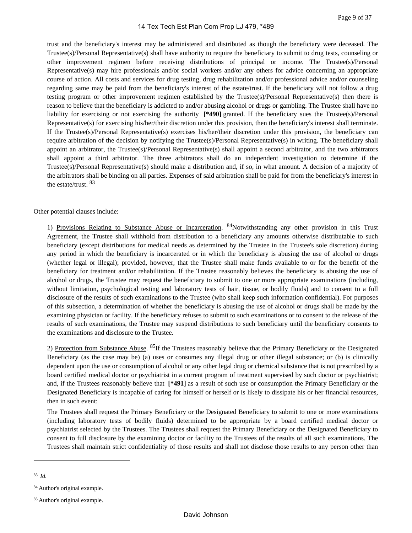trust and the beneficiary's interest may be administered and distributed as though the beneficiary were deceased. The Trustee(s)/Personal Representative(s) shall have authority to require the beneficiary to submit to drug tests, counseling or other improvement regimen before receiving distributions of principal or income. The Trustee(s)/Personal Representative(s) may hire professionals and/or social workers and/or any others for advice concerning an appropriate course of action. All costs and services for drug testing, drug rehabilitation and/or professional advice and/or counseling regarding same may be paid from the beneficiary's interest of the estate/trust. If the beneficiary will not follow a drug testing program or other improvement regimen established by the Trustee(s)/Personal Representative(s) then there is reason to believe that the beneficiary is addicted to and/or abusing alcohol or drugs or gambling. The Trustee shall have no liability for exercising or not exercising the authority **[\*490]** granted. If the beneficiary sues the Trustee(s)/Personal Representative(s) for exercising his/her/their discretion under this provision, then the beneficiary's interest shall terminate. If the Trustee(s)/Personal Representative(s) exercises his/her/their discretion under this provision, the beneficiary can require arbitration of the decision by notifying the Trustee(s)/Personal Representative(s) in writing. The beneficiary shall appoint an arbitrator, the Trustee(s)/Personal Representative(s) shall appoint a second arbitrator, and the two arbitrators shall appoint a third arbitrator. The three arbitrators shall do an independent investigation to determine if the Trustee(s)/Personal Representative(s) should make a distribution and, if so, in what amount. A decision of a majority of the arbitrators shall be binding on all parties. Expenses of said arbitration shall be paid for from the beneficiary's interest in the estate/trust. <sup>83</sup>

#### Other potential clauses include:

1) Provisions Relating to Substance Abuse or Incarceration. <sup>84</sup>Notwithstanding any other provision in this Trust Agreement, the Trustee shall withhold from distribution to a beneficiary any amounts otherwise distributable to such beneficiary (except distributions for medical needs as determined by the Trustee in the Trustee's sole discretion) during any period in which the beneficiary is incarcerated or in which the beneficiary is abusing the use of alcohol or drugs (whether legal or illegal); provided, however, that the Trustee shall make funds available to or for the benefit of the beneficiary for treatment and/or rehabilitation. If the Trustee reasonably believes the beneficiary is abusing the use of alcohol or drugs, the Trustee may request the beneficiary to submit to one or more appropriate examinations (including, without limitation, psychological testing and laboratory tests of hair, tissue, or bodily fluids) and to consent to a full disclosure of the results of such examinations to the Trustee (who shall keep such information confidential). For purposes of this subsection, a determination of whether the beneficiary is abusing the use of alcohol or drugs shall be made by the examining physician or facility. If the beneficiary refuses to submit to such examinations or to consent to the release of the results of such examinations, the Trustee may suspend distributions to such beneficiary until the beneficiary consents to the examinations and disclosure to the Trustee.

2) Protection from Substance Abuse. 85If the Trustees reasonably believe that the Primary Beneficiary or the Designated Beneficiary (as the case may be) (a) uses or consumes any illegal drug or other illegal substance; or (b) is clinically dependent upon the use or consumption of alcohol or any other legal drug or chemical substance that is not prescribed by a board certified medical doctor or psychiatrist in a current program of treatment supervised by such doctor or psychiatrist; and, if the Trustees reasonably believe that **[\*491]** as a result of such use or consumption the Primary Beneficiary or the Designated Beneficiary is incapable of caring for himself or herself or is likely to dissipate his or her financial resources, then in such event:

The Trustees shall request the Primary Beneficiary or the Designated Beneficiary to submit to one or more examinations (including laboratory tests of bodily fluids) determined to be appropriate by a board certified medical doctor or psychiatrist selected by the Trustees. The Trustees shall request the Primary Beneficiary or the Designated Beneficiary to consent to full disclosure by the examining doctor or facility to the Trustees of the results of all such examinations. The Trustees shall maintain strict confidentiality of those results and shall not disclose those results to any person other than

<sup>83</sup>*Id.*

<sup>84</sup>Author's original example.

<sup>85</sup>Author's original example.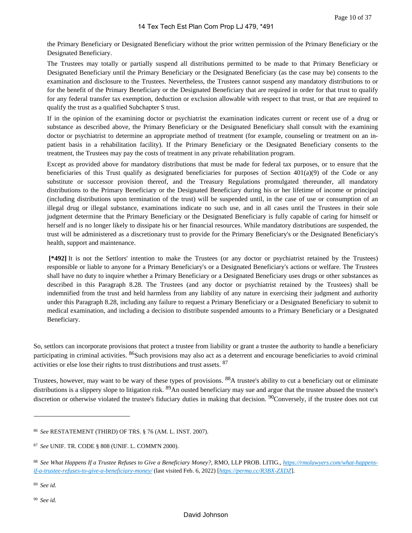the Primary Beneficiary or Designated Beneficiary without the prior written permission of the Primary Beneficiary or the Designated Beneficiary.

The Trustees may totally or partially suspend all distributions permitted to be made to that Primary Beneficiary or Designated Beneficiary until the Primary Beneficiary or the Designated Beneficiary (as the case may be) consents to the examination and disclosure to the Trustees. Nevertheless, the Trustees cannot suspend any mandatory distributions to or for the benefit of the Primary Beneficiary or the Designated Beneficiary that are required in order for that trust to qualify for any federal transfer tax exemption, deduction or exclusion allowable with respect to that trust, or that are required to qualify the trust as a qualified Subchapter S trust.

If in the opinion of the examining doctor or psychiatrist the examination indicates current or recent use of a drug or substance as described above, the Primary Beneficiary or the Designated Beneficiary shall consult with the examining doctor or psychiatrist to determine an appropriate method of treatment (for example, counseling or treatment on an inpatient basis in a rehabilitation facility). If the Primary Beneficiary or the Designated Beneficiary consents to the treatment, the Trustees may pay the costs of treatment in any private rehabilitation program.

Except as provided above for mandatory distributions that must be made for federal tax purposes, or to ensure that the beneficiaries of this Trust qualify as designated beneficiaries for purposes of Section 401(a)(9) of the Code or any substitute or successor provision thereof, and the Treasury Regulations promulgated thereunder, all mandatory distributions to the Primary Beneficiary or the Designated Beneficiary during his or her lifetime of income or principal (including distributions upon termination of the trust) will be suspended until, in the case of use or consumption of an illegal drug or illegal substance, examinations indicate no such use, and in all cases until the Trustees in their sole judgment determine that the Primary Beneficiary or the Designated Beneficiary is fully capable of caring for himself or herself and is no longer likely to dissipate his or her financial resources. While mandatory distributions are suspended, the trust will be administered as a discretionary trust to provide for the Primary Beneficiary's or the Designated Beneficiary's health, support and maintenance.

 **[\*492]** It is not the Settlors' intention to make the Trustees (or any doctor or psychiatrist retained by the Trustees) responsible or liable to anyone for a Primary Beneficiary's or a Designated Beneficiary's actions or welfare. The Trustees shall have no duty to inquire whether a Primary Beneficiary or a Designated Beneficiary uses drugs or other substances as described in this Paragraph 8.28. The Trustees (and any doctor or psychiatrist retained by the Trustees) shall be indemnified from the trust and held harmless from any liability of any nature in exercising their judgment and authority under this Paragraph 8.28, including any failure to request a Primary Beneficiary or a Designated Beneficiary to submit to medical examination, and including a decision to distribute suspended amounts to a Primary Beneficiary or a Designated Beneficiary.

So, settlors can incorporate provisions that protect a trustee from liability or grant a trustee the authority to handle a beneficiary participating in criminal activities. <sup>86</sup>Such provisions may also act as a deterrent and encourage beneficiaries to avoid criminal activities or else lose their rights to trust distributions and trust assets. <sup>87</sup>

Trustees, however, may want to be wary of these types of provisions. <sup>88</sup>A trustee's ability to cut a beneficiary out or eliminate distributions is a slippery slope to litigation risk. <sup>89</sup>An ousted beneficiary may sue and argue that the trustee abused the trustee's discretion or otherwise violated the trustee's fiduciary duties in making that decision. <sup>90</sup>Conversely, if the trustee does not cut

<sup>86</sup>*See* RESTATEMENT (THIRD) OF TRS. § 76 (AM. L. INST. 2007).

<sup>87</sup>*See* UNIF. TR. CODE § 808 (UNIF. L. COMM'N 2000).

<sup>88</sup> *See What Happens If a Trustee Refuses to Give a Beneficiary Money?*, RMO, LLP PROB. LITIG., *[https://rmolawyers.com/what-happens](https://rmolawyers.com/what-happens-if-a-trustee-refuses-to-give-a-beneficiary-money/)[if-a-trustee-refuses-to-give-a-beneficiary-money/](https://rmolawyers.com/what-happens-if-a-trustee-refuses-to-give-a-beneficiary-money/)* (last visited Feb. 6, 2022) [*<https://perma.cc/R3BX-ZXDZ>*].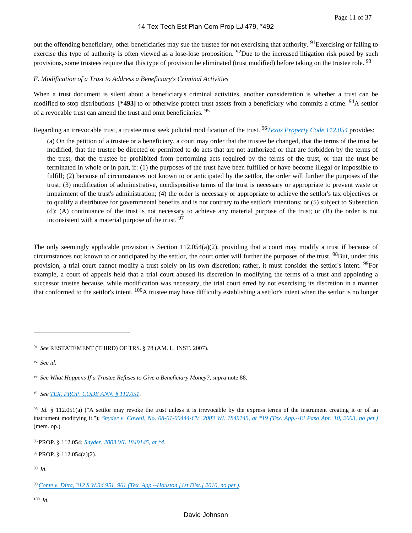out the offending beneficiary, other beneficiaries may sue the trustee for not exercising that authority. <sup>91</sup>Exercising or failing to exercise this type of authority is often viewed as a lose-lose proposition.  $92$ Due to the increased litigation risk posed by such provisions, some trustees require that this type of provision be eliminated (trust modified) before taking on the trustee role. <sup>93</sup>

# *F. Modification of a Trust to Address a Beneficiary's Criminal Activities*

When a trust document is silent about a beneficiary's criminal activities, another consideration is whether a trust can be modified to stop distributions **[\*493]** to or otherwise protect trust assets from a beneficiary who commits a crime. 94A settlor of a revocable trust can amend the trust and omit beneficiaries. <sup>95</sup>

Regarding an irrevocable trust, a trustee must seek judicial modification of the trust. 96*[Texas Property Code 112.054](https://advance.lexis.com/api/document?collection=statutes-legislation&id=urn:contentItem:8VRV-CT72-8T6X-733W-00000-00&context=1000516)* provides:

(a) On the petition of a trustee or a beneficiary, a court may order that the trustee be changed, that the terms of the trust be modified, that the trustee be directed or permitted to do acts that are not authorized or that are forbidden by the terms of the trust, that the trustee be prohibited from performing acts required by the terms of the trust, or that the trust be terminated in whole or in part, if: (1) the purposes of the trust have been fulfilled or have become illegal or impossible to fulfill; (2) because of circumstances not known to or anticipated by the settlor, the order will further the purposes of the trust; (3) modification of administrative, nondispositive terms of the trust is necessary or appropriate to prevent waste or impairment of the trust's administration; (4) the order is necessary or appropriate to achieve the settlor's tax objectives or to qualify a distributee for governmental benefits and is not contrary to the settlor's intentions; or (5) subject to Subsection (d): (A) continuance of the trust is not necessary to achieve any material purpose of the trust; or (B) the order is not inconsistent with a material purpose of the trust. <sup>97</sup>

The only seemingly applicable provision is Section  $112.054(a)(2)$ , providing that a court may modify a trust if because of circumstances not known to or anticipated by the settlor, the court order will further the purposes of the trust. <sup>98</sup>But, under this provision, a trial court cannot modify a trust solely on its own discretion; rather, it must consider the settlor's intent. <sup>99</sup>For example, a court of appeals held that a trial court abused its discretion in modifying the terms of a trust and appointing a successor trustee because, while modification was necessary, the trial court erred by not exercising its discretion in a manner that conformed to the settlor's intent. <sup>100</sup>A trustee may have difficulty establishing a settlor's intent when the settlor is no longer

<sup>94</sup>*See [TEX. PROP. CODE ANN. § 112.051](https://advance.lexis.com/api/document?collection=statutes-legislation&id=urn:contentItem:5DDJ-C7H1-JW8X-V4DK-00000-00&context=1000516)*.

<sup>97</sup>PROP. § 112.054(a)(2).

<sup>98</sup>*Id.*

<sup>100</sup>*Id.*

<sup>91</sup>*See* RESTATEMENT (THIRD) OF TRS. § 78 (AM. L. INST. 2007).

<sup>92</sup>*See id.*

<sup>93</sup>*See What Happens If a Trustee Refuses to Give a Beneficiary Money?, supra* note 88.

<sup>&</sup>lt;sup>95</sup> Id. § 112.051(a) ("A settlor may revoke the trust unless it is irrevocable by the express terms of the instrument creating it or of an instrument modifying it."); *[Snyder v. Cowell, No. 08-01-00444-CV, 2003 WL 1849145, at \\*19 \(Tex. App.--El Paso Apr. 10, 2003, no pet.\)](https://advance.lexis.com/api/document?collection=cases&id=urn:contentItem:48BK-CMM0-0039-4469-00000-00&context=1000516)* (mem. op.).

<sup>96</sup>PROP. § 112.054; *[Snyder, 2003 WL 1849145, at \\*4](https://advance.lexis.com/api/document?collection=cases&id=urn:contentItem:48BK-CMM0-0039-4469-00000-00&context=1000516)*.

<sup>99</sup>*[Conte v. Ditta, 312 S.W.3d 951, 961 \(Tex. App.--Houston \[1st Dist.\] 2010, no pet.\)](https://advance.lexis.com/api/document?collection=cases&id=urn:contentItem:7Y43-HS80-YB0V-615V-00000-00&context=1000516)*.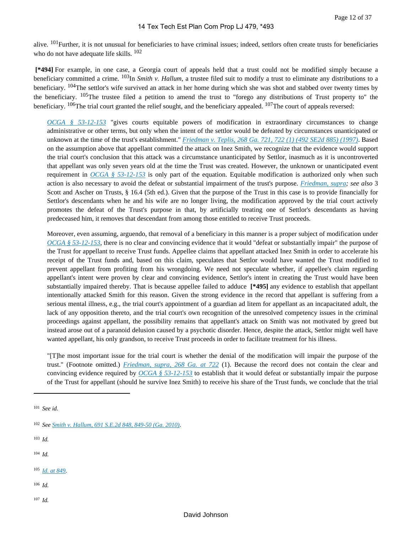alive. <sup>101</sup>Further, it is not unusual for beneficiaries to have criminal issues; indeed, settlors often create trusts for beneficiaries who do not have adequate life skills. <sup>102</sup>

 **[\*494]** For example, in one case, a Georgia court of appeals held that a trust could not be modified simply because a beneficiary committed a crime. 103In *Smith v. Hallum*, a trustee filed suit to modify a trust to eliminate any distributions to a beneficiary. <sup>104</sup>The settlor's wife survived an attack in her home during which she was shot and stabbed over twenty times by the beneficiary.  $105$ The trustee filed a petition to amend the trust to "forego any distributions of Trust property to" the beneficiary.  $^{106}$ The trial court granted the relief sought, and the beneficiary appealed.  $^{107}$ The court of appeals reversed:

*[OCGA § 53-12-153](https://advance.lexis.com/api/document?collection=statutes-legislation&id=urn:contentItem:6348-G171-DYB7-W02N-00000-00&context=1000516)* "gives courts equitable powers of modification in extraordinary circumstances to change administrative or other terms, but only when the intent of the settlor would be defeated by circumstances unanticipated or unknown at the time of the trust's establishment." *[Friedman v. Teplis, 268 Ga. 721, 722 \(1\) \(492 SE2d 885\) \(1997\)](https://advance.lexis.com/api/document?collection=cases&id=urn:contentItem:3S5J-7TR0-0039-43BH-00000-00&context=1000516)*. Based on the assumption above that appellant committed the attack on Inez Smith, we recognize that the evidence would support the trial court's conclusion that this attack was a circumstance unanticipated by Settlor, inasmuch as it is uncontroverted that appellant was only seven years old at the time the Trust was created. However, the unknown or unanticipated event requirement in *[OCGA § 53-12-153](https://advance.lexis.com/api/document?collection=statutes-legislation&id=urn:contentItem:6348-G171-DYB7-W02N-00000-00&context=1000516)* is only part of the equation. Equitable modification is authorized only when such action is also necessary to avoid the defeat or substantial impairment of the trust's purpose. *[Friedman, supra;](https://advance.lexis.com/api/document?collection=cases&id=urn:contentItem:3S5J-7TR0-0039-43BH-00000-00&context=1000516) see also* 3 Scott and Ascher on Trusts, § 16.4 (5th ed.). Given that the purpose of the Trust in this case is to provide financially for Settlor's descendants when he and his wife are no longer living, the modification approved by the trial court actively promotes the defeat of the Trust's purpose in that, by artificially treating one of Settlor's descendants as having predeceased him, it removes that descendant from among those entitled to receive Trust proceeds.

Moreover, even assuming, arguendo, that removal of a beneficiary in this manner is a proper subject of modification under *[OCGA § 53-12-153](https://advance.lexis.com/api/document?collection=statutes-legislation&id=urn:contentItem:6348-G171-DYB7-W02N-00000-00&context=1000516)*, there is no clear and convincing evidence that it would "defeat or substantially impair" the purpose of the Trust for appellant to receive Trust funds. Appellee claims that appellant attacked Inez Smith in order to accelerate his receipt of the Trust funds and, based on this claim, speculates that Settlor would have wanted the Trust modified to prevent appellant from profiting from his wrongdoing. We need not speculate whether, if appellee's claim regarding appellant's intent were proven by clear and convincing evidence, Settlor's intent in creating the Trust would have been substantially impaired thereby. That is because appellee failed to adduce **[\*495]** any evidence to establish that appellant intentionally attacked Smith for this reason. Given the strong evidence in the record that appellant is suffering from a serious mental illness, e.g., the trial court's appointment of a guardian ad litem for appellant as an incapacitated adult, the lack of any opposition thereto, and the trial court's own recognition of the unresolved competency issues in the criminal proceedings against appellant, the possibility remains that appellant's attack on Smith was not motivated by greed but instead arose out of a paranoid delusion caused by a psychotic disorder. Hence, despite the attack, Settlor might well have wanted appellant, his only grandson, to receive Trust proceeds in order to facilitate treatment for his illness.

"[T]he most important issue for the trial court is whether the denial of the modification will impair the purpose of the trust." (Footnote omitted.) *[Friedman, supra, 268 Ga. at 722](https://advance.lexis.com/api/document?collection=cases&id=urn:contentItem:3S5J-7TR0-0039-43BH-00000-00&context=1000516)* (1). Because the record does not contain the clear and convincing evidence required by *[OCGA § 53-12-153](https://advance.lexis.com/api/document?collection=statutes-legislation&id=urn:contentItem:6348-G171-DYB7-W02N-00000-00&context=1000516)* to establish that it would defeat or substantially impair the purpose of the Trust for appellant (should he survive Inez Smith) to receive his share of the Trust funds, we conclude that the trial

- <sup>103</sup>*Id.*
- <sup>104</sup>*Id.*
- <sup>105</sup>*[Id. at 849](https://advance.lexis.com/api/document?collection=cases&id=urn:contentItem:7XX5-HNN0-YB0P-P00J-00000-00&context=1000516)*.
- <sup>106</sup>*Id.*
- <sup>107</sup>*Id.*

<sup>101</sup>*See id.*

<sup>102</sup>*See [Smith v. Hallum, 691 S.E.2d 848, 849-50 \(Ga. 2010\)](https://advance.lexis.com/api/document?collection=cases&id=urn:contentItem:7XX5-HNN0-YB0P-P00J-00000-00&context=1000516)*.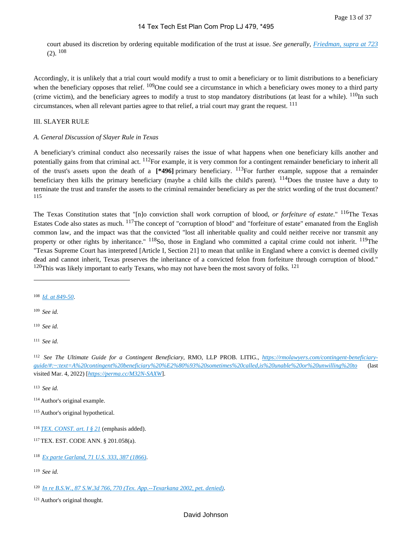court abused its discretion by ordering equitable modification of the trust at issue. *See generally, [Friedman, supra at 723](https://advance.lexis.com/api/document?collection=cases&id=urn:contentItem:3S5J-7TR0-0039-43BH-00000-00&context=1000516)*  $(2)$ ,  $108$ 

Accordingly, it is unlikely that a trial court would modify a trust to omit a beneficiary or to limit distributions to a beneficiary when the beneficiary opposes that relief.  $109$ One could see a circumstance in which a beneficiary owes money to a third party (crime victim), and the beneficiary agrees to modify a trust to stop mandatory distributions (at least for a while).  $^{110}$ In such circumstances, when all relevant parties agree to that relief, a trial court may grant the request.  $^{111}$ 

#### III. SLAYER RULE

#### *A. General Discussion of Slayer Rule in Texas*

A beneficiary's criminal conduct also necessarily raises the issue of what happens when one beneficiary kills another and potentially gains from that criminal act. <sup>112</sup>For example, it is very common for a contingent remainder beneficiary to inherit all of the trust's assets upon the death of a **[\*496]** primary beneficiary. 113For further example, suppose that a remainder beneficiary then kills the primary beneficiary (maybe a child kills the child's parent).  $^{114}$ Does the trustee have a duty to terminate the trust and transfer the assets to the criminal remainder beneficiary as per the strict wording of the trust document? 115

The Texas Constitution states that "[n]o conviction shall work corruption of blood, *or forfeiture of estate*." 116The Texas Estates Code also states as much. 117The concept of "corruption of blood" and "forfeiture of estate" emanated from the English common law, and the impact was that the convicted "lost all inheritable quality and could neither receive nor transmit any property or other rights by inheritance."  $^{118}$ So, those in England who committed a capital crime could not inherit.  $^{119}$ The "Texas Supreme Court has interpreted [Article I, Section 21] to mean that unlike in England where a convict is deemed civilly dead and cannot inherit, Texas preserves the inheritance of a convicted felon from forfeiture through corruption of blood."  $120$ This was likely important to early Texans, who may not have been the most savory of folks.  $121$ 

<sup>108</sup>*[Id. at 849-50](https://advance.lexis.com/api/document?collection=cases&id=urn:contentItem:7XX5-HNN0-YB0P-P00J-00000-00&context=1000516)*.

<sup>109</sup>*See id.*

<sup>110</sup>*See id.*

<sup>111</sup>*See id.*

112 *See The Ultimate Guide for a Contingent Beneficiary*, RMO, LLP PROB. LITIG., *[https://rmolawyers.com/contingent-beneficiary](https://rmolawyers.com/contingent-beneficiary-guide/#)[guide/#:~:text=A%20contingent%20beneficiary%20%E2%80%93%20sometimes%20called,is%20unable%20or%20unwilling%20to](https://rmolawyers.com/contingent-beneficiary-guide/#)* (last visited Mar. 4, 2022) [*<https://perma.cc/M32N-SAXW>*].

<sup>113</sup>*See id.*

<sup>114</sup>Author's original example.

<sup>115</sup>Author's original hypothetical.

<sup>116</sup>*[TEX. CONST. art. I § 21](https://advance.lexis.com/api/document?collection=statutes-legislation&id=urn:contentItem:5DF0-03X1-JW8X-V16H-00000-00&context=1000516)* (emphasis added).

<sup>117</sup>TEX. EST. CODE ANN. § 201.058(a).

<sup>118</sup>*[Ex parte Garland, 71 U.S. 333, 387 \(1866\)](https://advance.lexis.com/api/document?collection=cases&id=urn:contentItem:3S4X-JW00-003B-H2B1-00000-00&context=1000516)*.

<sup>120</sup>*[In re B.S.W., 87 S.W.3d 766, 770 \(Tex. App.--Texarkana 2002, pet. denied\)](https://advance.lexis.com/api/document?collection=cases&id=urn:contentItem:46SW-Y6X0-0039-4027-00000-00&context=1000516)*.

<sup>121</sup>Author's original thought.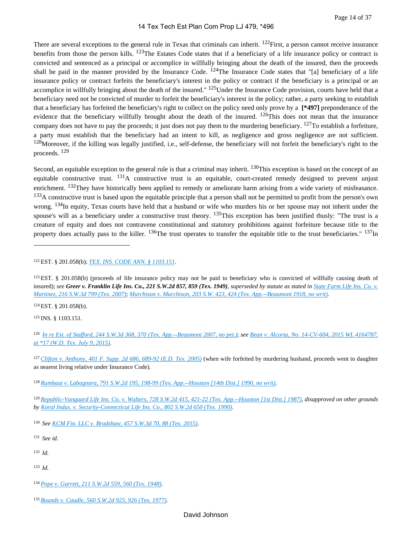There are several exceptions to the general rule in Texas that criminals can inherit. <sup>122</sup>First, a person cannot receive insurance benefits from those the person kills. <sup>123</sup>The Estates Code states that if a beneficiary of a life insurance policy or contract is convicted and sentenced as a principal or accomplice in willfully bringing about the death of the insured, then the proceeds shall be paid in the manner provided by the Insurance Code.  $124$ The Insurance Code states that "[a] beneficiary of a life insurance policy or contract forfeits the beneficiary's interest in the policy or contract if the beneficiary is a principal or an accomplice in willfully bringing about the death of the insured."  $^{125}$ Under the Insurance Code provision, courts have held that a beneficiary need not be convicted of murder to forfeit the beneficiary's interest in the policy; rather, a party seeking to establish that a beneficiary has forfeited the beneficiary's right to collect on the policy need only prove by a **[\*497]** preponderance of the evidence that the beneficiary willfully brought about the death of the insured.  $^{126}$ This does not mean that the insurance company does not have to pay the proceeds; it just does not pay them to the murdering beneficiary.  $127$ To establish a forfeiture, a party must establish that the beneficiary had an intent to kill, as negligence and gross negligence are not sufficient.  $128$ Moreover, if the killing was legally justified, i.e., self-defense, the beneficiary will not forfeit the beneficiary's right to the proceeds. <sup>129</sup>

Second, an equitable exception to the general rule is that a criminal may inherit. <sup>130</sup>This exception is based on the concept of an equitable constructive trust.  $^{131}$ A constructive trust is an equitable, court-created remedy designed to prevent unjust enrichment. <sup>132</sup>They have historically been applied to remedy or ameliorate harm arising from a wide variety of misfeasance. <sup>133</sup>A constructive trust is based upon the equitable principle that a person shall not be permitted to profit from the person's own wrong.  $134$ In equity, Texas courts have held that a husband or wife who murders his or her spouse may not inherit under the spouse's will as a beneficiary under a constructive trust theory.  $^{135}$ This exception has been justified thusly: "The trust is a creature of equity and does not contravene constitutional and statutory prohibitions against forfeiture because title to the property does actually pass to the killer.  $^{136}$ The trust operates to transfer the equitable title to the trust beneficiaries."  $^{137}$ In

<sup>123</sup>EST. § 201.058(b) (proceeds of life insurance policy may not be paid to beneficiary who is convicted of willfully causing death of insured); *see Greer v. Franklin Life Ins. Co., 221 S.W.2d 857, 859 (Tex. 1949)*, *superseded by statute as stated in [State Farm Life Ins. Co. v.](https://advance.lexis.com/api/document?collection=cases&id=urn:contentItem:4N16-7GT0-0039-44B6-00000-00&context=1000516)  [Martinez, 216 S.W.3d 799 \(Tex. 2007\)](https://advance.lexis.com/api/document?collection=cases&id=urn:contentItem:4N16-7GT0-0039-44B6-00000-00&context=1000516)*; *[Murchison v. Murchison, 203 S.W. 423, 424 \(Tex. App.--Beaumont 1918, no writ\)](https://advance.lexis.com/api/document?collection=cases&id=urn:contentItem:3VWF-BF50-00KR-C0KX-00000-00&context=1000516)*.

<sup>124</sup>EST. § 201.058(b).

<sup>125</sup>INS. § 1103.151.

<sup>126</sup>*[In re Est. of Stafford, 244 S.W.3d 368, 370 \(Tex. App.--Beaumont 2007, no pet.\)](https://advance.lexis.com/api/document?collection=cases&id=urn:contentItem:4RM6-M1P0-TX4N-G17B-00000-00&context=1000516)*; *see [Bean v. Alcorta, No. 14-CV-604, 2015 WL 4164787,](https://advance.lexis.com/api/document?collection=cases&id=urn:contentItem:5GD7-HJG1-F04F-C165-00000-00&context=1000516)  [at \\*17 \(W.D. Tex. July 9, 2015\)](https://advance.lexis.com/api/document?collection=cases&id=urn:contentItem:5GD7-HJG1-F04F-C165-00000-00&context=1000516)*.

<sup>127</sup>*[Clifton v. Anthony, 401 F. Supp. 2d 686, 689-92 \(E.D. Tex. 2005\)](https://advance.lexis.com/api/document?collection=cases&id=urn:contentItem:4HMG-H7R0-TVX1-B2XJ-00000-00&context=1000516)* (when wife forfeited by murdering husband, proceeds went to daughter as nearest living relative under Insurance Code).

<sup>129</sup>*[Republic-Vanguard Life Ins. Co. v. Walters, 728 S.W.2d 415, 421-22 \(Tex. App.--Houston \[1st Dist.\] 1987\)](https://advance.lexis.com/api/document?collection=cases&id=urn:contentItem:3S3K-3HY0-003C-2053-00000-00&context=1000516)*, *disapproved on other grounds by [Koral Indus. v. Security-Connecticut Life Ins. Co., 802 S.W.2d 650 \(Tex. 1990\)](https://advance.lexis.com/api/document?collection=cases&id=urn:contentItem:3S3J-W9B0-003C-217X-00000-00&context=1000516)*.

<sup>130</sup>*See [KCM Fin. LLC v. Bradshaw, 457 S.W.3d 70, 88 \(Tex. 2015\)](https://advance.lexis.com/api/document?collection=cases&id=urn:contentItem:5FFJ-X7F1-F04K-D077-00000-00&context=1000516)*.

- <sup>132</sup>*Id.*
- <sup>133</sup>*Id.*

<sup>122</sup>EST. § 201.058(b); *[TEX. INS. CODE ANN. § 1103.151](https://advance.lexis.com/api/document?collection=statutes-legislation&id=urn:contentItem:5DDJ-BWS1-6MP4-00DM-00000-00&context=1000516)*.

<sup>128</sup>*[Rumbaut v. Labagnara, 791 S.W.2d 195, 198-99 \(Tex. App.--Houston \[14th Dist.\] 1990, no writ\)](https://advance.lexis.com/api/document?collection=cases&id=urn:contentItem:3S3K-2F30-003C-231V-00000-00&context=1000516)*.

<sup>134</sup>*[Pope v. Garrett, 211 S.W.2d 559, 560 \(Tex. 1948\)](https://advance.lexis.com/api/document?collection=cases&id=urn:contentItem:3RRS-HNK0-003D-P0PR-00000-00&context=1000516)*.

<sup>135</sup>*[Bounds v. Caudle, 560 S.W.2d 925, 926 \(Tex. 1977\)](https://advance.lexis.com/api/document?collection=cases&id=urn:contentItem:3S3J-WJ20-003C-23V1-00000-00&context=1000516)*.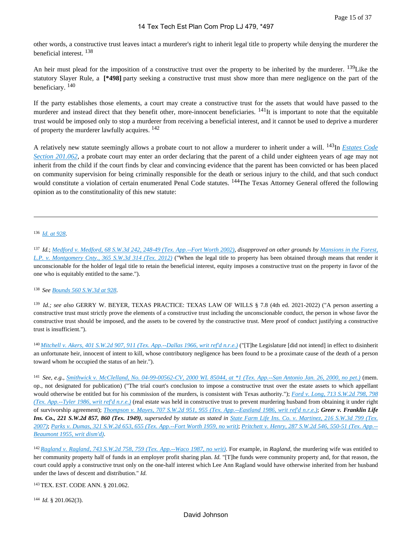other words, a constructive trust leaves intact a murderer's right to inherit legal title to property while denying the murderer the beneficial interest. <sup>138</sup>

An heir must plead for the imposition of a constructive trust over the property to be inherited by the murderer. <sup>139</sup>Like the statutory Slayer Rule, a **[\*498]** party seeking a constructive trust must show more than mere negligence on the part of the beneficiary. <sup>140</sup>

If the party establishes those elements, a court may create a constructive trust for the assets that would have passed to the murderer and instead direct that they benefit other, more-innocent beneficiaries. <sup>141</sup>It is important to note that the equitable trust would be imposed only to stop a murderer from receiving a beneficial interest, and it cannot be used to deprive a murderer of property the murderer lawfully acquires. <sup>142</sup>

A relatively new statute seemingly allows a probate court to not allow a murderer to inherit under a will. 143In *[Estates Code](https://advance.lexis.com/api/document?collection=statutes-legislation&id=urn:contentItem:5DDJ-BK51-6MP4-0142-00000-00&context=1000516)  [Section 201.062](https://advance.lexis.com/api/document?collection=statutes-legislation&id=urn:contentItem:5DDJ-BK51-6MP4-0142-00000-00&context=1000516)*, a probate court may enter an order declaring that the parent of a child under eighteen years of age may not inherit from the child if the court finds by clear and convincing evidence that the parent has been convicted or has been placed on community supervision for being criminally responsible for the death or serious injury to the child, and that such conduct would constitute a violation of certain enumerated Penal Code statutes. <sup>144</sup>The Texas Attorney General offered the following opinion as to the constitutionality of this new statute:

<sup>136</sup>*[Id. at 928](https://advance.lexis.com/api/document?collection=cases&id=urn:contentItem:3S3J-WJ20-003C-23V1-00000-00&context=1000516)*.

<sup>137</sup>*Id.*; *[Medford v. Medford, 68 S.W.3d 242, 248-49 \(Tex. App.--Fort Worth 2002\)](https://advance.lexis.com/api/document?collection=cases&id=urn:contentItem:452P-J1R0-0039-427N-00000-00&context=1000516)*, *disapproved on other grounds by [Mansions in the Forest,](https://advance.lexis.com/api/document?collection=cases&id=urn:contentItem:55FN-BTS1-F04K-D01Y-00000-00&context=1000516)  [L.P. v. Montgomery Cnty., 365 S.W.3d 314 \(Tex. 2012\)](https://advance.lexis.com/api/document?collection=cases&id=urn:contentItem:55FN-BTS1-F04K-D01Y-00000-00&context=1000516)* ("When the legal title to property has been obtained through means that render it unconscionable for the holder of legal title to retain the beneficial interest, equity imposes a constructive trust on the property in favor of the one who is equitably entitled to the same.").

<sup>138</sup>*See [Bounds 560 S.W.3d at 928](https://advance.lexis.com/api/document?collection=cases&id=urn:contentItem:5TSJ-T481-JGHR-M4FJ-00000-00&context=1000516)*.

<sup>139</sup>*Id.; see also* GERRY W. BEYER, TEXAS PRACTICE: TEXAS LAW OF WILLS § 7.8 (4th ed. 2021-2022) ("A person asserting a constructive trust must strictly prove the elements of a constructive trust including the unconscionable conduct, the person in whose favor the constructive trust should be imposed, and the assets to be covered by the constructive trust. Mere proof of conduct justifying a constructive trust is insufficient.").

<sup>140</sup>*[Mitchell v. Akers, 401 S.W.2d 907, 911 \(Tex. App.--Dallas 1966, writ ref'd n.r.e.\)](https://advance.lexis.com/api/document?collection=cases&id=urn:contentItem:3RRH-DH80-003C-50HT-00000-00&context=1000516)* ("[T]he Legislature [did not intend] in effect to disinherit an unfortunate heir, innocent of intent to kill, whose contributory negligence has been found to be a proximate cause of the death of a person toward whom he occupied the status of an heir.").

<sup>141</sup>*See, e.g.*, *[Smithwick v. McClelland, No. 04-99-00562-CV, 2000 WL 85044, at \\*1 \(Tex. App.--San Antonio Jan. 26, 2000, no pet.\)](https://advance.lexis.com/api/document?collection=cases&id=urn:contentItem:3YDX-4RW0-0039-444J-00000-00&context=1000516)* (mem. op., not designated for publication) ("The trial court's conclusion to impose a constructive trust over the estate assets to which appellant would otherwise be entitled but for his commission of the murders, is consistent with Texas authority."); *[Ford v. Long, 713 S.W.2d 798, 798](https://advance.lexis.com/api/document?collection=cases&id=urn:contentItem:3S3K-3RT0-003C-22N3-00000-00&context=1000516)  [\(Tex. App.--Tyler 1986, writ ref'd n.r.e.\)](https://advance.lexis.com/api/document?collection=cases&id=urn:contentItem:3S3K-3RT0-003C-22N3-00000-00&context=1000516)* (real estate was held in constructive trust to prevent murdering husband from obtaining it under right of survivorship agreement); *[Thompson v. Mayes, 707 S.W.2d 951, 955 \(Tex. App.--Eastland 1986, writ ref'd n.r.e.\)](https://advance.lexis.com/api/document?collection=cases&id=urn:contentItem:3S3K-3VV0-003C-2401-00000-00&context=1000516)*; *Greer v. Franklin Life Ins. Co., 221 S.W.2d 857, 860 (Tex. 1949)*, *superseded by statute as stated in [State Farm Life Ins. Co. v. Martinez, 216 S.W.3d 799 \(Tex.](https://advance.lexis.com/api/document?collection=cases&id=urn:contentItem:4N16-7GT0-0039-44B6-00000-00&context=1000516)  [2007\)](https://advance.lexis.com/api/document?collection=cases&id=urn:contentItem:4N16-7GT0-0039-44B6-00000-00&context=1000516)*; *[Parks v. Dumas, 321 S.W.2d 653, 655 \(Tex. App.--Fort Worth 1959, no writ\)](https://advance.lexis.com/api/document?collection=cases&id=urn:contentItem:3S11-T980-003D-R21B-00000-00&context=1000516)*; *[Pritchett v. Henry, 287 S.W.2d 546, 550-51 \(Tex. App.--](https://advance.lexis.com/api/document?collection=cases&id=urn:contentItem:3S11-TN90-003D-R3WW-00000-00&context=1000516) [Beaumont 1955, writ dism'd\)](https://advance.lexis.com/api/document?collection=cases&id=urn:contentItem:3S11-TN90-003D-R3WW-00000-00&context=1000516)*.

<sup>142</sup>*[Ragland v. Ragland, 743 S.W.2d 758, 759 \(Tex. App.--Waco 1987, no writ\)](https://advance.lexis.com/api/document?collection=cases&id=urn:contentItem:3S3K-37J0-003C-228Y-00000-00&context=1000516)*. For example, in *Ragland*, the murdering wife was entitled to her community property half of funds in an employer profit sharing plan. *Id.* "[T]he funds were community property and, for that reason, the court could apply a constructive trust only on the one-half interest which Lee Ann Ragland would have otherwise inherited from her husband under the laws of descent and distribution." *Id.*

<sup>143</sup>TEX. EST. CODE ANN. § 201.062.

<sup>144</sup>*Id.* § 201.062(3).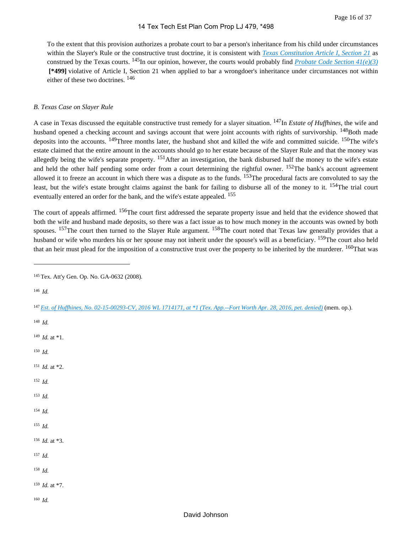To the extent that this provision authorizes a probate court to bar a person's inheritance from his child under circumstances within the Slayer's Rule or the constructive trust doctrine, it is consistent with *[Texas Constitution Article I, Section 21](https://advance.lexis.com/api/document?collection=statutes-legislation&id=urn:contentItem:5DF0-03X1-JW8X-V16H-00000-00&context=1000516)* as construed by the Texas courts. <sup>145</sup>In our opinion, however, the courts would probably find *[Probate Code Section 41\(e\)\(3\)](https://advance.lexis.com/api/document?collection=statutes-legislation&id=urn:contentItem:5DDJ-C761-JW8X-V4HR-00000-00&context=1000516)*  **[\*499]** violative of Article I, Section 21 when applied to bar a wrongdoer's inheritance under circumstances not within either of these two doctrines. <sup>146</sup>

#### *B. Texas Case on Slayer Rule*

A case in Texas discussed the equitable constructive trust remedy for a slayer situation. 147In *Estate of Huffhines*, the wife and husband opened a checking account and savings account that were joint accounts with rights of survivorship. <sup>148</sup>Both made deposits into the accounts. <sup>149</sup>Three months later, the husband shot and killed the wife and committed suicide. <sup>150</sup>The wife's estate claimed that the entire amount in the accounts should go to her estate because of the Slayer Rule and that the money was allegedly being the wife's separate property. <sup>151</sup>After an investigation, the bank disbursed half the money to the wife's estate and held the other half pending some order from a court determining the rightful owner. <sup>152</sup>The bank's account agreement allowed it to freeze an account in which there was a dispute as to the funds. <sup>153</sup>The procedural facts are convoluted to say the least, but the wife's estate brought claims against the bank for failing to disburse all of the money to it. <sup>154</sup>The trial court eventually entered an order for the bank, and the wife's estate appealed. <sup>155</sup>

The court of appeals affirmed. <sup>156</sup>The court first addressed the separate property issue and held that the evidence showed that both the wife and husband made deposits, so there was a fact issue as to how much money in the accounts was owned by both spouses. <sup>157</sup>The court then turned to the Slayer Rule argument. <sup>158</sup>The court noted that Texas law generally provides that a husband or wife who murders his or her spouse may not inherit under the spouse's will as a beneficiary. <sup>159</sup>The court also held that an heir must plead for the imposition of a constructive trust over the property to be inherited by the murderer. <sup>160</sup>That was

<sup>146</sup>*Id.*

<sup>148</sup>*Id.*

- <sup>149</sup>*Id.* at \*1.
- <sup>150</sup>*Id.*
- <sup>151</sup>*Id.* at \*2.
- <sup>152</sup>*Id.*
- <sup>153</sup>*Id.*
- <sup>154</sup>*Id.*
- <sup>155</sup>*Id.*
- <sup>156</sup>*Id.* at \*3.
- <sup>157</sup>*Id.*
- <sup>158</sup>*Id.*

<sup>159</sup>*Id.* at \*7.

<sup>160</sup>*Id.*

<sup>145</sup>Tex. Att'y Gen. Op. No. GA-0632 (2008).

<sup>147</sup>*[Est. of Huffhines, No. 02-15-00293-CV, 2016 WL 1714171, at \\*1 \(Tex. App.--Fort Worth Apr. 28, 2016, pet. denied\)](https://advance.lexis.com/api/document?collection=cases&id=urn:contentItem:5JMX-TMG1-F04K-B2NN-00000-00&context=1000516)* (mem. op.).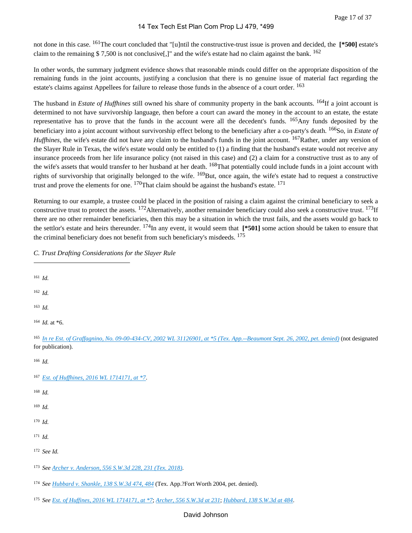not done in this case. 161The court concluded that "[u]ntil the constructive-trust issue is proven and decided, the **[\*500]** estate's claim to the remaining \$7,500 is not conclusive<sup>[1]</sup> and the wife's estate had no claim against the bank. <sup>162</sup>

In other words, the summary judgment evidence shows that reasonable minds could differ on the appropriate disposition of the remaining funds in the joint accounts, justifying a conclusion that there is no genuine issue of material fact regarding the estate's claims against Appellees for failure to release those funds in the absence of a court order. <sup>163</sup>

The husband in *Estate of Huffhines* still owned his share of community property in the bank accounts. 164If a joint account is determined to not have survivorship language, then before a court can award the money in the account to an estate, the estate representative has to prove that the funds in the account were all the decedent's funds. 165Any funds deposited by the beneficiary into a joint account without survivorship effect belong to the beneficiary after a co-party's death. 166So, in *Estate of Huffhines*, the wife's estate did not have any claim to the husband's funds in the joint account. <sup>167</sup>Rather, under any version of the Slayer Rule in Texas, the wife's estate would only be entitled to (1) a finding that the husband's estate would not receive any insurance proceeds from her life insurance policy (not raised in this case) and (2) a claim for a constructive trust as to any of the wife's assets that would transfer to her husband at her death. <sup>168</sup>That potentially could include funds in a joint account with rights of survivorship that originally belonged to the wife. <sup>169</sup>But, once again, the wife's estate had to request a constructive trust and prove the elements for one. <sup>170</sup>That claim should be against the husband's estate. <sup>171</sup>

Returning to our example, a trustee could be placed in the position of raising a claim against the criminal beneficiary to seek a constructive trust to protect the assets.  $172$ Alternatively, another remainder beneficiary could also seek a constructive trust.  $173$ If there are no other remainder beneficiaries, then this may be a situation in which the trust fails, and the assets would go back to the settlor's estate and heirs thereunder. 174In any event, it would seem that **[\*501]** some action should be taken to ensure that the criminal beneficiary does not benefit from such beneficiary's misdeeds. <sup>175</sup>

*C. Trust Drafting Considerations for the Slayer Rule*

- <sup>161</sup>*Id.*
- <sup>162</sup>*Id.*
- <sup>163</sup>*Id.*
- <sup>164</sup>*Id.* at \*6.

- <sup>167</sup>*[Est. of Huffhines, 2016 WL 1714171, at \\*7](https://advance.lexis.com/api/document?collection=cases&id=urn:contentItem:5JMX-TMG1-F04K-B2NN-00000-00&context=1000516)*.
- <sup>168</sup>*Id.*
- <sup>169</sup>*Id.*
- <sup>170</sup>*Id.*
- <sup>171</sup>*Id.*
- <sup>172</sup>*See Id.*
- <sup>173</sup>*See [Archer v. Anderson, 556 S.W.3d 228, 231 \(Tex. 2018\)](https://advance.lexis.com/api/document?collection=cases&id=urn:contentItem:5SM9-MSX1-F5T5-M1DP-00000-00&context=1000516)*.
- <sup>174</sup>*See [Hubbard v. Shankle, 138 S.W.3d 474, 484](https://advance.lexis.com/api/document?collection=cases&id=urn:contentItem:4CF3-DT70-0039-44BG-00000-00&context=1000516)* (Tex. App.?Fort Worth 2004, pet. denied).
- <sup>175</sup>*See [Est. of Huffines, 2016 WL 1714171, at \\*7](https://advance.lexis.com/api/document?collection=cases&id=urn:contentItem:5JMX-TMG1-F04K-B2NN-00000-00&context=1000516)*; *[Archer, 556 S.W.3d at 231](https://advance.lexis.com/api/document?collection=cases&id=urn:contentItem:5SM9-MSX1-F5T5-M1DP-00000-00&context=1000516)*; *[Hubbard, 138 S.W.3d at 484](https://advance.lexis.com/api/document?collection=cases&id=urn:contentItem:4CF3-DT70-0039-44BG-00000-00&context=1000516)*.

<sup>165</sup>*[In re Est. of Graffagnino, No. 09-00-434-CV, 2002 WL 31126901, at \\*5 \(Tex. App.--Beaumont Sept. 26, 2002, pet. denied\)](https://advance.lexis.com/api/document?collection=cases&id=urn:contentItem:46VT-P130-0039-40XJ-00000-00&context=1000516)* (not designated for publication).

<sup>166</sup>*Id.*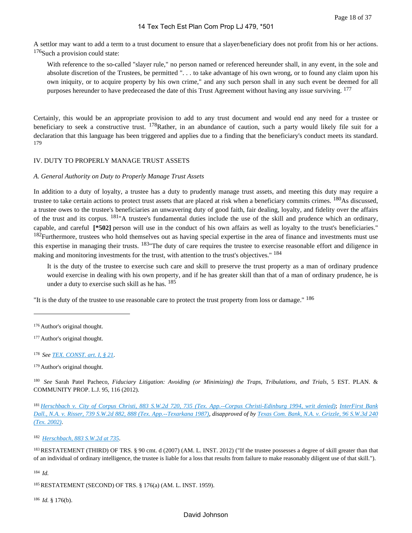A settlor may want to add a term to a trust document to ensure that a slayer/beneficiary does not profit from his or her actions.  $176$ Such a provision could state:

With reference to the so-called "slayer rule," no person named or referenced hereunder shall, in any event, in the sole and absolute discretion of the Trustees, be permitted ". . . to take advantage of his own wrong, or to found any claim upon his own iniquity, or to acquire property by his own crime," and any such person shall in any such event be deemed for all purposes hereunder to have predeceased the date of this Trust Agreement without having any issue surviving. <sup>177</sup>

Certainly, this would be an appropriate provision to add to any trust document and would end any need for a trustee or beneficiary to seek a constructive trust.  $178$ Rather, in an abundance of caution, such a party would likely file suit for a declaration that this language has been triggered and applies due to a finding that the beneficiary's conduct meets its standard. 179

#### IV. DUTY TO PROPERLY MANAGE TRUST ASSETS

#### *A. General Authority on Duty to Properly Manage Trust Assets*

In addition to a duty of loyalty, a trustee has a duty to prudently manage trust assets, and meeting this duty may require a trustee to take certain actions to protect trust assets that are placed at risk when a beneficiary commits crimes. <sup>180</sup>As discussed, a trustee owes to the trustee's beneficiaries an unwavering duty of good faith, fair dealing, loyalty, and fidelity over the affairs of the trust and its corpus. 181"A trustee's fundamental duties include the use of the skill and prudence which an ordinary, capable, and careful **[\*502]** person will use in the conduct of his own affairs as well as loyalty to the trust's beneficiaries." <sup>182</sup>Furthermore, trustees who hold themselves out as having special expertise in the area of finance and investments must use this expertise in managing their trusts. 183"The duty of care requires the trustee to exercise reasonable effort and diligence in making and monitoring investments for the trust, with attention to the trust's objectives."<sup>184</sup>

It is the duty of the trustee to exercise such care and skill to preserve the trust property as a man of ordinary prudence would exercise in dealing with his own property, and if he has greater skill than that of a man of ordinary prudence, he is under a duty to exercise such skill as he has. <sup>185</sup>

"It is the duty of the trustee to use reasonable care to protect the trust property from loss or damage." <sup>186</sup>

<sup>180</sup>*See* Sarah Patel Pacheco, *Fiduciary Litigation: Avoiding (or Minimizing) the Traps, Tribulations, and Trials*, 5 EST. PLAN. & COMMUNITY PROP. L.J. 95, 116 (2012).

<sup>181</sup>*[Herschbach v. City of Corpus Christi, 883 S.W.2d 720, 735 \(Tex. App.--Corpus Christi-Edinburg 1994, writ denied\)](https://advance.lexis.com/api/document?collection=cases&id=urn:contentItem:3S3K-0S50-003C-20SV-00000-00&context=1000516)*; *[InterFirst Bank](https://advance.lexis.com/api/document?collection=cases&id=urn:contentItem:3S3K-3BX0-003C-23MC-00000-00&context=1000516)  [Dall., N.A. v. Risser, 739 S.W.2d 882, 888 \(Tex. App.--Texarkana 1987\)](https://advance.lexis.com/api/document?collection=cases&id=urn:contentItem:3S3K-3BX0-003C-23MC-00000-00&context=1000516)*, *disapproved of by [Texas Com. Bank, N.A. v. Grizzle, 96 S.W.3d 240](https://advance.lexis.com/api/document?collection=cases&id=urn:contentItem:47K3-WK30-0039-4090-00000-00&context=1000516)  [\(Tex. 2002\)](https://advance.lexis.com/api/document?collection=cases&id=urn:contentItem:47K3-WK30-0039-4090-00000-00&context=1000516)*.

<sup>182</sup>*[Herschbach, 883 S.W.2d at 735](https://advance.lexis.com/api/document?collection=cases&id=urn:contentItem:3S3K-0S50-003C-20SV-00000-00&context=1000516)*.

183 RESTATEMENT (THIRD) OF TRS. § 90 cmt. d (2007) (AM. L. INST. 2012) ("If the trustee possesses a degree of skill greater than that of an individual of ordinary intelligence, the trustee is liable for a loss that results from failure to make reasonably diligent use of that skill.").

<sup>184</sup>*Id.*

<sup>185</sup>RESTATEMENT (SECOND) OF TRS. § 176(a) (AM. L. INST. 1959).

<sup>186</sup>*Id.* § 176(b).

<sup>176</sup> Author's original thought.

<sup>&</sup>lt;sup>177</sup> Author's original thought.

<sup>178</sup>*See [TEX. CONST. art. I, § 21](https://advance.lexis.com/api/document?collection=statutes-legislation&id=urn:contentItem:5DF0-03X1-JW8X-V16H-00000-00&context=1000516)*.

<sup>179</sup>Author's original thought.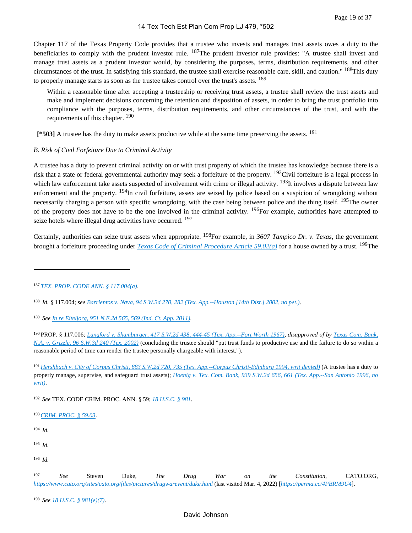Chapter 117 of the Texas Property Code provides that a trustee who invests and manages trust assets owes a duty to the beneficiaries to comply with the prudent investor rule. <sup>187</sup>The prudent investor rule provides: "A trustee shall invest and manage trust assets as a prudent investor would, by considering the purposes, terms, distribution requirements, and other circumstances of the trust. In satisfying this standard, the trustee shall exercise reasonable care, skill, and caution." 188This duty to properly manage starts as soon as the trustee takes control over the trust's assets. <sup>189</sup>

Within a reasonable time after accepting a trusteeship or receiving trust assets, a trustee shall review the trust assets and make and implement decisions concerning the retention and disposition of assets, in order to bring the trust portfolio into compliance with the purposes, terms, distribution requirements, and other circumstances of the trust, and with the requirements of this chapter. <sup>190</sup>

 **[\*503]** A trustee has the duty to make assets productive while at the same time preserving the assets. <sup>191</sup>

#### *B. Risk of Civil Forfeiture Due to Criminal Activity*

A trustee has a duty to prevent criminal activity on or with trust property of which the trustee has knowledge because there is a risk that a state or federal governmental authority may seek a forfeiture of the property. 192Civil forfeiture is a legal process in which law enforcement take assets suspected of involvement with crime or illegal activity. <sup>193</sup>It involves a dispute between law enforcement and the property. <sup>194</sup>In civil forfeiture, assets are seized by police based on a suspicion of wrongdoing without necessarily charging a person with specific wrongdoing, with the case being between police and the thing itself. <sup>195</sup>The owner of the property does not have to be the one involved in the criminal activity. <sup>196</sup>For example, authorities have attempted to seize hotels where illegal drug activities have occurred. <sup>197</sup>

Certainly, authorities can seize trust assets when appropriate. 198For example, in *3607 Tampico Dr. v. Texas*, the government brought a forfeiture proceeding under *[Texas Code of Criminal Procedure Article 59.02\(a\)](https://advance.lexis.com/api/document?collection=statutes-legislation&id=urn:contentItem:5DDJ-BBR1-JW8X-V3B9-00000-00&context=1000516)* for a house owned by a trust. 199The

<sup>189</sup>*See [In re Eiteljorg, 951 N.E.2d 565, 569 \(Ind. Ct. App. 2011\)](https://advance.lexis.com/api/document?collection=cases&id=urn:contentItem:82K4-T7G1-652K-K01T-00000-00&context=1000516)*.

<sup>192</sup>*See* TEX. CODE CRIM. PROC. ANN. § 59; *[18 U.S.C. § 981](https://advance.lexis.com/api/document?collection=statutes-legislation&id=urn:contentItem:8SG9-5042-D6RV-H074-00000-00&context=1000516)*.

<sup>193</sup>*[CRIM. PROC. § 59.03](https://advance.lexis.com/api/document?collection=statutes-legislation&id=urn:contentItem:5DDJ-BBR1-JW8X-V3BG-00000-00&context=1000516)*.

<sup>194</sup>*Id.*

<sup>195</sup>*Id.*

<sup>196</sup>*Id.*

<sup>197</sup>*See* Steven Duke, *The Drug War on the Constitution*, CATO.ORG, *<https://www.cato.org/sites/cato.org/files/pictures/drugwarevent/duke.html>* (last visited Mar. 4, 2022) [*<https://perma.cc/4PBRM9U4>*].

<sup>198</sup>*See [18 U.S.C. § 981\(e\)\(7\)](https://advance.lexis.com/api/document?collection=statutes-legislation&id=urn:contentItem:8SG9-5042-D6RV-H074-00000-00&context=1000516)*.

## David Johnson

<sup>187</sup>*[TEX. PROP. CODE ANN. § 117.004\(a\)](https://advance.lexis.com/api/document?collection=statutes-legislation&id=urn:contentItem:5DDJ-C7H1-JW8X-V4NJ-00000-00&context=1000516)*.

<sup>188</sup>*Id.* § 117.004; *see [Barrientos v. Nava, 94 S.W.3d 270, 282 \(Tex. App.--Houston \[14th Dist.\] 2002, no pet.\)](https://advance.lexis.com/api/document?collection=cases&id=urn:contentItem:47CJ-N3D0-0039-40SV-00000-00&context=1000516)*.

<sup>190</sup>PROP. § 117.006; *[Langford v. Shamburger, 417 S.W.2d 438, 444-45 \(Tex. App.--Fort Worth 1967\)](https://advance.lexis.com/api/document?collection=cases&id=urn:contentItem:3RRH-DCH0-003C-547H-00000-00&context=1000516)*, *disapproved of by [Texas Com. Bank,](https://advance.lexis.com/api/document?collection=cases&id=urn:contentItem:47K3-WK30-0039-4090-00000-00&context=1000516)  [N.A. v. Grizzle, 96 S.W.3d 240 \(Tex. 2002\)](https://advance.lexis.com/api/document?collection=cases&id=urn:contentItem:47K3-WK30-0039-4090-00000-00&context=1000516)* (concluding the trustee should "put trust funds to productive use and the failure to do so within a reasonable period of time can render the trustee personally chargeable with interest.").

<sup>191</sup>*[Hershbach v. City of Corpus Christi, 883 S.W.2d 720, 735 \(Tex. App.--Corpus Christi-Edinburg 1994, writ denied\)](https://advance.lexis.com/api/document?collection=cases&id=urn:contentItem:3S3K-0S50-003C-20SV-00000-00&context=1000516)* (A trustee has a duty to properly manage, supervise, and safeguard trust assets); *[Hoenig v. Tex. Com. Bank, 939 S.W.2d 656, 661 \(Tex. App.--San Antonio 1996, no](https://advance.lexis.com/api/document?collection=cases&id=urn:contentItem:3S3J-YRB0-003C-20HK-00000-00&context=1000516)  [writ\)](https://advance.lexis.com/api/document?collection=cases&id=urn:contentItem:3S3J-YRB0-003C-20HK-00000-00&context=1000516)*.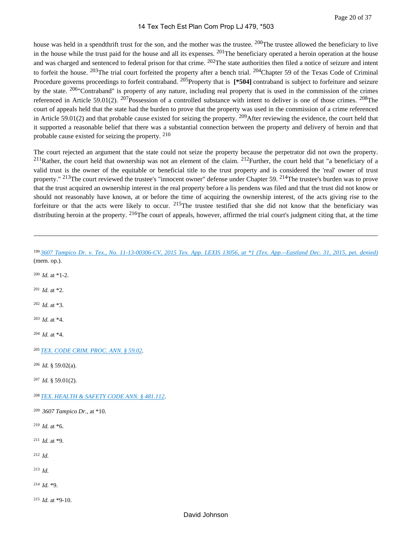house was held in a spendthrift trust for the son, and the mother was the trustee. <sup>200</sup>The trustee allowed the beneficiary to live in the house while the trust paid for the house and all its expenses.  $201$ The beneficiary operated a heroin operation at the house and was charged and sentenced to federal prison for that crime. <sup>202</sup>The state authorities then filed a notice of seizure and intent to forfeit the house.  $^{203}$ The trial court forfeited the property after a bench trial.  $^{204}$ Chapter 59 of the Texas Code of Criminal Procedure governs proceedings to forfeit contraband. <sup>205</sup>Property that is [\***504**] contraband is subject to forfeiture and seizure by the state. <sup>206</sup> Contraband" is property of any nature, including real property that is used in the commission of the crimes referenced in Article 59.01(2). <sup>207</sup>Possession of a controlled substance with intent to deliver is one of those crimes. <sup>208</sup>The court of appeals held that the state had the burden to prove that the property was used in the commission of a crime referenced in Article 59.01(2) and that probable cause existed for seizing the property. <sup>209</sup>After reviewing the evidence, the court held that it supported a reasonable belief that there was a substantial connection between the property and delivery of heroin and that probable cause existed for seizing the property. <sup>210</sup>

The court rejected an argument that the state could not seize the property because the perpetrator did not own the property.  $^{211}$ Rather, the court held that ownership was not an element of the claim.  $^{212}$ Further, the court held that "a beneficiary of a valid trust is the owner of the equitable or beneficial title to the trust property and is considered the 'real' owner of trust property." <sup>213</sup>The court reviewed the trustee's "innocent owner" defense under Chapter 59. <sup>214</sup>The trustee's burden was to prove that the trust acquired an ownership interest in the real property before a lis pendens was filed and that the trust did not know or should not reasonably have known, at or before the time of acquiring the ownership interest, of the acts giving rise to the forfeiture or that the acts were likely to occur. <sup>215</sup>The trustee testified that she did not know that the beneficiary was distributing heroin at the property.  $2^{16}$ The court of appeals, however, affirmed the trial court's judgment citing that, at the time

| 199 3607 Tampico Dr. v. Tex., No. 11-13-00306-CV, 2015 Tex. App. LEXIS 13056, at *1 (Tex. App.--Eastland Dec. 31, 2015, pet. denied)<br>(mem. op.). |
|-----------------------------------------------------------------------------------------------------------------------------------------------------|
| $200$ <i>Id.</i> at *1-2.                                                                                                                           |
| $201$ <i>Id.</i> at *2.                                                                                                                             |
| $202$ <i>Id.</i> at *3.                                                                                                                             |
| $203$ <i>Id.</i> at *4.                                                                                                                             |
| $204$ <i>Id.</i> at *4.                                                                                                                             |
| <sup>205</sup> TEX. CODE CRIM. PROC. ANN. § 59.02.                                                                                                  |
| $206$ <i>Id.</i> § 59.02(a).                                                                                                                        |
| $207$ <i>Id.</i> § 59.01(2).                                                                                                                        |
| <sup>208</sup> TEX. HEALTH & SAFETY CODE ANN. § 481.112.                                                                                            |
| <sup>209</sup> 3607 Tampico Dr., at *10.                                                                                                            |
| <sup>210</sup> <i>Id.</i> at *6.                                                                                                                    |
| <sup>211</sup> <i>Id.</i> at *9.                                                                                                                    |
| $212$ <i>Id.</i>                                                                                                                                    |
| $213$ <i>Id.</i>                                                                                                                                    |
| <sup>214</sup> <i>Id.</i> *9.                                                                                                                       |
| <sup>215</sup> <i>Id.</i> at *9-10.                                                                                                                 |
| David Johnson                                                                                                                                       |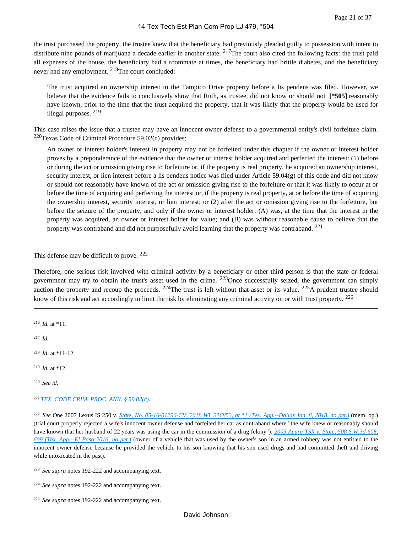the trust purchased the property, the trustee knew that the beneficiary had previously pleaded guilty to possession with intent to distribute nine pounds of marijuana a decade earlier in another state.  $2^{17}$ The court also cited the following facts: the trust paid all expenses of the house, the beneficiary had a roommate at times, the beneficiary had brittle diabetes, and the beneficiary never had any employment. 218The court concluded:

The trust acquired an ownership interest in the Tampico Drive property before a lis pendens was filed. However, we believe that the evidence fails to conclusively show that Ruth, as trustee, did not know or should not **[\*505]** reasonably have known, prior to the time that the trust acquired the property, that it was likely that the property would be used for illegal purposes. <sup>219</sup>

This case raises the issue that a trustee may have an innocent owner defense to a governmental entity's civil forfeiture claim.  $220$ Texas Code of Criminal Procedure 59.02(c) provides:

An owner or interest holder's interest in property may not be forfeited under this chapter if the owner or interest holder proves by a preponderance of the evidence that the owner or interest holder acquired and perfected the interest: (1) before or during the act or omission giving rise to forfeiture or, if the property is real property, he acquired an ownership interest, security interest, or lien interest before a lis pendens notice was filed under Article 59.04(g) of this code and did not know or should not reasonably have known of the act or omission giving rise to the forfeiture or that it was likely to occur at or before the time of acquiring and perfecting the interest or, if the property is real property, at or before the time of acquiring the ownership interest, security interest, or lien interest; or (2) after the act or omission giving rise to the forfeiture, but before the seizure of the property, and only if the owner or interest holder: (A) was, at the time that the interest in the property was acquired, an owner or interest holder for value; and (B) was without reasonable cause to believe that the property was contraband and did not purposefully avoid learning that the property was contraband. <sup>221</sup>

This defense may be difficult to prove. <sup>222</sup>

Therefore, one serious risk involved with criminal activity by a beneficiary or other third person is that the state or federal government may try to obtain the trust's asset used in the crime.  $223$ Once successfully seized, the government can simply auction the property and recoup the proceeds.  $224$ The trust is left without that asset or its value.  $225$ A prudent trustee should know of this risk and act accordingly to limit the risk by eliminating any criminal activity on or with trust property. <sup>226</sup>

- <sup>216</sup>*Id.* at \*11.
- <sup>217</sup>*Id.*
- <sup>218</sup>*Id.* at \*11-12.
- <sup>219</sup>*Id.* at \*12.
- <sup>220</sup>*See id.*
- <sup>221</sup>*[TEX. CODE CRIM. PROC. ANN. § 59.02\(c\)](https://advance.lexis.com/api/document?collection=statutes-legislation&id=urn:contentItem:5DDJ-BBR1-JW8X-V3B9-00000-00&context=1000516)*.

<sup>222</sup>*See* One 2007 Lexus IS 250 v. *[State, No. 05-16-01296-CV, 2018 WL 316853, at \\*1 \(Tex. App.--Dallas Jan. 8, 2018, no pet.\)](https://advance.lexis.com/api/document?collection=cases&id=urn:contentItem:5RC9-07P1-F04K-B190-00000-00&context=1000516)* (mem. op.) (trial court properly rejected a wife's innocent owner defense and forfeited her car as contraband where "the wife knew or reasonably should have known that her husband of 22 years was using the car in the commission of a drug felony"); *[2005 Acura TSX v. State, 508 S.W.3d 608,](https://advance.lexis.com/api/document?collection=cases&id=urn:contentItem:5JN5-54D1-F04K-B31X-00000-00&context=1000516)  [609 \(Tex. App.--El Paso 2016, no pet.\)](https://advance.lexis.com/api/document?collection=cases&id=urn:contentItem:5JN5-54D1-F04K-B31X-00000-00&context=1000516)* (owner of a vehicle that was used by the owner's son in an armed robbery was not entitled to the innocent owner defense because he provided the vehicle to his son knowing that his son used drugs and had committed theft and driving while intoxicated in the past).

<sup>223</sup>*See supra* notes 192-222 and accompanying text.

<sup>224</sup>*See supra* notes 192-222 and accompanying text.

<sup>225</sup>*See supra* notes 192-222 and accompanying text.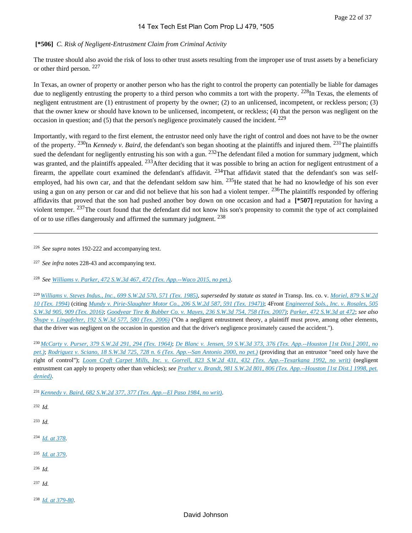# **[\*506]** *C. Risk of Negligent-Entrustment Claim from Criminal Activity*

The trustee should also avoid the risk of loss to other trust assets resulting from the improper use of trust assets by a beneficiary or other third person. <sup>227</sup>

In Texas, an owner of property or another person who has the right to control the property can potentially be liable for damages due to negligently entrusting the property to a third person who commits a tort with the property. <sup>228</sup>In Texas, the elements of negligent entrustment are (1) entrustment of property by the owner; (2) to an unlicensed, incompetent, or reckless person; (3) that the owner knew or should have known to be unlicensed, incompetent, or reckless; (4) that the person was negligent on the occasion in question; and (5) that the person's negligence proximately caused the incident.  $^{229}$ 

Importantly, with regard to the first element, the entrustor need only have the right of control and does not have to be the owner of the property. 230In *Kennedy v. Baird*, the defendant's son began shooting at the plaintiffs and injured them. 231The plaintiffs sued the defendant for negligently entrusting his son with a gun.  $^{232}$ The defendant filed a motion for summary judgment, which was granted, and the plaintiffs appealed. <sup>233</sup>After deciding that it was possible to bring an action for negligent entrustment of a firearm, the appellate court examined the defendant's affidavit.  $234$ That affidavit stated that the defendant's son was selfemployed, had his own car, and that the defendant seldom saw him.  $^{235}$ He stated that he had no knowledge of his son ever using a gun on any person or car and did not believe that his son had a violent temper.  $^{236}$ The plaintiffs responded by offering affidavits that proved that the son had pushed another boy down on one occasion and had a **[\*507]** reputation for having a violent temper. <sup>237</sup>The court found that the defendant did not know his son's propensity to commit the type of act complained of or to use rifles dangerously and affirmed the summary judgment. <sup>238</sup>

<sup>226</sup>*See supra* notes 192-222 and accompanying text.

<sup>227</sup>*See infra* notes 228-43 and accompanying text.

<sup>228</sup>*See [Williams v. Parker, 472 S.W.3d 467, 472 \(Tex. App.--Waco 2015, no pet.\)](https://advance.lexis.com/api/document?collection=cases&id=urn:contentItem:5GSR-64N1-F04K-B00F-00000-00&context=1000516)*.

<sup>229</sup>*[Williams v. Steves Indus., Inc., 699 S.W.2d 570, 571 \(Tex. 1985\)](https://advance.lexis.com/api/document?collection=cases&id=urn:contentItem:3S3J-WCW0-003C-226J-00000-00&context=1000516)*, *superseded by statute as stated in* Transp. Ins. co. v. *[Moriel, 879 S.W.2d](https://advance.lexis.com/api/document?collection=cases&id=urn:contentItem:3S3J-W5V0-003C-20GC-00000-00&context=1000516)  [10 \(Tex. 1994\)](https://advance.lexis.com/api/document?collection=cases&id=urn:contentItem:3S3J-W5V0-003C-20GC-00000-00&context=1000516)* (citing *[Mundy v. Pirie-Slaughter Motor Co., 206 S.W.2d 587, 591 \(Tex. 1947\)\)](https://advance.lexis.com/api/document?collection=cases&id=urn:contentItem:3RRS-HNX0-003D-P0SP-00000-00&context=1000516)*; 4Front *[Engineered Sols., Inc. v. Rosales, 505](https://advance.lexis.com/api/document?collection=cases&id=urn:contentItem:5MFW-R1T1-F04K-D07P-00000-00&context=1000516)  [S.W.3d 905, 909 \(Tex. 2016\)](https://advance.lexis.com/api/document?collection=cases&id=urn:contentItem:5MFW-R1T1-F04K-D07P-00000-00&context=1000516)*; *[Goodyear Tire & Rubber Co. v. Mayes, 236 S.W.3d 754, 758 \(Tex. 2007\)](https://advance.lexis.com/api/document?collection=cases&id=urn:contentItem:4P02-2J00-TXFX-02S0-00000-00&context=1000516)*; *[Parker, 472 S.W.3d at 472](https://advance.lexis.com/api/document?collection=cases&id=urn:contentItem:5GSR-64N1-F04K-B00F-00000-00&context=1000516)*; *see also [Shupe v. Lingafelter, 192 S.W.3d 577, 580 \(Tex. 2006\)](https://advance.lexis.com/api/document?collection=cases&id=urn:contentItem:4JWG-8KX0-0039-4401-00000-00&context=1000516)* ("On a negligent entrustment theory, a plaintiff must prove, among other elements, that the driver was negligent on the occasion in question and that the driver's negligence proximately caused the accident.").

<sup>230</sup>*[McCarty v. Purser, 379 S.W.2d 291, 294 \(Tex. 1964\)](https://advance.lexis.com/api/document?collection=cases&id=urn:contentItem:3RRH-B3X0-003C-51PF-00000-00&context=1000516)*; *[De Blanc v. Jensen, 59 S.W.3d 373, 376 \(Tex. App.--Houston \[1st Dist.\] 2001, no](https://advance.lexis.com/api/document?collection=cases&id=urn:contentItem:447G-P4M0-0039-44GP-00000-00&context=1000516)  [pet.\)](https://advance.lexis.com/api/document?collection=cases&id=urn:contentItem:447G-P4M0-0039-44GP-00000-00&context=1000516)*; *[Rodriguez v. Sciano, 18 S.W.3d 725, 728 n. 6 \(Tex. App.--San Antonio 2000, no pet.\)](https://advance.lexis.com/api/document?collection=cases&id=urn:contentItem:3YMW-DR60-0039-43S1-00000-00&context=1000516)* (providing that an entrustor "need only have the right of control"); *[Loom Craft Carpet Mills, Inc. v. Gorrell, 823 S.W.2d 431, 432 \(Tex. App.--Texarkana 1992, no writ\)](https://advance.lexis.com/api/document?collection=cases&id=urn:contentItem:3S3K-1TY0-003C-21HR-00000-00&context=1000516)* (negligent entrustment can apply to property other than vehicles); *see [Prather v. Brandt, 981 S.W.2d 801, 806 \(Tex. App.--Houston \[1st Dist.\] 1998, pet.](https://advance.lexis.com/api/document?collection=cases&id=urn:contentItem:3TWH-XR20-0039-41YH-00000-00&context=1000516)  [denied\)](https://advance.lexis.com/api/document?collection=cases&id=urn:contentItem:3TWH-XR20-0039-41YH-00000-00&context=1000516)*.

<sup>231</sup>*[Kennedy v. Baird, 682 S.W.2d 377, 377 \(Tex. App.--El Paso 1984, no writ\)](https://advance.lexis.com/api/document?collection=cases&id=urn:contentItem:3S3K-4890-003C-244R-00000-00&context=1000516)*.

<sup>232</sup>*Id.*

<sup>233</sup>*Id.*

<sup>234</sup>*[Id. at 378](https://advance.lexis.com/api/document?collection=cases&id=urn:contentItem:3S3K-4890-003C-244R-00000-00&context=1000516)*.

- <sup>235</sup>*[Id. at 379](https://advance.lexis.com/api/document?collection=cases&id=urn:contentItem:3S3K-4890-003C-244R-00000-00&context=1000516)*.
- <sup>236</sup>*Id.*
- <sup>237</sup>*Id.*
- <sup>238</sup>*[Id. at 379-80](https://advance.lexis.com/api/document?collection=cases&id=urn:contentItem:3S3K-4890-003C-244R-00000-00&context=1000516)*.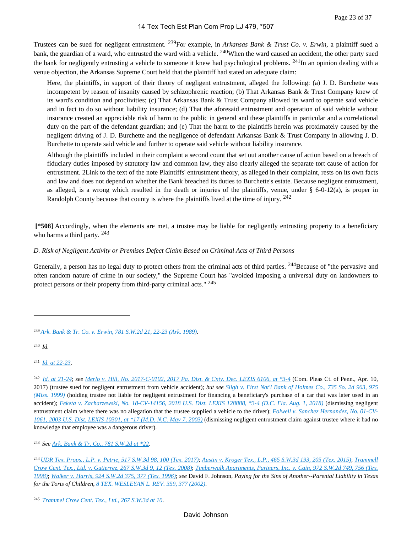Trustees can be sued for negligent entrustment. 239For example, in *Arkansas Bank & Trust Co. v. Erwin*, a plaintiff sued a bank, the guardian of a ward, who entrusted the ward with a vehicle. <sup>240</sup>When the ward caused an accident, the other party sued the bank for negligently entrusting a vehicle to someone it knew had psychological problems.  $^{241}$ In an opinion dealing with a venue objection, the Arkansas Supreme Court held that the plaintiff had stated an adequate claim:

Here, the plaintiffs, in support of their theory of negligent entrustment, alleged the following: (a) J. D. Burchette was incompetent by reason of insanity caused by schizophrenic reaction; (b) That Arkansas Bank & Trust Company knew of its ward's condition and proclivities; (c) That Arkansas Bank & Trust Company allowed its ward to operate said vehicle and in fact to do so without liability insurance; (d) That the aforesaid entrustment and operation of said vehicle without insurance created an appreciable risk of harm to the public in general and these plaintiffs in particular and a correlational duty on the part of the defendant guardian; and (e) That the harm to the plaintiffs herein was proximately caused by the negligent driving of J. D. Burchette and the negligence of defendant Arkansas Bank & Trust Company in allowing J. D. Burchette to operate said vehicle and further to operate said vehicle without liability insurance.

Although the plaintiffs included in their complaint a second count that set out another cause of action based on a breach of fiduciary duties imposed by statutory law and common law, they also clearly alleged the separate tort cause of action for entrustment. 2Link to the text of the note Plaintiffs' entrustment theory, as alleged in their complaint, rests on its own facts and law and does not depend on whether the Bank breached its duties to Burchette's estate. Because negligent entrustment, as alleged, is a wrong which resulted in the death or injuries of the plaintiffs, venue, under  $\S$  6-0-12(a), is proper in Randolph County because that county is where the plaintiffs lived at the time of injury. <sup>242</sup>

 **[\*508]** Accordingly, when the elements are met, a trustee may be liable for negligently entrusting property to a beneficiary who harms a third party. <sup>243</sup>

# *D. Risk of Negligent Activity or Premises Defect Claim Based on Criminal Acts of Third Persons*

Generally, a person has no legal duty to protect others from the criminal acts of third parties. <sup>244</sup>Because of "the pervasive and often random nature of crime in our society," the Supreme Court has "avoided imposing a universal duty on landowners to protect persons or their property from third-party criminal acts." <sup>245</sup>

<sup>240</sup>*Id.*

<sup>241</sup>*[Id. at 22-23](https://advance.lexis.com/api/document?collection=cases&id=urn:contentItem:3RX3-XH50-003C-10BD-00000-00&context=1000516)*.

<sup>242</sup>*[Id. at 21-24](https://advance.lexis.com/api/document?collection=cases&id=urn:contentItem:3RX3-XH50-003C-10BD-00000-00&context=1000516)*; *see [Merlo v. Hill, No. 2017-C-0102, 2017 Pa. Dist. & Cnty. Dec. LEXIS 6106, at \\*3-4](https://advance.lexis.com/api/document?collection=cases&id=urn:contentItem:5T88-K791-JW5H-X3J8-00000-00&context=1000516)* (Com. Pleas Ct. of Penn., Apr. 10, 2017) (trustee sued for negligent entrustment from vehicle accident); *but see [Sligh v. First Nat'l Bank of Holmes Co., 735 So. 2d 963, 975](https://advance.lexis.com/api/document?collection=cases&id=urn:contentItem:3VRM-DXN0-0039-4411-00000-00&context=1000516)  [\(Miss. 1999\)](https://advance.lexis.com/api/document?collection=cases&id=urn:contentItem:3VRM-DXN0-0039-4411-00000-00&context=1000516)* (holding trustee not liable for negligent entrustment for financing a beneficiary's purchase of a car that was later used in an accident); *[Feketa v. Zacharzewski, No. 18-CV-14156, 2018 U.S. Dist. LEXIS 128888, \\*3-4 \(D.C. Fla. Aug. 1, 2018\)](https://advance.lexis.com/api/document?collection=cases&id=urn:contentItem:5SXW-W5H1-FGCG-S2MG-00000-00&context=1000516)* (dismissing negligent entrustment claim where there was no allegation that the trustee supplied a vehicle to the driver); *[Folwell v. Sanchez Hernandez, No. 01-CV-](https://advance.lexis.com/api/document?collection=cases&id=urn:contentItem:48WP-JHC0-0038-Y2P3-00000-00&context=1000516)[1061, 2003 U.S. Dist. LEXIS 10301, at \\*17 \(M.D. N.C. May 7, 2003\)](https://advance.lexis.com/api/document?collection=cases&id=urn:contentItem:48WP-JHC0-0038-Y2P3-00000-00&context=1000516)* (dismissing negligent entrustment claim against trustee where it had no knowledge that employee was a dangerous driver).

<sup>243</sup>*See [Ark. Bank & Tr. Co., 781 S.W.2d at \\*22](https://advance.lexis.com/api/document?collection=cases&id=urn:contentItem:3RX3-XH50-003C-10BD-00000-00&context=1000516)*.

<sup>239</sup>*[Ark. Bank & Tr. Co. v. Erwin, 781 S.W.2d 21, 22-23 \(Ark. 1989\)](https://advance.lexis.com/api/document?collection=cases&id=urn:contentItem:3RX3-XH50-003C-10BD-00000-00&context=1000516)*.

<sup>244</sup>*[UDR Tex. Props., L.P. v. Petrie, 517 S.W.3d 98, 100 \(Tex. 2017\)](https://advance.lexis.com/api/document?collection=cases&id=urn:contentItem:5MRB-PG71-F04K-D0H7-00000-00&context=1000516)*; *[Austin v. Kroger Tex., L.P., 465 S.W.3d 193, 205 \(Tex. 2015\)](https://advance.lexis.com/api/document?collection=cases&id=urn:contentItem:5G6G-0CW1-F04K-D021-00000-00&context=1000516)*; *[Trammell](https://advance.lexis.com/api/document?collection=cases&id=urn:contentItem:4TCN-NMB0-TX4N-G1P9-00000-00&context=1000516)  [Crow Cent. Tex., Ltd. v. Gutierrez, 267 S.W.3d 9, 12 \(Tex. 2008\)](https://advance.lexis.com/api/document?collection=cases&id=urn:contentItem:4TCN-NMB0-TX4N-G1P9-00000-00&context=1000516)*; *[Timberwalk Apartments, Partners, Inc. v. Cain, 972 S.W.2d 749, 756 \(Tex.](https://advance.lexis.com/api/document?collection=cases&id=urn:contentItem:3T3Y-TTN0-0039-427N-00000-00&context=1000516)  [1998\)](https://advance.lexis.com/api/document?collection=cases&id=urn:contentItem:3T3Y-TTN0-0039-427N-00000-00&context=1000516)*; *[Walker v. Harris, 924 S.W.2d 375, 377 \(Tex. 1996\)](https://advance.lexis.com/api/document?collection=cases&id=urn:contentItem:3S3J-W480-003C-203T-00000-00&context=1000516)*; *see* David F. Johnson, *Paying for the Sins of Another--Parental Liability in Texas for the Torts of Children*, *[8 TEX. WESLEYAN L. REV. 359, 377 \(2002\)](https://advance.lexis.com/api/document?collection=analytical-materials&id=urn:contentItem:469F-N4T0-00CV-F00C-00000-00&context=1000516)*.

<sup>245</sup>*[Trammel Crow Cent. Tex., Ltd., 267 S.W.3d at 10](https://advance.lexis.com/api/document?collection=cases&id=urn:contentItem:4TCN-NMB0-TX4N-G1P9-00000-00&context=1000516)*.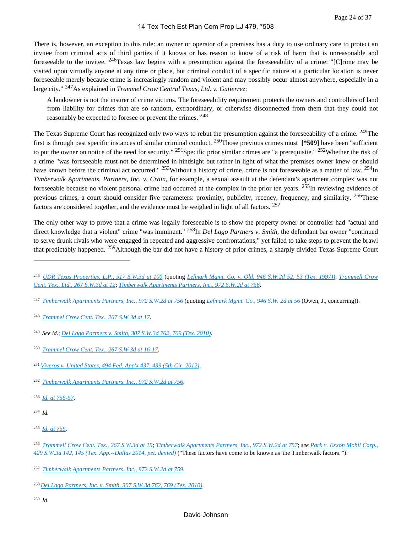There is, however, an exception to this rule: an owner or operator of a premises has a duty to use ordinary care to protect an invitee from criminal acts of third parties if it knows or has reason to know of a risk of harm that is unreasonable and foreseeable to the invitee. <sup>246</sup>Texas law begins with a presumption against the foreseeability of a crime: "[C]rime may be visited upon virtually anyone at any time or place, but criminal conduct of a specific nature at a particular location is never foreseeable merely because crime is increasingly random and violent and may possibly occur almost anywhere, especially in a large city." 247As explained in *Trammel Crow Central Texas, Ltd. v. Gutierrez*:

A landowner is not the insurer of crime victims. The foreseeability requirement protects the owners and controllers of land from liability for crimes that are so random, extraordinary, or otherwise disconnected from them that they could not reasonably be expected to foresee or prevent the crimes. <sup>248</sup>

The Texas Supreme Court has recognized only two ways to rebut the presumption against the foreseeability of a crime. <sup>249</sup>The first is through past specific instances of similar criminal conduct. 250Those previous crimes must **[\*509]** have been "sufficient to put the owner on notice of the need for security." <sup>251</sup>Specific prior similar crimes are "a prerequisite." <sup>252</sup>Whether the risk of a crime "was foreseeable must not be determined in hindsight but rather in light of what the premises owner knew or should have known before the criminal act occurred." <sup>253</sup>Without a history of crime, crime is not foreseeable as a matter of law. <sup>254</sup>In *Timberwalk Apartments, Partners, Inc. v. Crain*, for example, a sexual assault at the defendant's apartment complex was not foreseeable because no violent personal crime had occurred at the complex in the prior ten years.  $255$ In reviewing evidence of previous crimes, a court should consider five parameters: proximity, publicity, recency, frequency, and similarity. <sup>256</sup>These factors are considered together, and the evidence must be weighed in light of all factors. <sup>257</sup>

The only other way to prove that a crime was legally foreseeable is to show the property owner or controller had "actual and direct knowledge that a violent" crime "was imminent." <sup>258</sup>In *Del Lago Partners v. Smith*, the defendant bar owner "continued to serve drunk rivals who were engaged in repeated and aggressive confrontations," yet failed to take steps to prevent the brawl that predictably happened. 259Although the bar did not have a history of prior crimes, a sharply divided Texas Supreme Court

- <sup>247</sup>*[Timberwalk Apartments Partners, Inc., 972 S.W.2d at 756](https://advance.lexis.com/api/document?collection=cases&id=urn:contentItem:3T3Y-TTN0-0039-427N-00000-00&context=1000516)* (quoting *[Lefmark Mgmt. Co., 946 S.W. 2d at 56](https://advance.lexis.com/api/document?collection=cases&id=urn:contentItem:3S3J-W3K0-003C-200D-00000-00&context=1000516)* (Owen, J., concurring)).
- <sup>248</sup>*[Trammel Crow Cent. Tex., 267 S.W.3d at 17](https://advance.lexis.com/api/document?collection=cases&id=urn:contentItem:4TCN-NMB0-TX4N-G1P9-00000-00&context=1000516)*.
- <sup>249</sup>*See id.*; *[Del Lago Partners v. Smith, 307 S.W.3d 762, 769 \(Tex. 2010\)](https://advance.lexis.com/api/document?collection=cases&id=urn:contentItem:7Y5J-RBK0-YB0V-8031-00000-00&context=1000516)*.
- <sup>250</sup>*[Trammel Crow Cent. Tex., 267 S.W.3d at 16-17](https://advance.lexis.com/api/document?collection=cases&id=urn:contentItem:4TCN-NMB0-TX4N-G1P9-00000-00&context=1000516)*.
- <sup>251</sup>*[Viveros v. United States, 494 Fed. App'x 437, 439 \(5th Cir. 2012\)](https://advance.lexis.com/api/document?collection=cases&id=urn:contentItem:56S5-VHP1-F04K-N2TN-00000-00&context=1000516)*.
- <sup>252</sup>*[Timberwalk Apartments Partners, Inc., 972 S.W.2d at 756](https://advance.lexis.com/api/document?collection=cases&id=urn:contentItem:3T3Y-TTN0-0039-427N-00000-00&context=1000516)*.
- <sup>253</sup>*[Id. at 756-57](https://advance.lexis.com/api/document?collection=cases&id=urn:contentItem:3T3Y-TTN0-0039-427N-00000-00&context=1000516)*.
- <sup>254</sup>*Id.*

- <sup>256</sup>*[Trammell Crow Cent. Tex., 267 S.W.3d at 15](https://advance.lexis.com/api/document?collection=cases&id=urn:contentItem:4TCN-NMB0-TX4N-G1P9-00000-00&context=1000516)*; *[Timberwalk Apartments Partners, Inc., 972 S.W.2d at 757](https://advance.lexis.com/api/document?collection=cases&id=urn:contentItem:3T3Y-TTN0-0039-427N-00000-00&context=1000516)*; *see [Park v. Exxon Mobil Corp.,](https://advance.lexis.com/api/document?collection=cases&id=urn:contentItem:5BW1-JPT1-F04K-B002-00000-00&context=1000516)  [429 S.W.3d 142, 145 \(Tex. App.--Dallas 2014, pet. denied\)](https://advance.lexis.com/api/document?collection=cases&id=urn:contentItem:5BW1-JPT1-F04K-B002-00000-00&context=1000516)* ("These factors have come to be known as 'the Timberwalk factors.'").
- <sup>257</sup>*[Timberwalk Apartments Partners, Inc., 972 S.W.2d at 759](https://advance.lexis.com/api/document?collection=cases&id=urn:contentItem:3T3Y-TTN0-0039-427N-00000-00&context=1000516)*.
- <sup>258</sup>*[Del Lago Partners, Inc. v. Smith, 307 S.W.3d 762, 769 \(Tex. 2010\)](https://advance.lexis.com/api/document?collection=cases&id=urn:contentItem:7Y5J-RBK0-YB0V-8031-00000-00&context=1000516)*.
- <sup>259</sup>*Id.*

<sup>246</sup>*[UDR Texas Properties, L.P., 517 S.W.3d at 100](https://advance.lexis.com/api/document?collection=cases&id=urn:contentItem:5MRB-PG71-F04K-D0H7-00000-00&context=1000516)* (quoting *[Lefmark Mgmt. Co. v. Old, 946 S.W.2d 52, 53 \(Tex. 1997\)\)](https://advance.lexis.com/api/document?collection=cases&id=urn:contentItem:3S3J-W3K0-003C-200D-00000-00&context=1000516)*; *[Trammell Crow](https://advance.lexis.com/api/document?collection=cases&id=urn:contentItem:4TCN-NMB0-TX4N-G1P9-00000-00&context=1000516)  [Cent. Tex., Ltd., 267 S.W.3d at 12](https://advance.lexis.com/api/document?collection=cases&id=urn:contentItem:4TCN-NMB0-TX4N-G1P9-00000-00&context=1000516)*; *[Timberwalk Apartments Partners, Inc., 972 S.W.2d at 756](https://advance.lexis.com/api/document?collection=cases&id=urn:contentItem:3T3Y-TTN0-0039-427N-00000-00&context=1000516)*.

<sup>255</sup>*[Id. at 759](https://advance.lexis.com/api/document?collection=cases&id=urn:contentItem:3T3Y-TTN0-0039-427N-00000-00&context=1000516)*.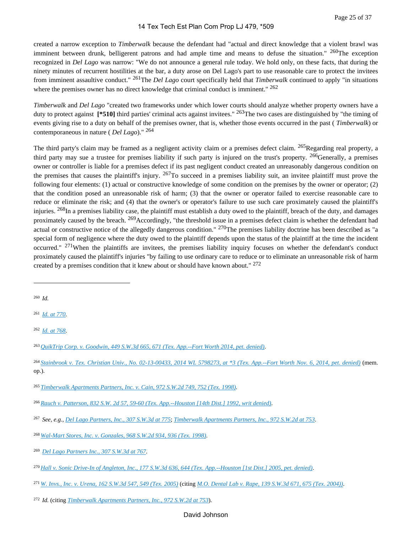created a narrow exception to *Timberwalk* because the defendant had "actual and direct knowledge that a violent brawl was imminent between drunk, belligerent patrons and had ample time and means to defuse the situation." <sup>260</sup>The exception recognized in *Del Lago* was narrow: "We do not announce a general rule today. We hold only, on these facts, that during the ninety minutes of recurrent hostilities at the bar, a duty arose on Del Lago's part to use reasonable care to protect the invitees from imminent assaultive conduct." 261The *Del Lago* court specifically held that *Timberwalk* continued to apply "in situations where the premises owner has no direct knowledge that criminal conduct is imminent."  $262$ 

*Timberwalk* and *Del Lago* "created two frameworks under which lower courts should analyze whether property owners have a duty to protect against **[\*510]** third parties' criminal acts against invitees." 263The two cases are distinguished by "the timing of events giving rise to a duty on behalf of the premises owner, that is, whether those events occurred in the past ( *Timberwalk*) or contemporaneous in nature ( *Del Lago*)." <sup>264</sup>

The third party's claim may be framed as a negligent activity claim or a premises defect claim. <sup>265</sup>Regarding real property, a third party may sue a trustee for premises liability if such party is injured on the trust's property.  $^{266}$ Generally, a premises owner or controller is liable for a premises defect if its past negligent conduct created an unreasonably dangerous condition on the premises that causes the plaintiff's injury.  $267$ To succeed in a premises liability suit, an invitee plaintiff must prove the following four elements: (1) actual or constructive knowledge of some condition on the premises by the owner or operator; (2) that the condition posed an unreasonable risk of harm; (3) that the owner or operator failed to exercise reasonable care to reduce or eliminate the risk; and (4) that the owner's or operator's failure to use such care proximately caused the plaintiff's injuries. <sup>268</sup>In a premises liability case, the plaintiff must establish a duty owed to the plaintiff, breach of the duty, and damages proximately caused by the breach. <sup>269</sup>Accordingly, "the threshold issue in a premises defect claim is whether the defendant had actual or constructive notice of the allegedly dangerous condition."  $^{270}$ The premises liability doctrine has been described as "a special form of negligence where the duty owed to the plaintiff depends upon the status of the plaintiff at the time the incident occurred."  $271$ When the plaintiffs are invitees, the premises liability inquiry focuses on whether the defendant's conduct proximately caused the plaintiff's injuries "by failing to use ordinary care to reduce or to eliminate an unreasonable risk of harm created by a premises condition that it knew about or should have known about." <sup>272</sup>

<sup>264</sup>*[Stainbrook v. Tex. Christian Univ., No. 02-13-00433, 2014 WL 5798273, at \\*3 \(Tex. App.--Fort Worth Nov. 6, 2014, pet. denied\)](https://advance.lexis.com/api/document?collection=cases&id=urn:contentItem:5DJ0-D6W1-F04K-B198-00000-00&context=1000516)* (mem. op.).

<sup>271</sup>*[W. Invs., Inc. v. Urena, 162 S.W.3d 547, 549 \(Tex. 2005\)](https://advance.lexis.com/api/document?collection=cases&id=urn:contentItem:4FWW-PYD0-0039-418X-00000-00&context=1000516)* (citing *[M.O. Dental Lab v. Rape, 139 S.W.3d 671, 675 \(Tex. 2004\)\)](https://advance.lexis.com/api/document?collection=cases&id=urn:contentItem:4CS5-5XX0-0039-40W7-00000-00&context=1000516)*.

# David Johnson

<sup>260</sup>*Id.*

<sup>261</sup>*[Id. at 770](https://advance.lexis.com/api/document?collection=cases&id=urn:contentItem:7Y5J-RBK0-YB0V-8031-00000-00&context=1000516)*.

<sup>262</sup>*[Id. at 768](https://advance.lexis.com/api/document?collection=cases&id=urn:contentItem:7Y5J-RBK0-YB0V-8031-00000-00&context=1000516)*.

<sup>263</sup>*[QuikTrip Corp. v. Goodwin, 449 S.W.3d 665, 671 \(Tex. App.--Fort Worth 2014, pet. denied\)](https://advance.lexis.com/api/document?collection=cases&id=urn:contentItem:5DKG-BF31-F04K-B22S-00000-00&context=1000516)*.

<sup>265</sup>*[Timberwalk Apartments Partners, Inc. v. Cain, 972 S.W.2d 749, 752 \(Tex. 1998\)](https://advance.lexis.com/api/document?collection=cases&id=urn:contentItem:3T3Y-TTN0-0039-427N-00000-00&context=1000516)*.

<sup>266</sup>*[Rauch v. Patterson, 832 S.W. 2d 57, 59-60 \(Tex. App.--Houston \[14th Dist.\] 1992, writ denied\)](https://advance.lexis.com/api/document?collection=cases&id=urn:contentItem:3S3K-1TV0-003C-21GP-00000-00&context=1000516)*.

<sup>267</sup>*See, e.g., [Del Lago Partners, Inc., 307 S.W.3d at 775](https://advance.lexis.com/api/document?collection=cases&id=urn:contentItem:7Y5J-RBK0-YB0V-8031-00000-00&context=1000516)*; *[Timberwalk Apartments Partners, Inc., 972 S.W.2d at 753](https://advance.lexis.com/api/document?collection=cases&id=urn:contentItem:3T3Y-TTN0-0039-427N-00000-00&context=1000516)*.

<sup>268</sup>*[Wal-Mart Stores, Inc. v. Gonzales, 968 S.W.2d 934, 936 \(Tex. 1998\)](https://advance.lexis.com/api/document?collection=cases&id=urn:contentItem:3SN6-M9T0-0039-43FY-00000-00&context=1000516)*.

<sup>269</sup>*[Del Lago Partners Inc., 307 S.W.3d at 767](https://advance.lexis.com/api/document?collection=cases&id=urn:contentItem:7Y5J-RBK0-YB0V-8031-00000-00&context=1000516)*.

<sup>270</sup>*[Hall v. Sonic Drive-In of Angleton, Inc., 177 S.W.3d 636, 644 \(Tex. App.--Houston \[1st Dist.\] 2005, pet. denied\)](https://advance.lexis.com/api/document?collection=cases&id=urn:contentItem:4H17-9SP0-TVWX-52H2-00000-00&context=1000516)*.

<sup>272</sup>*Id.* (citing *[Timberwalk Apartments Partners, Inc., 972 S.W.2d at 753](https://advance.lexis.com/api/document?collection=cases&id=urn:contentItem:3T3Y-TTN0-0039-427N-00000-00&context=1000516)*).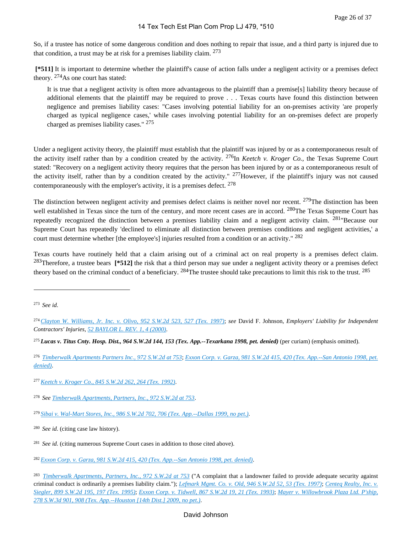So, if a trustee has notice of some dangerous condition and does nothing to repair that issue, and a third party is injured due to that condition, a trust may be at risk for a premises liability claim.  $273$ 

 **[\*511]** It is important to determine whether the plaintiff's cause of action falls under a negligent activity or a premises defect theory. 274As one court has stated:

It is true that a negligent activity is often more advantageous to the plaintiff than a premise[s] liability theory because of additional elements that the plaintiff may be required to prove . . . Texas courts have found this distinction between negligence and premises liability cases: "Cases involving potential liability for an on-premises activity 'are properly charged as typical negligence cases,' while cases involving potential liability for an on-premises defect are properly charged as premises liability cases." <sup>275</sup>

Under a negligent activity theory, the plaintiff must establish that the plaintiff was injured by or as a contemporaneous result of the activity itself rather than by a condition created by the activity. <sup>276</sup>In *Keetch v. Kroger Co.*, the Texas Supreme Court stated: "Recovery on a negligent activity theory requires that the person has been injured by or as a contemporaneous result of the activity itself, rather than by a condition created by the activity."  $277$ However, if the plaintiff's injury was not caused contemporaneously with the employer's activity, it is a premises defect.  $278$ 

The distinction between negligent activity and premises defect claims is neither novel nor recent. <sup>279</sup>The distinction has been well established in Texas since the turn of the century, and more recent cases are in accord. <sup>280</sup>The Texas Supreme Court has repeatedly recognized the distinction between a premises liability claim and a negligent activity claim. 281"Because our Supreme Court has repeatedly 'declined to eliminate all distinction between premises conditions and negligent activities,' a court must determine whether [the employee's] injuries resulted from a condition or an activity." <sup>282</sup>

Texas courts have routinely held that a claim arising out of a criminal act on real property is a premises defect claim. <sup>283</sup>Therefore, a trustee bears **[\*512]** the risk that a third person may sue under a negligent activity theory or a premises defect theory based on the criminal conduct of a beneficiary.  $^{284}$ The trustee should take precautions to limit this risk to the trust.  $^{285}$ 

<sup>276</sup>*[Timberwalk Apartments Partners Inc., 972 S.W.2d at 753](https://advance.lexis.com/api/document?collection=cases&id=urn:contentItem:3T3Y-TTN0-0039-427N-00000-00&context=1000516)*; *[Exxon Corp. v. Garza, 981 S.W.2d 415, 420 \(Tex. App.--San Antonio 1998, pet.](https://advance.lexis.com/api/document?collection=cases&id=urn:contentItem:3TPV-DP30-0039-443H-00000-00&context=1000516)  [denied\)](https://advance.lexis.com/api/document?collection=cases&id=urn:contentItem:3TPV-DP30-0039-443H-00000-00&context=1000516)*.

<sup>273</sup>*See id.*

<sup>274</sup>*[Clayton W. Williams, Jr. Inc. v. Olivo, 952 S.W.2d 523, 527 \(Tex. 1997\)](https://advance.lexis.com/api/document?collection=cases&id=urn:contentItem:3RJ7-TC50-0039-4540-00000-00&context=1000516)*; *see* David F. Johnson, *Employers' Liability for Independent Contractors' Injuries*, *[52 BAYLOR L. REV. 1, 4 \(2000\)](https://advance.lexis.com/api/document?collection=analytical-materials&id=urn:contentItem:40XY-7830-00CV-T0WS-00000-00&context=1000516)*.

<sup>275</sup>*Lucas v. Titus Cnty. Hosp. Dist., 964 S.W.2d 144, 153 (Tex. App.--Texarkana 1998, pet. denied)* (per curiam) (emphasis omitted).

<sup>277</sup>*[Keetch v. Kroger Co., 845 S.W.2d 262, 264 \(Tex. 1992\)](https://advance.lexis.com/api/document?collection=cases&id=urn:contentItem:3S3J-W7C0-003C-20V4-00000-00&context=1000516)*.

<sup>278</sup>*See [Timberwalk Apartments, Partners, Inc., 972 S.W.2d at 753](https://advance.lexis.com/api/document?collection=cases&id=urn:contentItem:3T3Y-TTN0-0039-427N-00000-00&context=1000516)*.

<sup>279</sup>*[Sibai v. Wal-Mart Stores, Inc., 986 S.W.2d 702, 706 \(Tex. App.--Dallas 1999, no pet.\)](https://advance.lexis.com/api/document?collection=cases&id=urn:contentItem:3VJ2-BF30-0039-438J-00000-00&context=1000516)*.

<sup>280</sup>*See id.* (citing case law history).

<sup>&</sup>lt;sup>281</sup> See id. (citing numerous Supreme Court cases in addition to those cited above).

<sup>282</sup>*[Exxon Corp. v. Garza, 981 S.W.2d 415, 420 \(Tex. App.--San Antonio 1998, pet. denied\)](https://advance.lexis.com/api/document?collection=cases&id=urn:contentItem:3TPV-DP30-0039-443H-00000-00&context=1000516)*.

<sup>283</sup>*[Timberwalk Apartments, Partners, Inc., 972 S.W.2d at 753](https://advance.lexis.com/api/document?collection=cases&id=urn:contentItem:3T3Y-TTN0-0039-427N-00000-00&context=1000516)* ("A complaint that a landowner failed to provide adequate security against criminal conduct is ordinarily a premises liability claim."); *[Lefmark Mgmt. Co. v. Old, 946 S.W.2d 52, 53 \(Tex. 1997\)](https://advance.lexis.com/api/document?collection=cases&id=urn:contentItem:3S3J-W3K0-003C-200D-00000-00&context=1000516)*; *[Centeq Realty, Inc. v.](https://advance.lexis.com/api/document?collection=cases&id=urn:contentItem:3S3J-W540-003C-209K-00000-00&context=1000516)  [Siegler, 899 S.W.2d 195, 197 \(Tex. 1995\)](https://advance.lexis.com/api/document?collection=cases&id=urn:contentItem:3S3J-W540-003C-209K-00000-00&context=1000516)*; *[Exxon Corp. v. Tidwell, 867 S.W.2d 19, 21 \(Tex. 1993\)](https://advance.lexis.com/api/document?collection=cases&id=urn:contentItem:3S3J-W680-003C-20KG-00000-00&context=1000516)*; *[Mayer v. Willowbrook Plaza Ltd. P'ship,](https://advance.lexis.com/api/document?collection=cases&id=urn:contentItem:4VN5-WK70-TXFW-X2XK-00000-00&context=1000516)  [278 S.W.3d 901, 908 \(Tex. App.--Houston \[14th Dist.\] 2009, no pet.\)](https://advance.lexis.com/api/document?collection=cases&id=urn:contentItem:4VN5-WK70-TXFW-X2XK-00000-00&context=1000516)*.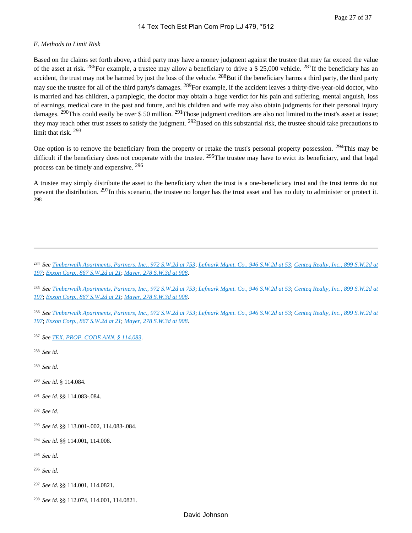#### *E. Methods to Limit Risk*

Based on the claims set forth above, a third party may have a money judgment against the trustee that may far exceed the value of the asset at risk. <sup>286</sup>For example, a trustee may allow a beneficiary to drive a \$ 25,000 vehicle. <sup>287</sup>If the beneficiary has an accident, the trust may not be harmed by just the loss of the vehicle. <sup>288</sup>But if the beneficiary harms a third party, the third party may sue the trustee for all of the third party's damages.  $^{289}$ For example, if the accident leaves a thirty-five-year-old doctor, who is married and has children, a paraplegic, the doctor may obtain a huge verdict for his pain and suffering, mental anguish, loss of earnings, medical care in the past and future, and his children and wife may also obtain judgments for their personal injury damages. <sup>290</sup>This could easily be over \$ 50 million. <sup>291</sup>Those judgment creditors are also not limited to the trust's asset at issue; they may reach other trust assets to satisfy the judgment. <sup>292</sup>Based on this substantial risk, the trustee should take precautions to limit that risk 293

One option is to remove the beneficiary from the property or retake the trust's personal property possession. <sup>294</sup>This may be difficult if the beneficiary does not cooperate with the trustee.  $^{295}$ The trustee may have to evict its beneficiary, and that legal process can be timely and expensive. <sup>296</sup>

A trustee may simply distribute the asset to the beneficiary when the trust is a one-beneficiary trust and the trust terms do not prevent the distribution. <sup>297</sup>In this scenario, the trustee no longer has the trust asset and has no duty to administer or protect it. 298

<sup>284</sup>*See [Timberwalk Apartments, Partners, Inc., 972 S.W.2d at 753](https://advance.lexis.com/api/document?collection=cases&id=urn:contentItem:3T3Y-TTN0-0039-427N-00000-00&context=1000516)*; *[Lefmark Mgmt. Co., 946 S.W.2d at 53](https://advance.lexis.com/api/document?collection=cases&id=urn:contentItem:3S3J-W3K0-003C-200D-00000-00&context=1000516)*; *[Centeq Realty, Inc., 899 S.W.2d at](https://advance.lexis.com/api/document?collection=cases&id=urn:contentItem:3S3J-W540-003C-209K-00000-00&context=1000516)  [197](https://advance.lexis.com/api/document?collection=cases&id=urn:contentItem:3S3J-W540-003C-209K-00000-00&context=1000516)*; *[Exxon Corp., 867 S.W.2d at 21](https://advance.lexis.com/api/document?collection=cases&id=urn:contentItem:3S3J-W680-003C-20KG-00000-00&context=1000516)*; *[Mayer, 278 S.W.3d at 908](https://advance.lexis.com/api/document?collection=cases&id=urn:contentItem:4VN5-WK70-TXFW-X2XK-00000-00&context=1000516)*.

<sup>285</sup>*See [Timberwalk Apartments, Partners, Inc., 972 S.W.2d at 753](https://advance.lexis.com/api/document?collection=cases&id=urn:contentItem:3T3Y-TTN0-0039-427N-00000-00&context=1000516)*; *[Lefmark Mgmt. Co., 946 S.W.2d at 53](https://advance.lexis.com/api/document?collection=cases&id=urn:contentItem:3S3J-W3K0-003C-200D-00000-00&context=1000516)*; *[Centeq Realty, Inc., 899 S.W.2d at](https://advance.lexis.com/api/document?collection=cases&id=urn:contentItem:3S3J-W540-003C-209K-00000-00&context=1000516)  [197](https://advance.lexis.com/api/document?collection=cases&id=urn:contentItem:3S3J-W540-003C-209K-00000-00&context=1000516)*; *[Exxon Corp., 867 S.W.2d at 21](https://advance.lexis.com/api/document?collection=cases&id=urn:contentItem:3S3J-W680-003C-20KG-00000-00&context=1000516)*; *[Mayer, 278 S.W.3d at 908](https://advance.lexis.com/api/document?collection=cases&id=urn:contentItem:4VN5-WK70-TXFW-X2XK-00000-00&context=1000516)*.

<sup>286</sup>*See [Timberwalk Apartments, Partners, Inc., 972 S.W.2d at 753](https://advance.lexis.com/api/document?collection=cases&id=urn:contentItem:3T3Y-TTN0-0039-427N-00000-00&context=1000516)*; *[Lefmark Mgmt. Co., 946 S.W.2d at 53](https://advance.lexis.com/api/document?collection=cases&id=urn:contentItem:3S3J-W3K0-003C-200D-00000-00&context=1000516)*; *[Centeq Realty, Inc., 899 S.W.2d at](https://advance.lexis.com/api/document?collection=cases&id=urn:contentItem:3S3J-W540-003C-209K-00000-00&context=1000516)  [197](https://advance.lexis.com/api/document?collection=cases&id=urn:contentItem:3S3J-W540-003C-209K-00000-00&context=1000516)*; *[Exxon Corp., 867 S.W.2d at 21](https://advance.lexis.com/api/document?collection=cases&id=urn:contentItem:3S3J-W680-003C-20KG-00000-00&context=1000516)*; *[Mayer, 278 S.W.3d at 908](https://advance.lexis.com/api/document?collection=cases&id=urn:contentItem:4VN5-WK70-TXFW-X2XK-00000-00&context=1000516)*.

<sup>287</sup>*See [TEX. PROP. CODE ANN. § 114.083](https://advance.lexis.com/api/document?collection=statutes-legislation&id=urn:contentItem:5DDJ-C7H1-JW8X-V4K3-00000-00&context=1000516)*.

<sup>288</sup>*See id.*

<sup>289</sup>*See id.*

<sup>290</sup>*See id.* § 114.084.

<sup>291</sup>*See id.* §§ 114.083-.084.

<sup>292</sup>*See id.*

<sup>293</sup>*See id.* §§ 113.001-.002, 114.083-.084.

<sup>294</sup>*See id.* §§ 114.001, 114.008.

<sup>295</sup>*See id.*

<sup>296</sup>*See id.*

<sup>297</sup>*See id.* §§ 114.001, 114.0821.

<sup>298</sup>*See id.* §§ 112.074, 114.001, 114.0821.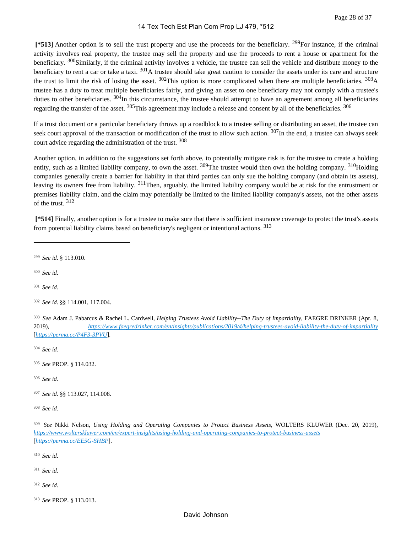**[\*513]** Another option is to sell the trust property and use the proceeds for the beneficiary. <sup>299</sup>For instance, if the criminal activity involves real property, the trustee may sell the property and use the proceeds to rent a house or apartment for the beneficiary. <sup>300</sup>Similarly, if the criminal activity involves a vehicle, the trustee can sell the vehicle and distribute money to the beneficiary to rent a car or take a taxi. <sup>301</sup>A trustee should take great caution to consider the assets under its care and structure the trust to limit the risk of losing the asset.  $302$ This option is more complicated when there are multiple beneficiaries.  $303$ A trustee has a duty to treat multiple beneficiaries fairly, and giving an asset to one beneficiary may not comply with a trustee's duties to other beneficiaries. <sup>304</sup>In this circumstance, the trustee should attempt to have an agreement among all beneficiaries regarding the transfer of the asset. <sup>305</sup>This agreement may include a release and consent by all of the beneficiaries. <sup>306</sup>

If a trust document or a particular beneficiary throws up a roadblock to a trustee selling or distributing an asset, the trustee can seek court approval of the transaction or modification of the trust to allow such action. 307In the end, a trustee can always seek court advice regarding the administration of the trust. <sup>308</sup>

Another option, in addition to the suggestions set forth above, to potentially mitigate risk is for the trustee to create a holding entity, such as a limited liability company, to own the asset.  $309$ The trustee would then own the holding company.  $310$ Holding companies generally create a barrier for liability in that third parties can only sue the holding company (and obtain its assets), leaving its owners free from liability. <sup>311</sup>Then, arguably, the limited liability company would be at risk for the entrustment or premises liability claim, and the claim may potentially be limited to the limited liability company's assets, not the other assets of the trust. <sup>312</sup>

 **[\*514]** Finally, another option is for a trustee to make sure that there is sufficient insurance coverage to protect the trust's assets from potential liability claims based on beneficiary's negligent or intentional actions. <sup>313</sup>

<sup>299</sup>*See id.* § 113.010.

<sup>300</sup>*See id.*

<sup>301</sup>*See id.*

<sup>304</sup>*See id.*

<sup>305</sup>*See* PROP. § 114.032.

<sup>306</sup>*See id.*

<sup>307</sup>*See id.* §§ 113.027, 114.008.

<sup>308</sup>*See id.*

<sup>310</sup>*See id.*

- <sup>312</sup>*See id.*
- <sup>313</sup>*See* PROP. § 113.013.

<sup>302</sup>*See id.* §§ 114.001, 117.004.

<sup>303</sup>*See* Adam J. Pabarcus & Rachel L. Cardwell, *Helping Trustees Avoid Liability--The Duty of Impartiality*, FAEGRE DRINKER (Apr. 8, 2019), *<https://www.faegredrinker.com/en/insights/publications/2019/4/helping-trustees-avoid-liability-the-duty-of-impartiality>* [*<https://perma.cc/P4F3-3PVU>*].

<sup>309</sup>*See* Nikki Nelson, *Using Holding and Operating Companies to Protect Business Assets*, WOLTERS KLUWER (Dec. 20, 2019), *<https://www.wolterskluwer.com/en/expert-insights/using-holding-and-operating-companies-to-protect-business-assets>* [*<https://perma.cc/EE5G-SHBP>*].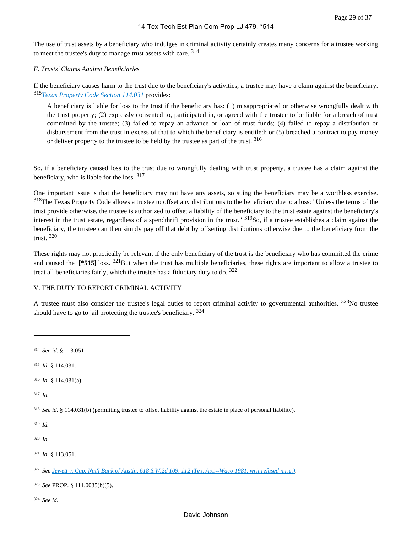The use of trust assets by a beneficiary who indulges in criminal activity certainly creates many concerns for a trustee working to meet the trustee's duty to manage trust assets with care. <sup>314</sup>

#### *F. Trusts' Claims Against Beneficiaries*

If the beneficiary causes harm to the trust due to the beneficiary's activities, a trustee may have a claim against the beneficiary. <sup>315</sup>*[Texas Property Code Section 114.031](https://advance.lexis.com/api/document?collection=statutes-legislation&id=urn:contentItem:5DDJ-C7H1-JW8X-V4JM-00000-00&context=1000516)* provides:

A beneficiary is liable for loss to the trust if the beneficiary has: (1) misappropriated or otherwise wrongfully dealt with the trust property; (2) expressly consented to, participated in, or agreed with the trustee to be liable for a breach of trust committed by the trustee; (3) failed to repay an advance or loan of trust funds; (4) failed to repay a distribution or disbursement from the trust in excess of that to which the beneficiary is entitled; or (5) breached a contract to pay money or deliver property to the trustee to be held by the trustee as part of the trust. 316

So, if a beneficiary caused loss to the trust due to wrongfully dealing with trust property, a trustee has a claim against the beneficiary, who is liable for the loss. <sup>317</sup>

One important issue is that the beneficiary may not have any assets, so suing the beneficiary may be a worthless exercise. <sup>318</sup>The Texas Property Code allows a trustee to offset any distributions to the beneficiary due to a loss: "Unless the terms of the trust provide otherwise, the trustee is authorized to offset a liability of the beneficiary to the trust estate against the beneficiary's interest in the trust estate, regardless of a spendthrift provision in the trust." 319So, if a trustee establishes a claim against the beneficiary, the trustee can then simply pay off that debt by offsetting distributions otherwise due to the beneficiary from the trust. <sup>320</sup>

These rights may not practically be relevant if the only beneficiary of the trust is the beneficiary who has committed the crime and caused the **[\*515]** loss. <sup>321</sup>But when the trust has multiple beneficiaries, these rights are important to allow a trustee to treat all beneficiaries fairly, which the trustee has a fiduciary duty to do.  $322$ 

#### V. THE DUTY TO REPORT CRIMINAL ACTIVITY

A trustee must also consider the trustee's legal duties to report criminal activity to governmental authorities. <sup>323</sup>No trustee should have to go to jail protecting the trustee's beneficiary.  $324$ 

<sup>317</sup>*Id.*

<sup>318</sup>*See id.* § 114.031(b) (permitting trustee to offset liability against the estate in place of personal liability).

<sup>319</sup>*Id.*

<sup>320</sup>*Id.*

<sup>321</sup>*Id.* § 113.051.

<sup>323</sup>*See* PROP. § 111.0035(b)(5).

<sup>314</sup>*See id.* § 113.051.

<sup>315</sup>*Id.* § 114.031.

<sup>316</sup>*Id.* § 114.031(a).

<sup>322</sup>*See [Jewett v. Cap. Nat'l Bank of Austin, 618 S.W.2d 109, 112 \(Tex. App--Waco 1981, writ refused n.r.e.\)](https://advance.lexis.com/api/document?collection=cases&id=urn:contentItem:3S3K-51P0-003C-22BS-00000-00&context=1000516)*.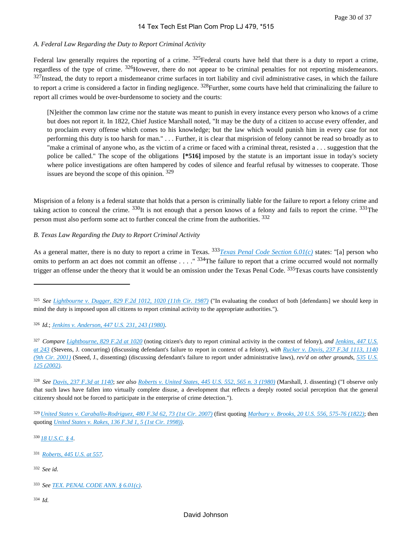# *A. Federal Law Regarding the Duty to Report Criminal Activity*

Federal law generally requires the reporting of a crime.  $325$ Federal courts have held that there is a duty to report a crime, regardless of the type of crime. 326However, there do not appear to be criminal penalties for not reporting misdemeanors.  $327$ Instead, the duty to report a misdemeanor crime surfaces in tort liability and civil administrative cases, in which the failure to report a crime is considered a factor in finding negligence.  $328$ Further, some courts have held that criminalizing the failure to report all crimes would be over-burdensome to society and the courts:

[N]either the common law crime nor the statute was meant to punish in every instance every person who knows of a crime but does not report it. In 1822, Chief Justice Marshall noted, "It may be the duty of a citizen to accuse every offender, and to proclaim every offense which comes to his knowledge; but the law which would punish him in every case for not performing this duty is too harsh for man." . . . Further, it is clear that misprision of felony cannot be read so broadly as to "make a criminal of anyone who, as the victim of a crime or faced with a criminal threat, resisted a . . . suggestion that the police be called." The scope of the obligations **[\*516]** imposed by the statute is an important issue in today's society where police investigations are often hampered by codes of silence and fearful refusal by witnesses to cooperate. Those issues are beyond the scope of this opinion. <sup>329</sup>

Misprision of a felony is a federal statute that holds that a person is criminally liable for the failure to report a felony crime and taking action to conceal the crime.  $330$ It is not enough that a person knows of a felony and fails to report the crime.  $331$ The person must also perform some act to further conceal the crime from the authorities. <sup>332</sup>

# *B. Texas Law Regarding the Duty to Report Criminal Activity*

As a general matter, there is no duty to report a crime in Texas. 333*[Texas Penal Code Section 6.01\(c\)](https://advance.lexis.com/api/document?collection=statutes-legislation&id=urn:contentItem:5DV8-83C1-DYB7-W55D-00000-00&context=1000516)* states: "[a] person who omits to perform an act does not commit an offense . . . . "<sup>334</sup>The failure to report that a crime occurred would not normally trigger an offense under the theory that it would be an omission under the Texas Penal Code. <sup>335</sup>Texas courts have consistently

<sup>326</sup>*Id.*; *[Jenkins v. Anderson, 447 U.S. 231, 243 \(1980\)](https://advance.lexis.com/api/document?collection=cases&id=urn:contentItem:3S4X-76H0-003B-S17H-00000-00&context=1000516)*.

<sup>329</sup>*[United States v. Caraballo-Rodriguez, 480 F.3d 62, 73 \(1st Cir. 2007\)](https://advance.lexis.com/api/document?collection=cases&id=urn:contentItem:4N9P-YT20-0038-X2NJ-00000-00&context=1000516)* (first quoting *[Marbury v. Brooks, 20 U.S. 556, 575-76 \(1822\)](https://advance.lexis.com/api/document?collection=cases&id=urn:contentItem:3S4X-KR30-003B-H0C6-00000-00&context=1000516)*; then quoting *[United States v. Rakes, 136 F.3d 1, 5 \(1st Cir. 1998\)\)](https://advance.lexis.com/api/document?collection=cases&id=urn:contentItem:3S5B-B6C0-0038-X3YT-00000-00&context=1000516)*.

<sup>330</sup>*[18 U.S.C. § 4](https://advance.lexis.com/api/document?collection=statutes-legislation&id=urn:contentItem:8SG9-5032-D6RV-H4XN-00000-00&context=1000516)*.

- <sup>331</sup>*[Roberts, 445 U.S. at 557](https://advance.lexis.com/api/document?collection=cases&id=urn:contentItem:3S4X-7FF0-003B-S287-00000-00&context=1000516)*.
- <sup>332</sup>*See id.*
- <sup>333</sup>*See [TEX. PENAL CODE ANN. § 6.01\(c\)](https://advance.lexis.com/api/document?collection=statutes-legislation&id=urn:contentItem:5DV8-83C1-DYB7-W55D-00000-00&context=1000516)*.
- <sup>334</sup>*Id.*

<sup>325</sup>*See [Lightbourne v. Dugger, 829 F.2d 1012, 1020 \(11th Cir. 1987\)](https://advance.lexis.com/api/document?collection=cases&id=urn:contentItem:3S4X-77B0-001B-K2X4-00000-00&context=1000516)* ("In evaluating the conduct of both [defendants] we should keep in mind the duty is imposed upon all citizens to report criminal activity to the appropriate authorities.").

<sup>327</sup>*Compare [Lightbourne, 829 F.2d at 1020](https://advance.lexis.com/api/document?collection=cases&id=urn:contentItem:3S4X-77B0-001B-K2X4-00000-00&context=1000516)* (noting citizen's duty to report criminal activity in the context of felony), *and [Jenkins, 447 U.S.](https://advance.lexis.com/api/document?collection=cases&id=urn:contentItem:3S4X-76H0-003B-S17H-00000-00&context=1000516)  [at 243](https://advance.lexis.com/api/document?collection=cases&id=urn:contentItem:3S4X-76H0-003B-S17H-00000-00&context=1000516)* (Stevens, J. concurring) (discussing defendant's failure to report in context of a felony), *with [Rucker v. Davis, 237 F.3d 1113, 1140](https://advance.lexis.com/api/document?collection=cases&id=urn:contentItem:426P-N660-0038-X0CT-00000-00&context=1000516)  [\(9th Cir. 2001\)](https://advance.lexis.com/api/document?collection=cases&id=urn:contentItem:426P-N660-0038-X0CT-00000-00&context=1000516)* (Sneed, J., dissenting) (discussing defendant's failure to report under administrative laws), *rev'd on other grounds*, *[535 U.S.](https://advance.lexis.com/api/document?collection=cases&id=urn:contentItem:45FB-8100-004B-Y05T-00000-00&context=1000516)  [125 \(2002\)](https://advance.lexis.com/api/document?collection=cases&id=urn:contentItem:45FB-8100-004B-Y05T-00000-00&context=1000516)*.

<sup>328</sup>*See [Davis, 237 F.3d at 1140](https://advance.lexis.com/api/document?collection=cases&id=urn:contentItem:426P-N660-0038-X0CT-00000-00&context=1000516)*; *see also [Roberts v. United States, 445 U.S. 552, 565 n. 3 \(1980\)](https://advance.lexis.com/api/document?collection=cases&id=urn:contentItem:3S4X-7FF0-003B-S287-00000-00&context=1000516)* (Marshall, J. dissenting) ("I observe only that such laws have fallen into virtually complete disuse, a development that reflects a deeply rooted social perception that the general citizenry should not be forced to participate in the enterprise of crime detection.").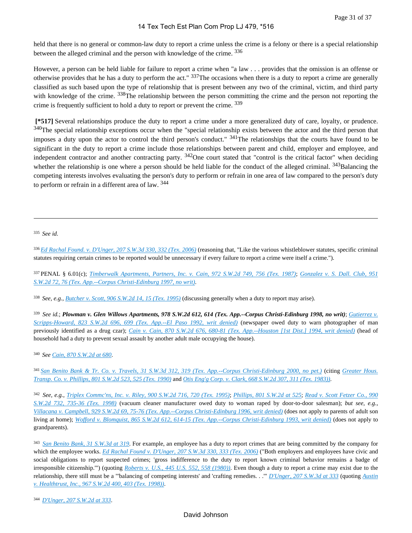held that there is no general or common-law duty to report a crime unless the crime is a felony or there is a special relationship between the alleged criminal and the person with knowledge of the crime. <sup>336</sup>

However, a person can be held liable for failure to report a crime when "a law . . . provides that the omission is an offense or otherwise provides that he has a duty to perform the act."  $337$ The occasions when there is a duty to report a crime are generally classified as such based upon the type of relationship that is present between any two of the criminal, victim, and third party with knowledge of the crime. <sup>338</sup>The relationship between the person committing the crime and the person not reporting the crime is frequently sufficient to hold a duty to report or prevent the crime. <sup>339</sup>

 **[\*517]** Several relationships produce the duty to report a crime under a more generalized duty of care, loyalty, or prudence. <sup>340</sup>The special relationship exceptions occur when the "special relationship exists between the actor and the third person that imposes a duty upon the actor to control the third person's conduct."  $341$ The relationships that the courts have found to be significant in the duty to report a crime include those relationships between parent and child, employer and employee, and independent contractor and another contracting party.  $342$ One court stated that "control is the critical factor" when deciding whether the relationship is one where a person should be held liable for the conduct of the alleged criminal. <sup>343</sup>Balancing the competing interests involves evaluating the person's duty to perform or refrain in one area of law compared to the person's duty to perform or refrain in a different area of law. <sup>344</sup>

<sup>335</sup>*See id.*

<sup>336</sup>*[Ed Rachal Found. v. D'Unger, 207 S.W.3d 330, 332 \(Tex. 2006\)](https://advance.lexis.com/api/document?collection=cases&id=urn:contentItem:4JSF-PMW0-0039-40K3-00000-00&context=1000516)* (reasoning that, "Like the various whistleblower statutes, specific criminal statutes requiring certain crimes to be reported would be unnecessary if every failure to report a crime were itself a crime.").

<sup>337</sup>PENAL § 6.01(c); *[Timberwalk Apartments, Partners, Inc. v. Cain, 972 S.W.2d 749, 756 \(Tex. 1987\)](https://advance.lexis.com/api/document?collection=cases&id=urn:contentItem:3T3Y-TTN0-0039-427N-00000-00&context=1000516)*; *[Gonzalez v. S. Dall. Club, 951](https://advance.lexis.com/api/document?collection=cases&id=urn:contentItem:3RRT-PW90-003C-208Y-00000-00&context=1000516)  [S.W.2d 72, 76 \(Tex. App.--Corpus Christi-Edinburg 1997, no writ\)](https://advance.lexis.com/api/document?collection=cases&id=urn:contentItem:3RRT-PW90-003C-208Y-00000-00&context=1000516)*.

<sup>338</sup>*See, e.g.*, *[Butcher v. Scott, 906 S.W.2d 14, 15 \(Tex. 1995\)](https://advance.lexis.com/api/document?collection=cases&id=urn:contentItem:3S3J-W4P0-003C-2075-00000-00&context=1000516)* (discussing generally when a duty to report may arise).

<sup>339</sup>*See id.*; *Plowman v. Glen Willows Apartments, 978 S.W.2d 612, 614 (Tex. App.--Corpus Christi-Edinburg 1998, no writ)*; *[Gutierrez v.](https://advance.lexis.com/api/document?collection=cases&id=urn:contentItem:3S3K-1VH0-003C-21SG-00000-00&context=1000516)  [Scripps-Howard, 823 S.W.2d 696, 699 \(Tex. App.--El Paso 1992, writ denied\)](https://advance.lexis.com/api/document?collection=cases&id=urn:contentItem:3S3K-1VH0-003C-21SG-00000-00&context=1000516)* (newspaper owed duty to warn photographer of man previously identified as a drug czar); *[Cain v. Cain, 870 S.W.2d 676, 680-81 \(Tex. App.--Houston \[1st Dist.\] 1994, writ denied\)](https://advance.lexis.com/api/document?collection=cases&id=urn:contentItem:3S3K-11P0-003C-23MG-00000-00&context=1000516)* (head of household had a duty to prevent sexual assault by another adult male occupying the house).

<sup>340</sup>*See [Cain, 870 S.W.2d at 680](https://advance.lexis.com/api/document?collection=cases&id=urn:contentItem:3S3K-11P0-003C-23MG-00000-00&context=1000516)*.

<sup>341</sup>*[San Benito Bank & Tr. Co. v. Travels, 31 S.W.3d 312, 319 \(Tex. App.--Corpus Christi-Edinburg 2000, no pet.\)](https://advance.lexis.com/api/document?collection=cases&id=urn:contentItem:4124-XPJ0-0039-407H-00000-00&context=1000516)* (citing *[Greater Hous.](https://advance.lexis.com/api/document?collection=cases&id=urn:contentItem:3S3J-W970-003C-2172-00000-00&context=1000516)  [Transp. Co. v. Phillips, 801 S.W.2d 523, 525 \(Tex. 1990\)](https://advance.lexis.com/api/document?collection=cases&id=urn:contentItem:3S3J-W970-003C-2172-00000-00&context=1000516)* and *[Otis Eng'g Corp. v. Clark, 668 S.W.2d 307, 311 \(Tex. 1983\)\)](https://advance.lexis.com/api/document?collection=cases&id=urn:contentItem:3S3J-WF10-003C-22V8-00000-00&context=1000516)*.

<sup>342</sup>*See, e.g.*, *[Triplex Commc'ns, Inc. v. Riley, 900 S.W.2d 716, 720 \(Tex. 1995\)](https://advance.lexis.com/api/document?collection=cases&id=urn:contentItem:3S3J-W520-003C-2092-00000-00&context=1000516)*; *[Phillips, 801 S.W.2d at 525](https://advance.lexis.com/api/document?collection=cases&id=urn:contentItem:3S3J-W970-003C-2172-00000-00&context=1000516)*; *[Read v. Scott Fetzer Co., 990](https://advance.lexis.com/api/document?collection=cases&id=urn:contentItem:3VGJ-N5W0-0039-42XB-00000-00&context=1000516)  [S.W.2d 732, 735-36 \(Tex. 1998\)](https://advance.lexis.com/api/document?collection=cases&id=urn:contentItem:3VGJ-N5W0-0039-42XB-00000-00&context=1000516)* (vacuum cleaner manufacturer owed duty to woman raped by door-to-door salesman); *but see, e.g.*, *[Villacana v. Campbell, 929 S.W.2d 69, 75-76 \(Tex. App.--Corpus Christi-Edinburg 1996, writ denied\)](https://advance.lexis.com/api/document?collection=cases&id=urn:contentItem:3S3J-YNX0-003C-2017-00000-00&context=1000516)* (does not apply to parents of adult son living at home); *[Wofford v. Blomquist, 865 S.W.2d 612, 614-15 \(Tex. App.--Corpus Christi-Edinburg 1993, writ denied\)](https://advance.lexis.com/api/document?collection=cases&id=urn:contentItem:3S3K-1450-003C-24MH-00000-00&context=1000516)* (does not apply to grandparents).

<sup>343</sup>*[San Benito Bank, 31 S.W.3d at 319](https://advance.lexis.com/api/document?collection=cases&id=urn:contentItem:4124-XPJ0-0039-407H-00000-00&context=1000516)*. For example, an employee has a duty to report crimes that are being committed by the company for which the employee works. *[Ed Rachal Found v. D'Unger, 207 S.W.3d 330, 333 \(Tex. 2006\)](https://advance.lexis.com/api/document?collection=cases&id=urn:contentItem:4JSF-PMW0-0039-40K3-00000-00&context=1000516)* ("Both employers and employees have civic and social obligations to report suspected crimes; 'gross indifference to the duty to report known criminal behavior remains a badge of irresponsible citizenship.'") (quoting *[Roberts v. U.S., 445 U.S. 552, 558 \(1980\)\)](https://advance.lexis.com/api/document?collection=cases&id=urn:contentItem:3S4X-7FF0-003B-S287-00000-00&context=1000516)*. Even though a duty to report a crime may exist due to the relationship, there still must be a "'balancing of competing interests' and 'crafting remedies. . .'" *[D'Unger, 207 S.W.3d at 333](https://advance.lexis.com/api/document?collection=cases&id=urn:contentItem:4JSF-PMW0-0039-40K3-00000-00&context=1000516)* (quoting *[Austin](https://advance.lexis.com/api/document?collection=cases&id=urn:contentItem:3SG3-33K0-0039-442F-00000-00&context=1000516)  [v. Healthtrust, Inc., 967 S.W.2d 400, 403 \(Tex. 1998\)\)](https://advance.lexis.com/api/document?collection=cases&id=urn:contentItem:3SG3-33K0-0039-442F-00000-00&context=1000516)*.

<sup>344</sup>*[D'Unger, 207 S.W.2d at 333](https://advance.lexis.com/api/document?collection=cases&id=urn:contentItem:3RRJ-4RF0-003V-D2MT-00000-00&context=1000516)*.

#### David Johnson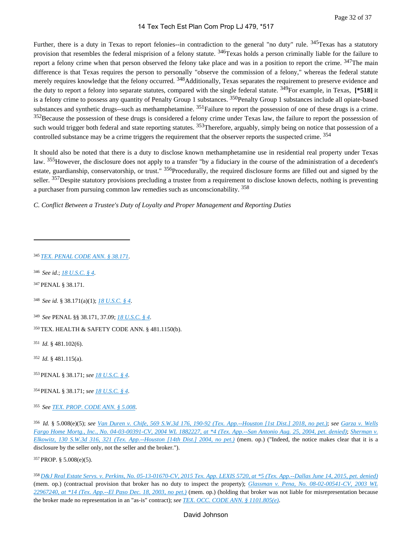Further, there is a duty in Texas to report felonies--in contradiction to the general "no duty" rule. <sup>345</sup>Texas has a statutory provision that resembles the federal misprision of a felony statute. <sup>346</sup>Texas holds a person criminally liable for the failure to report a felony crime when that person observed the felony take place and was in a position to report the crime. <sup>347</sup>The main difference is that Texas requires the person to personally "observe the commission of a felony," whereas the federal statute merely requires knowledge that the felony occurred. <sup>348</sup>Additionally, Texas separates the requirement to preserve evidence and the duty to report a felony into separate statutes, compared with the single federal statute. 349For example, in Texas, **[\*518]** it is a felony crime to possess any quantity of Penalty Group 1 substances. <sup>350</sup>Penalty Group 1 substances include all opiate-based substances and synthetic drugs--such as methamphetamine.  $351$  Failure to report the possession of one of these drugs is a crime. <sup>352</sup>Because the possession of these drugs is considered a felony crime under Texas law, the failure to report the possession of such would trigger both federal and state reporting statutes. <sup>353</sup>Therefore, arguably, simply being on notice that possession of a controlled substance may be a crime triggers the requirement that the observer reports the suspected crime. <sup>354</sup>

It should also be noted that there is a duty to disclose known methamphetamine use in residential real property under Texas law. 355However, the disclosure does not apply to a transfer "by a fiduciary in the course of the administration of a decedent's estate, guardianship, conservatorship, or trust." <sup>356</sup>Procedurally, the required disclosure forms are filled out and signed by the seller. <sup>357</sup>Despite statutory provisions precluding a trustee from a requirement to disclose known defects, nothing is preventing a purchaser from pursuing common law remedies such as unconscionability. <sup>358</sup>

*C. Conflict Between a Trustee's Duty of Loyalty and Proper Management and Reporting Duties*

- <sup>346</sup>*See id.*; *[18 U.S.C. § 4](https://advance.lexis.com/api/document?collection=statutes-legislation&id=urn:contentItem:8SG9-5032-D6RV-H4XN-00000-00&context=1000516)*.
- <sup>347</sup>PENAL § 38.171.
- <sup>348</sup>*See id.* § 38.171(a)(1); *[18 U.S.C. § 4](https://advance.lexis.com/api/document?collection=statutes-legislation&id=urn:contentItem:8SG9-5032-D6RV-H4XN-00000-00&context=1000516)*.
- <sup>349</sup>*See* PENAL §§ 38.171, 37.09; *[18 U.S.C. § 4](https://advance.lexis.com/api/document?collection=statutes-legislation&id=urn:contentItem:8SG9-5032-D6RV-H4XN-00000-00&context=1000516)*.
- <sup>350</sup>TEX. HEALTH & SAFETY CODE ANN. § 481.1150(b).
- <sup>351</sup>*Id.* § 481.102(6).
- <sup>352</sup>*Id.* § 481.115(a).
- <sup>353</sup>PENAL § 38.171; *see [18 U.S.C. § 4](https://advance.lexis.com/api/document?collection=statutes-legislation&id=urn:contentItem:8SG9-5032-D6RV-H4XN-00000-00&context=1000516)*.
- <sup>354</sup>PENAL § 38.171; *see [18 U.S.C. § 4](https://advance.lexis.com/api/document?collection=statutes-legislation&id=urn:contentItem:8SG9-5032-D6RV-H4XN-00000-00&context=1000516)*.
- <sup>355</sup>*See [TEX. PROP. CODE ANN. § 5.008](https://advance.lexis.com/api/document?collection=statutes-legislation&id=urn:contentItem:5X6B-X793-GXJ9-31VS-00000-00&context=1000516)*.

<sup>357</sup>PROP. § 5.008(e)(5).

<sup>345</sup>*[TEX. PENAL CODE ANN. § 38.171](https://advance.lexis.com/api/document?collection=statutes-legislation&id=urn:contentItem:5DV8-86D1-DYB7-W0X6-00000-00&context=1000516)*.

<sup>356</sup>*Id.* § 5.008(e)(5); *see [Van Duren v. Chife, 569 S.W.3d 176, 190-92 \(Tex. App.--Houston \[1st Dist.\] 2018, no pet.\)](https://advance.lexis.com/api/document?collection=cases&id=urn:contentItem:5SBM-HK91-F81W-214C-00000-00&context=1000516)*; *see [Garza v. Wells](https://advance.lexis.com/api/document?collection=cases&id=urn:contentItem:4D5N-9XX0-0039-4112-00000-00&context=1000516)  [Fargo Home Mortg., Inc., No. 04-03-00391-CV, 2004 WL 1882227, at \\*4 \(Tex. App.--San Antonio Aug. 25, 2004, pet. denied\)](https://advance.lexis.com/api/document?collection=cases&id=urn:contentItem:4D5N-9XX0-0039-4112-00000-00&context=1000516)*; *[Sherman v.](https://advance.lexis.com/api/document?collection=cases&id=urn:contentItem:4BRJ-TPG0-0039-43PV-00000-00&context=1000516)  [Elkowitz, 130 S.W.3d 316, 321 \(Tex. App.--Houston \[14th Dist.\] 2004, no pet.\)](https://advance.lexis.com/api/document?collection=cases&id=urn:contentItem:4BRJ-TPG0-0039-43PV-00000-00&context=1000516)* (mem. op.) ("Indeed, the notice makes clear that it is a disclosure by the seller only, not the seller and the broker.").

<sup>358</sup>*[D&J Real Estate Servs. v. Perkins, No. 05-13-01670-CV, 2015 Tex. App. LEXIS 5720, at \\*5 \(Tex. App.--Dallas June 14, 2015, pet. denied\)](https://advance.lexis.com/api/document?collection=cases&id=urn:contentItem:5G4T-CVK1-F04K-B3KV-00000-00&context=1000516)* (mem. op.) (contractual provision that broker has no duty to inspect the property); *[Glassman v. Pena, No. 08-02-00541-CV, 2003 WL](https://advance.lexis.com/api/document?collection=cases&id=urn:contentItem:4B85-MPV0-0039-41X7-00000-00&context=1000516)  [22967240, at \\*14 \(Tex. App.--El Paso Dec. 18, 2003, no pet.\)](https://advance.lexis.com/api/document?collection=cases&id=urn:contentItem:4B85-MPV0-0039-41X7-00000-00&context=1000516)* (mem. op.) (holding that broker was not liable for misrepresentation because the broker made no representation in an "as-is" contract); *see [TEX. OCC. CODE ANN. § 1101.805\(e\)](https://advance.lexis.com/api/document?collection=statutes-legislation&id=urn:contentItem:5J50-SV71-DXC8-00D5-00000-00&context=1000516)*.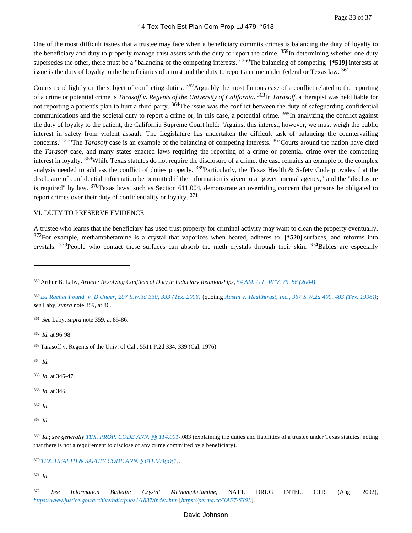One of the most difficult issues that a trustee may face when a beneficiary commits crimes is balancing the duty of loyalty to the beneficiary and duty to properly manage trust assets with the duty to report the crime. <sup>359</sup>In determining whether one duty supersedes the other, there must be a "balancing of the competing interests." <sup>360</sup>The balancing of competing [\***519**] interests at issue is the duty of loyalty to the beneficiaries of a trust and the duty to report a crime under federal or Texas law. <sup>361</sup>

Courts tread lightly on the subject of conflicting duties. <sup>362</sup>Arguably the most famous case of a conflict related to the reporting of a crime or potential crime is *Tarasoff v. Regents of the University of California*. <sup>363</sup>In *Tarasoff*, a therapist was held liable for not reporting a patient's plan to hurt a third party. <sup>364</sup>The issue was the conflict between the duty of safeguarding confidential communications and the societal duty to report a crime or, in this case, a potential crime.  $365$ In analyzing the conflict against the duty of loyalty to the patient, the California Supreme Court held: "Against this interest, however, we must weigh the public interest in safety from violent assault. The Legislature has undertaken the difficult task of balancing the countervailing concerns." <sup>366</sup>The *Tarasoff* case is an example of the balancing of competing interests. <sup>367</sup>Courts around the nation have cited the *Tarasoff* case, and many states enacted laws requiring the reporting of a crime or potential crime over the competing interest in loyalty. <sup>368</sup>While Texas statutes do not require the disclosure of a crime, the case remains an example of the complex analysis needed to address the conflict of duties properly.  $369$ Particularly, the Texas Health & Safety Code provides that the disclosure of confidential information be permitted if the information is given to a "governmental agency," and the "disclosure is required" by law.  $370$ Texas laws, such as Section 611.004, demonstrate an overriding concern that persons be obligated to report crimes over their duty of confidentiality or loyalty. <sup>371</sup>

# VI. DUTY TO PRESERVE EVIDENCE

A trustee who learns that the beneficiary has used trust property for criminal activity may want to clean the property eventually. <sup>372</sup>For example, methamphetamine is a crystal that vaporizes when heated, adheres to **[\*520]** surfaces, and reforms into crystals.  $373$ People who contact these surfaces can absorb the meth crystals through their skin.  $374$ Babies are especially

<sup>362</sup>*Id.* at 96-98.

<sup>364</sup>*Id.*

- <sup>365</sup>*Id.* at 346-47.
- <sup>366</sup>*Id.* at 346.
- <sup>367</sup>*Id.*

<sup>371</sup>*Id.*

<sup>359</sup>Arthur B. Laby, *Article: Resolving Conflicts of Duty in Fiduciary Relationships*, *[54 AM. U.L. REV. 75, 86 \(2004\)](https://advance.lexis.com/api/document?collection=analytical-materials&id=urn:contentItem:4FKR-63M0-00CW-G08P-00000-00&context=1000516)*.

<sup>360</sup>*[Ed Rachal Found. v. D'Unger, 207 S.W.3d 330, 333 \(Tex. 2006\)](https://advance.lexis.com/api/document?collection=cases&id=urn:contentItem:4JSF-PMW0-0039-40K3-00000-00&context=1000516)* (quoting *[Austin v. Healthtrust, Inc., 967 S.W.2d 400, 403 \(Tex. 1998\)\)](https://advance.lexis.com/api/document?collection=cases&id=urn:contentItem:3SG3-33K0-0039-442F-00000-00&context=1000516)*; *see* Laby, *supra* note 359, at 86.

<sup>361</sup>*See* Laby, *supra* note 359, at 85-86.

<sup>363</sup>Tarasoff v. Regents of the Univ. of Cal., 5511 P.2d 334, 339 (Cal. 1976).

<sup>368</sup>*Id.*

<sup>369</sup>*Id.*; *see generally [TEX. PROP. CODE ANN. §§ 114.001](https://advance.lexis.com/api/document?collection=statutes-legislation&id=urn:contentItem:5DDJ-C7H1-JW8X-V4J8-00000-00&context=1000516)*-.083 (explaining the duties and liabilities of a trustee under Texas statutes, noting that there is not a requirement to disclose of any crime committed by a beneficiary).

<sup>370</sup>*[TEX. HEALTH & SAFETY CODE ANN. § 611.004\(a\)\(1\)](https://advance.lexis.com/api/document?collection=statutes-legislation&id=urn:contentItem:62XT-DNC3-GXJ9-34X8-00000-00&context=1000516)*.

<sup>372</sup>*See Information Bulletin: Crystal Methamphetamine*, NAT'L DRUG INTEL. CTR. (Aug. 2002), *<https://www.justice.gov/archive/ndic/pubs1/1837/index.htm>* [*<https://perma.cc/XAF7-SY9L>*].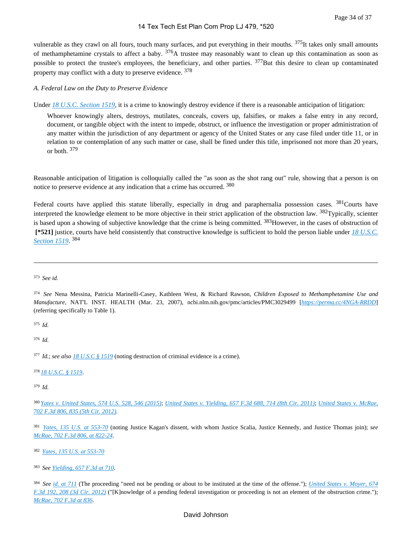vulnerable as they crawl on all fours, touch many surfaces, and put everything in their mouths. <sup>375</sup>It takes only small amounts of methamphetamine crystals to affect a baby.  $376A$  trustee may reasonably want to clean up this contamination as soon as possible to protect the trustee's employees, the beneficiary, and other parties. <sup>377</sup>But this desire to clean up contaminated property may conflict with a duty to preserve evidence. <sup>378</sup>

#### *A. Federal Law on the Duty to Preserve Evidence*

Under [18 U.S.C. Section 1519](https://advance.lexis.com/api/document?collection=statutes-legislation&id=urn:contentItem:8SG9-5042-D6RV-H0G7-00000-00&context=1000516), it is a crime to knowingly destroy evidence if there is a reasonable anticipation of litigation:

Whoever knowingly alters, destroys, mutilates, conceals, covers up, falsifies, or makes a false entry in any record, document, or tangible object with the intent to impede, obstruct, or influence the investigation or proper administration of any matter within the jurisdiction of any department or agency of the United States or any case filed under title 11, or in relation to or contemplation of any such matter or case, shall be fined under this title, imprisoned not more than 20 years, or both. <sup>379</sup>

Reasonable anticipation of litigation is colloquially called the "as soon as the shot rang out" rule, showing that a person is on notice to preserve evidence at any indication that a crime has occurred. <sup>380</sup>

Federal courts have applied this statute liberally, especially in drug and paraphernalia possession cases. <sup>381</sup>Courts have interpreted the knowledge element to be more objective in their strict application of the obstruction law. <sup>382</sup>Typically, scienter is based upon a showing of subjective knowledge that the crime is being committed. <sup>383</sup>However, in the cases of obstruction of  **[\*521]** justice, courts have held consistently that constructive knowledge is sufficient to hold the person liable under *[18 U.S.C.](https://advance.lexis.com/api/document?collection=statutes-legislation&id=urn:contentItem:8SG9-5042-D6RV-H0G7-00000-00&context=1000516)  [Section 1519](https://advance.lexis.com/api/document?collection=statutes-legislation&id=urn:contentItem:8SG9-5042-D6RV-H0G7-00000-00&context=1000516)*. 384

<sup>375</sup>*Id.*

<sup>376</sup>*Id.*

<sup>377</sup>*Id.*; *see also [18 U.S.C § 1519](https://advance.lexis.com/api/document?collection=statutes-legislation&id=urn:contentItem:8SG9-5042-D6RV-H0G7-00000-00&context=1000516)* (noting destruction of criminal evidence is a crime).

<sup>378</sup>*[18 U.S.C. § 1519](https://advance.lexis.com/api/document?collection=statutes-legislation&id=urn:contentItem:8SG9-5042-D6RV-H0G7-00000-00&context=1000516)*.

<sup>379</sup>*Id.*

<sup>382</sup>*[Yates, 135 U.S. at 553-70](https://advance.lexis.com/api/document?collection=cases&id=urn:contentItem:3S4X-GC80-003B-H07G-00000-00&context=1000516)*

<sup>383</sup>*See [Yielding, 657 F.3d at 710](https://advance.lexis.com/api/document?collection=cases&id=urn:contentItem:83BG-2K01-652R-60Y5-00000-00&context=1000516)*.

<sup>384</sup>*See [id. at 711](https://advance.lexis.com/api/document?collection=cases&id=urn:contentItem:83BG-2K01-652R-60Y5-00000-00&context=1000516)* (The proceeding "need not be pending or about to be instituted at the time of the offense."); *[United States v. Moyer, 674](https://advance.lexis.com/api/document?collection=cases&id=urn:contentItem:552T-D7H1-F04K-K0JX-00000-00&context=1000516)  [F.3d 192, 208 \(3d Cir. 2012\)](https://advance.lexis.com/api/document?collection=cases&id=urn:contentItem:552T-D7H1-F04K-K0JX-00000-00&context=1000516)* ("[K]nowledge of a pending federal investigation or proceeding is not an element of the obstruction crime."); *[McRae, 702 F.3d at 836](https://advance.lexis.com/api/document?collection=cases&id=urn:contentItem:5793-0K21-F04K-N094-00000-00&context=1000516)*.

<sup>373</sup>*See id.*

<sup>374</sup>*See* Nena Messina, Patricia Marinelli-Casey, Kathleen West, & Richard Rawson, *Children Exposed to Methamphetamine Use and Manufacture*, NAT'L INST. HEALTH (Mar. 23, 2007), ncbi.nlm.nih.gov/pmc/articles/PMC3029499 [*<https://perma.cc/4NGA-RRDD>*] (referring specifically to Table 1).

<sup>380</sup>*[Yates v. United States, 574 U.S. 528, 546 \(2015\)](https://advance.lexis.com/api/document?collection=cases&id=urn:contentItem:5FCN-6RX1-F04K-F12X-00000-00&context=1000516)*; *[United States v. Yielding, 657 F.3d 688, 714 \(8th Cir. 2011\)](https://advance.lexis.com/api/document?collection=cases&id=urn:contentItem:83BG-2K01-652R-60Y5-00000-00&context=1000516)*; *[United States v. McRae,](https://advance.lexis.com/api/document?collection=cases&id=urn:contentItem:5793-0K21-F04K-N094-00000-00&context=1000516)  [702 F.3d 806, 835 \(5th Cir. 2012\)](https://advance.lexis.com/api/document?collection=cases&id=urn:contentItem:5793-0K21-F04K-N094-00000-00&context=1000516)*.

<sup>381</sup>*[Yates, 135 U.S. at 553-70](https://advance.lexis.com/api/document?collection=cases&id=urn:contentItem:3S4X-GC80-003B-H07G-00000-00&context=1000516)* (noting Justice Kagan's dissent, with whom Justice Scalia, Justice Kennedy, and Justice Thomas join); *see [McRae, 702 F.3d 806, at 822-24](https://advance.lexis.com/api/document?collection=cases&id=urn:contentItem:5793-0K21-F04K-N094-00000-00&context=1000516)*.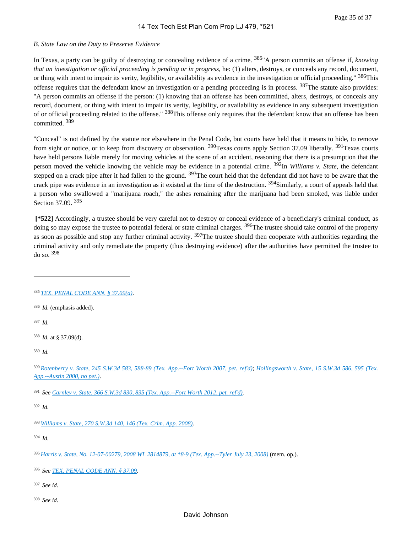#### *B. State Law on the Duty to Preserve Evidence*

In Texas, a party can be guilty of destroying or concealing evidence of a crime. 385"A person commits an offense if, *knowing that an investigation or official proceeding is pending or in progress*, he: (1) alters, destroys, or conceals any record, document, or thing with intent to impair its verity, legibility, or availability as evidence in the investigation or official proceeding." <sup>386</sup>This offense requires that the defendant know an investigation or a pending proceeding is in process. <sup>387</sup>The statute also provides: "A person commits an offense if the person: (1) knowing that an offense has been committed, alters, destroys, or conceals any record, document, or thing with intent to impair its verity, legibility, or availability as evidence in any subsequent investigation of or official proceeding related to the offense." <sup>388</sup>This offense only requires that the defendant know that an offense has been committed. <sup>389</sup>

"Conceal" is not defined by the statute nor elsewhere in the Penal Code, but courts have held that it means to hide, to remove from sight or notice, or to keep from discovery or observation. <sup>390</sup>Texas courts apply Section 37.09 liberally. <sup>391</sup>Texas courts have held persons liable merely for moving vehicles at the scene of an accident, reasoning that there is a presumption that the person moved the vehicle knowing the vehicle may be evidence in a potential crime. 392In *Williams v. State*, the defendant stepped on a crack pipe after it had fallen to the ground. <sup>393</sup>The court held that the defendant did not have to be aware that the crack pipe was evidence in an investigation as it existed at the time of the destruction. <sup>394</sup>Similarly, a court of appeals held that a person who swallowed a "marijuana roach," the ashes remaining after the marijuana had been smoked, was liable under Section 37.09. <sup>395</sup>

 **[\*522]** Accordingly, a trustee should be very careful not to destroy or conceal evidence of a beneficiary's criminal conduct, as doing so may expose the trustee to potential federal or state criminal charges. <sup>396</sup>The trustee should take control of the property as soon as possible and stop any further criminal activity. <sup>397</sup>The trustee should then cooperate with authorities regarding the criminal activity and only remediate the property (thus destroying evidence) after the authorities have permitted the trustee to do so. <sup>398</sup>

<sup>387</sup>*Id.*

<sup>389</sup>*Id.*

<sup>392</sup>*Id.*

<sup>393</sup>*[Williams v. State, 270 S.W.3d 140, 146 \(Tex. Crim. App. 2008\)](https://advance.lexis.com/api/document?collection=cases&id=urn:contentItem:4V24-YRV0-TXFW-Y2N1-00000-00&context=1000516)*.

<sup>394</sup>*Id.*

<sup>395</sup>*[Harris v. State, No. 12-07-00279, 2008 WL 2814879, at \\*8-9 \(Tex. App.--Tyler July 23, 2008\)](https://advance.lexis.com/api/document?collection=cases&id=urn:contentItem:4T2C-TJN0-TX4N-G05D-00000-00&context=1000516)* (mem. op.).

<sup>396</sup>*See [TEX. PENAL CODE ANN. § 37.09](https://advance.lexis.com/api/document?collection=statutes-legislation&id=urn:contentItem:6300-FVG3-GXJ9-307W-00000-00&context=1000516)*.

<sup>397</sup>*See id.*

<sup>385</sup>*[TEX. PENAL CODE ANN. § 37.09\(a\)](https://advance.lexis.com/api/document?collection=statutes-legislation&id=urn:contentItem:6300-FVG3-GXJ9-307W-00000-00&context=1000516)*.

<sup>386</sup>*Id.* (emphasis added).

<sup>388</sup>*Id.* at § 37.09(d).

<sup>390</sup>*[Rotenberry v. State, 245 S.W.3d 583, 588-89 \(Tex. App.--Fort Worth 2007, pet. ref'd\)](https://advance.lexis.com/api/document?collection=cases&id=urn:contentItem:4PY3-XTR0-TX4N-G0KC-00000-00&context=1000516)*; *[Hollingsworth v. State, 15 S.W.3d 586, 595 \(Tex.](https://advance.lexis.com/api/document?collection=cases&id=urn:contentItem:3YXN-D2C0-0039-409F-00000-00&context=1000516)  [App.--Austin 2000, no pet.\)](https://advance.lexis.com/api/document?collection=cases&id=urn:contentItem:3YXN-D2C0-0039-409F-00000-00&context=1000516)*.

<sup>391</sup>*See [Carnley v. State, 366 S.W.3d 830, 835 \(Tex. App.--Fort Worth 2012, pet. ref'd\)](https://advance.lexis.com/api/document?collection=cases&id=urn:contentItem:55H0-1MT1-F04K-B1HP-00000-00&context=1000516)*.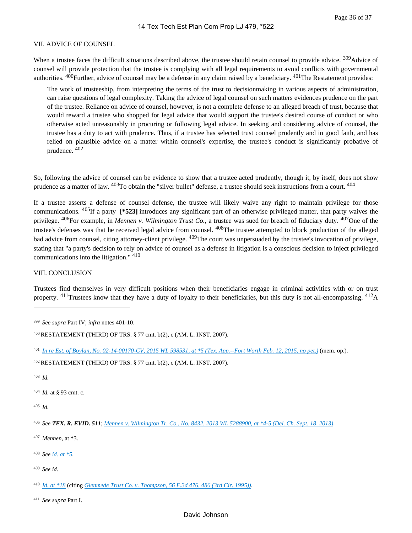#### VII. ADVICE OF COUNSEL

When a trustee faces the difficult situations described above, the trustee should retain counsel to provide advice. <sup>399</sup>Advice of counsel will provide protection that the trustee is complying with all legal requirements to avoid conflicts with governmental authorities. <sup>400</sup>Further, advice of counsel may be a defense in any claim raised by a beneficiary. <sup>401</sup>The Restatement provides:

The work of trusteeship, from interpreting the terms of the trust to decisionmaking in various aspects of administration, can raise questions of legal complexity. Taking the advice of legal counsel on such matters evidences prudence on the part of the trustee. Reliance on advice of counsel, however, is not a complete defense to an alleged breach of trust, because that would reward a trustee who shopped for legal advice that would support the trustee's desired course of conduct or who otherwise acted unreasonably in procuring or following legal advice. In seeking and considering advice of counsel, the trustee has a duty to act with prudence. Thus, if a trustee has selected trust counsel prudently and in good faith, and has relied on plausible advice on a matter within counsel's expertise, the trustee's conduct is significantly probative of prudence. <sup>402</sup>

So, following the advice of counsel can be evidence to show that a trustee acted prudently, though it, by itself, does not show prudence as a matter of law. <sup>403</sup>To obtain the "silver bullet" defense, a trustee should seek instructions from a court. <sup>404</sup>

If a trustee asserts a defense of counsel defense, the trustee will likely waive any right to maintain privilege for those communications. 405If a party **[\*523]** introduces any significant part of an otherwise privileged matter, that party waives the privilege. 406For example, in *Mennen v. Wilmington Trust Co.*, a trustee was sued for breach of fiduciary duty. 407One of the trustee's defenses was that he received legal advice from counsel. <sup>408</sup>The trustee attempted to block production of the alleged bad advice from counsel, citing attorney-client privilege. <sup>409</sup>The court was unpersuaded by the trustee's invocation of privilege, stating that "a party's decision to rely on advice of counsel as a defense in litigation is a conscious decision to inject privileged communications into the litigation." <sup>410</sup>

#### VIII. CONCLUSION

Trustees find themselves in very difficult positions when their beneficiaries engage in criminal activities with or on trust property.  $^{411}$ Trustees know that they have a duty of loyalty to their beneficiaries, but this duty is not all-encompassing.  $^{412}A$ 

<sup>403</sup>*Id.*

<sup>404</sup>*Id.* at § 93 cmt. c.

<sup>405</sup>*Id.*

<sup>407</sup>*Mennen*, at \*3.

- <sup>408</sup>*See [id. at \\*5](https://advance.lexis.com/api/document?collection=cases&id=urn:contentItem:3S5B-B6C0-0038-X3YT-00000-00&context=1000516)*.
- <sup>409</sup>*See id.*

<sup>410</sup>*[Id. at \\*18](https://advance.lexis.com/api/document?collection=cases&id=urn:contentItem:3S5B-B6C0-0038-X3YT-00000-00&context=1000516)* (citing *[Glenmede Trust Co. v. Thompson, 56 F.3d 476, 486 \(3rd Cir. 1995\)\)](https://advance.lexis.com/api/document?collection=cases&id=urn:contentItem:3S4X-F4B0-001T-D2YT-00000-00&context=1000516)*.

<sup>411</sup>*See supra* Part I.

<sup>399</sup>*See supra* Part IV; *infra* notes 401-10.

<sup>400</sup>RESTATEMENT (THIRD) OF TRS. § 77 cmt. b(2), c (AM. L. INST. 2007).

<sup>401</sup>*[In re Est. of Boylan, No. 02-14-00170-CV, 2015 WL 598531, at \\*5 \(Tex. App.--Fort Worth Feb. 12, 2015, no pet.\)](https://advance.lexis.com/api/document?collection=cases&id=urn:contentItem:5F8W-MGK1-F04K-B0KR-00000-00&context=1000516)* (mem. op.).

<sup>402</sup>RESTATEMENT (THIRD) OF TRS. § 77 cmt. b(2), c (AM. L. INST. 2007).

<sup>406</sup>*See TEX. R. EVID. 511*; *[Mennen v. Wilmington Tr. Co., No. 8432, 2013 WL 5288900, at \\*4-5 \(Del. Ch. Sept. 18, 2013\)](https://advance.lexis.com/api/document?collection=cases&id=urn:contentItem:59CX-HWP1-F04C-G01P-00000-00&context=1000516)*.